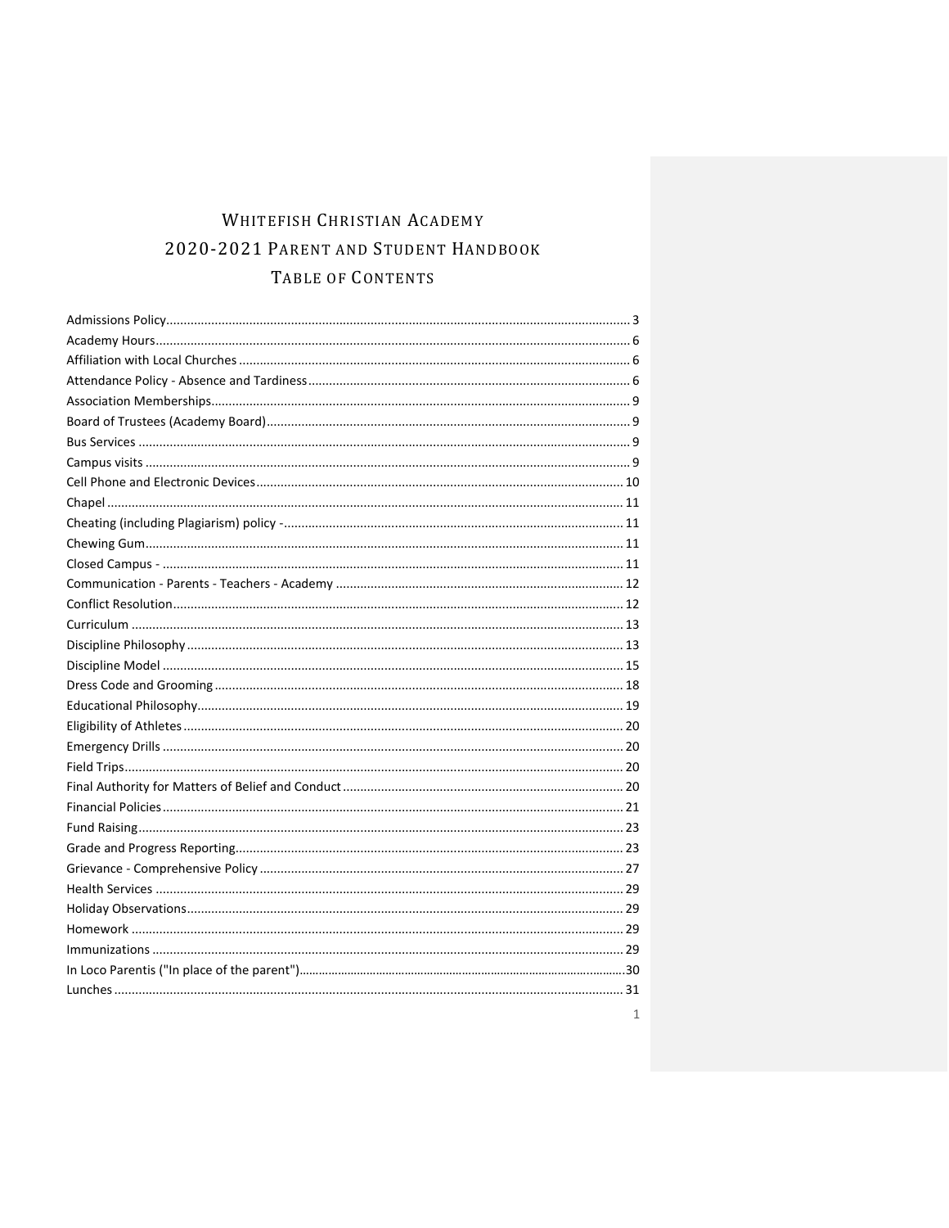# WHITEFISH CHRISTIAN ACADEMY 2020-2021 PARENT AND STUDENT HANDBOOK TABLE OF CONTENTS

| 1 |
|---|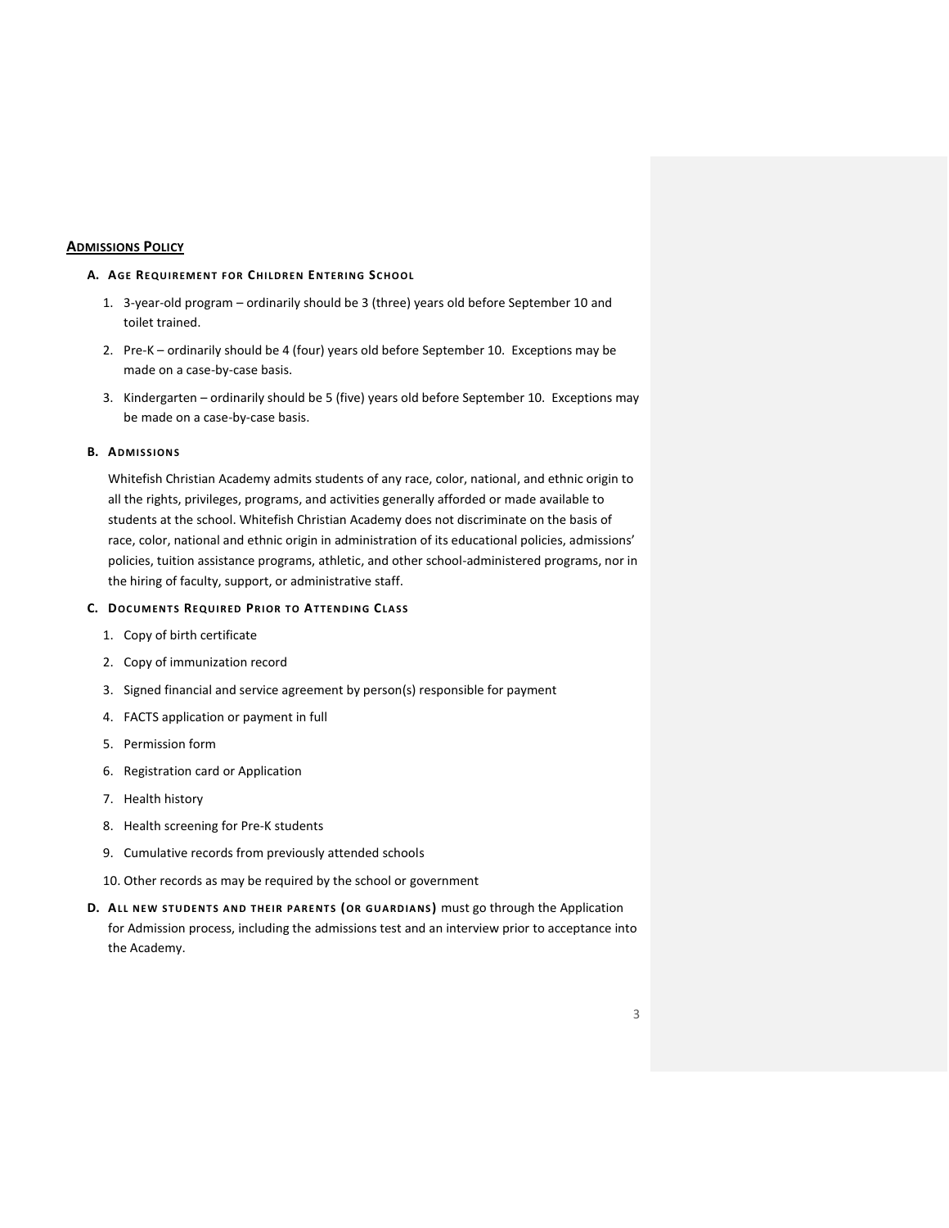## <span id="page-2-0"></span>**ADMISSIONS POLICY**

## **A. AGE REQU IREMENT FOR CHI LDREN ENTERI NG SC HOOL**

- 1. 3-year-old program ordinarily should be 3 (three) years old before September 10 and toilet trained.
- 2. Pre-K ordinarily should be 4 (four) years old before September 10. Exceptions may be made on a case-by-case basis.
- 3. Kindergarten ordinarily should be 5 (five) years old before September 10. Exceptions may be made on a case-by-case basis.

## **B. ADMISSIONS**

Whitefish Christian Academy admits students of any race, color, national, and ethnic origin to all the rights, privileges, programs, and activities generally afforded or made available to students at the school. Whitefish Christian Academy does not discriminate on the basis of race, color, national and ethnic origin in administration of its educational policies, admissions' policies, tuition assistance programs, athletic, and other school-administered programs, nor in the hiring of faculty, support, or administrative staff.

## **C. DOC UMENT S REQU IRED PRI OR T O AT TEND ING CLA SS**

- 1. Copy of birth certificate
- 2. Copy of immunization record
- 3. Signed financial and service agreement by person(s) responsible for payment
- 4. FACTS application or payment in full
- 5. Permission form
- 6. Registration card or Application
- 7. Health history
- 8. Health screening for Pre-K students
- 9. Cumulative records from previously attended schools
- 10. Other records as may be required by the school or government
- **D.** ALL NEW STUDENTS AND THEIR PARENTS (OR GUARDIANS) must go through the Application for Admission process, including the admissions test and an interview prior to acceptance into the Academy.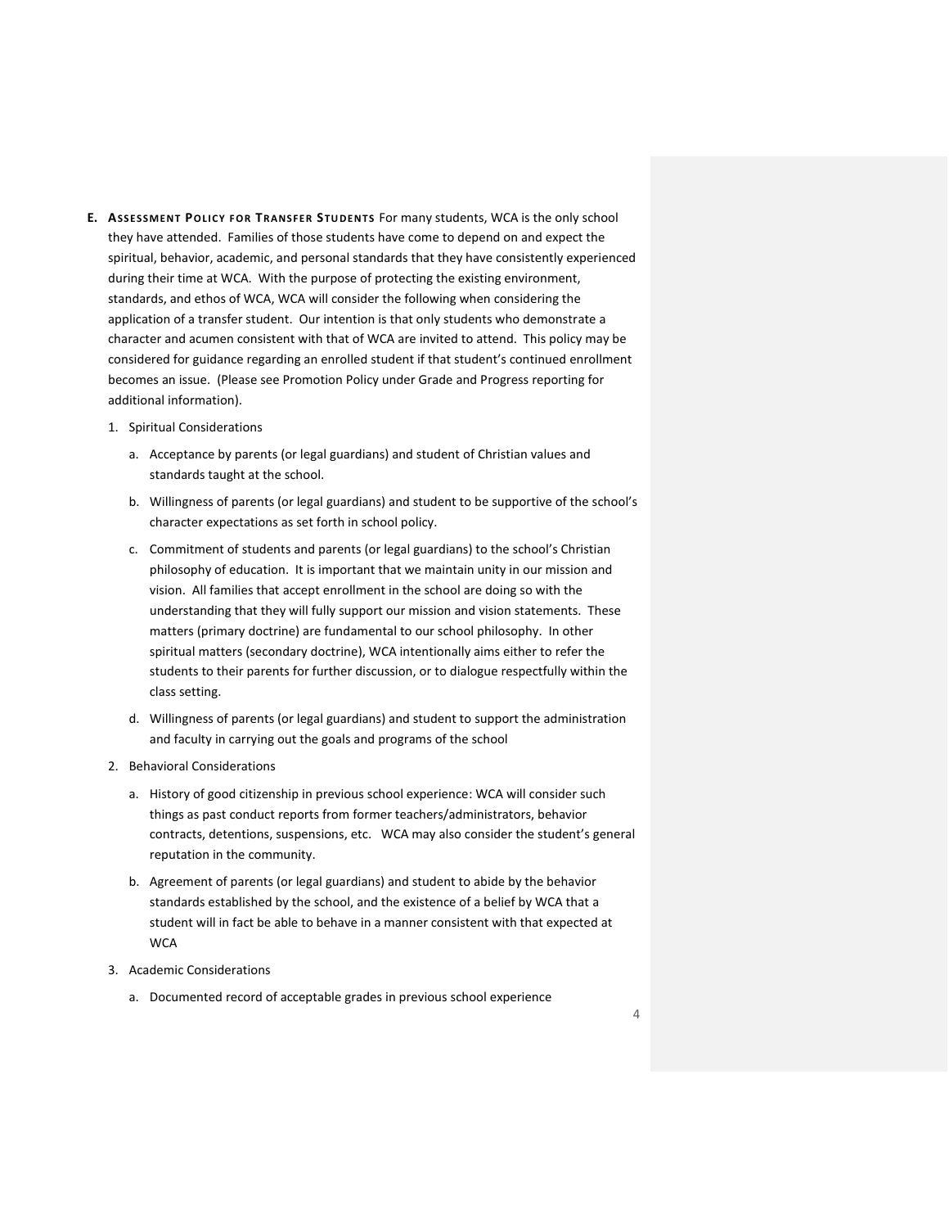- **E. ASSE SSMENT POLI CY FOR TRANSFER STU DENTS** For many students, WCA is the only school they have attended. Families of those students have come to depend on and expect the spiritual, behavior, academic, and personal standards that they have consistently experienced during their time at WCA. With the purpose of protecting the existing environment, standards, and ethos of WCA, WCA will consider the following when considering the application of a transfer student. Our intention is that only students who demonstrate a character and acumen consistent with that of WCA are invited to attend. This policy may be considered for guidance regarding an enrolled student if that student's continued enrollment becomes an issue. (Please see Promotion Policy under Grade and Progress reporting for additional information).
	- 1. Spiritual Considerations
		- a. Acceptance by parents (or legal guardians) and student of Christian values and standards taught at the school.
		- b. Willingness of parents (or legal guardians) and student to be supportive of the school's character expectations as set forth in school policy.
		- c. Commitment of students and parents (or legal guardians) to the school's Christian philosophy of education. It is important that we maintain unity in our mission and vision. All families that accept enrollment in the school are doing so with the understanding that they will fully support our mission and vision statements. These matters (primary doctrine) are fundamental to our school philosophy. In other spiritual matters (secondary doctrine), WCA intentionally aims either to refer the students to their parents for further discussion, or to dialogue respectfully within the class setting.
		- d. Willingness of parents (or legal guardians) and student to support the administration and faculty in carrying out the goals and programs of the school
	- 2. Behavioral Considerations
		- a. History of good citizenship in previous school experience: WCA will consider such things as past conduct reports from former teachers/administrators, behavior contracts, detentions, suspensions, etc. WCA may also consider the student's general reputation in the community.
		- b. Agreement of parents (or legal guardians) and student to abide by the behavior standards established by the school, and the existence of a belief by WCA that a student will in fact be able to behave in a manner consistent with that expected at **WCA**
	- 3. Academic Considerations
		- a. Documented record of acceptable grades in previous school experience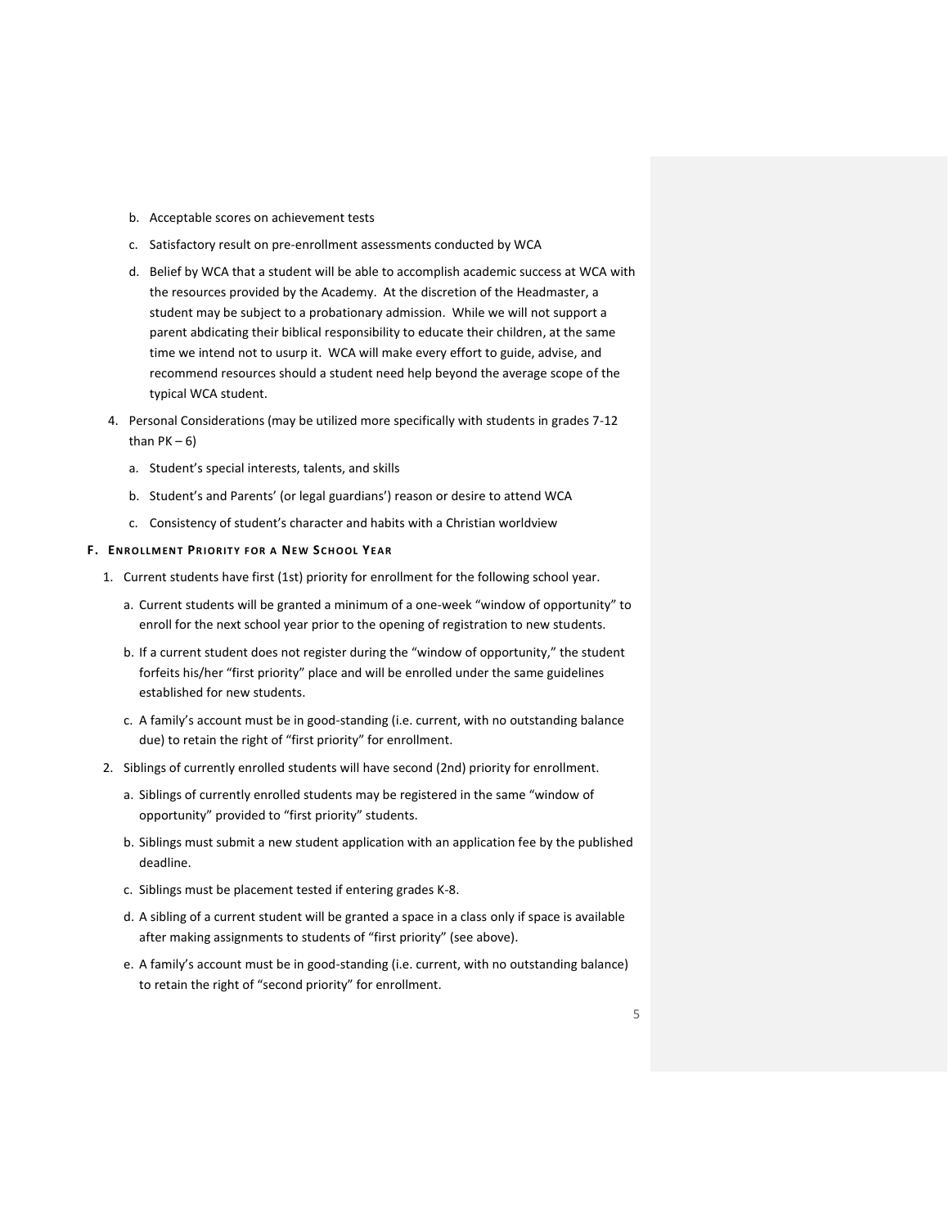- b. Acceptable scores on achievement tests
- c. Satisfactory result on pre-enrollment assessments conducted by WCA
- d. Belief by WCA that a student will be able to accomplish academic success at WCA with the resources provided by the Academy. At the discretion of the Headmaster, a student may be subject to a probationary admission. While we will not support a parent abdicating their biblical responsibility to educate their children, at the same time we intend not to usurp it. WCA will make every effort to guide, advise, and recommend resources should a student need help beyond the average scope of the typical WCA student.
- 4. Personal Considerations (may be utilized more specifically with students in grades 7-12 than  $PK - 6$ )
	- a. Student's special interests, talents, and skills
	- b. Student's and Parents' (or legal guardians') reason or desire to attend WCA
	- c. Consistency of student's character and habits with a Christian worldview

#### **F. ENROLLMENT PR I ORIT Y FOR A NEW SCH OOL YEA R**

- 1. Current students have first (1st) priority for enrollment for the following school year.
	- a. Current students will be granted a minimum of a one-week "window of opportunity" to enroll for the next school year prior to the opening of registration to new students.
	- b. If a current student does not register during the "window of opportunity," the student forfeits his/her "first priority" place and will be enrolled under the same guidelines established for new students.
	- c. A family's account must be in good-standing (i.e. current, with no outstanding balance due) to retain the right of "first priority" for enrollment.
- 2. Siblings of currently enrolled students will have second (2nd) priority for enrollment.
	- a. Siblings of currently enrolled students may be registered in the same "window of opportunity" provided to "first priority" students.
	- b. Siblings must submit a new student application with an application fee by the published deadline.
	- c. Siblings must be placement tested if entering grades K-8.
	- d. A sibling of a current student will be granted a space in a class only if space is available after making assignments to students of "first priority" (see above).
	- e. A family's account must be in good-standing (i.e. current, with no outstanding balance) to retain the right of "second priority" for enrollment.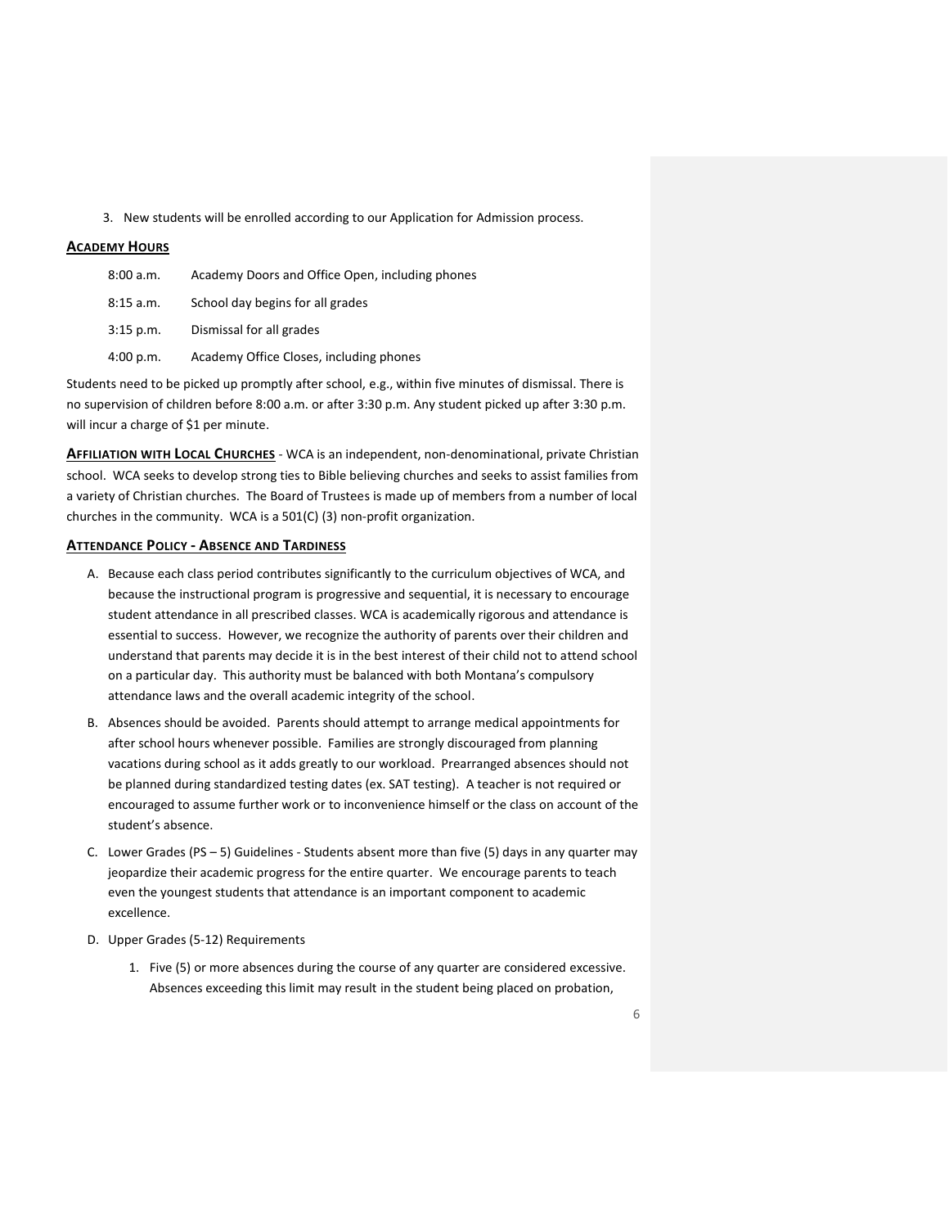3. New students will be enrolled according to our Application for Admission process.

## <span id="page-5-0"></span>**ACADEMY HOURS**

| 8:00 a.m.   | Academy Doors and Office Open, including phones |
|-------------|-------------------------------------------------|
| 8:15 a.m.   | School day begins for all grades                |
| $3:15$ p.m. | Dismissal for all grades                        |
| 4:00 p.m.   | Academy Office Closes, including phones         |

Students need to be picked up promptly after school, e.g., within five minutes of dismissal. There is no supervision of children before 8:00 a.m. or after 3:30 p.m. Any student picked up after 3:30 p.m. will incur a charge of \$1 per minute.

<span id="page-5-1"></span>**AFFILIATION WITH LOCAL CHURCHES** - WCA is an independent, non-denominational, private Christian school. WCA seeks to develop strong ties to Bible believing churches and seeks to assist families from a variety of Christian churches. The Board of Trustees is made up of members from a number of local churches in the community. WCA is a 501(C) (3) non-profit organization.

## <span id="page-5-2"></span>**ATTENDANCE POLICY - ABSENCE AND TARDINESS**

- A. Because each class period contributes significantly to the curriculum objectives of WCA, and because the instructional program is progressive and sequential, it is necessary to encourage student attendance in all prescribed classes. WCA is academically rigorous and attendance is essential to success. However, we recognize the authority of parents over their children and understand that parents may decide it is in the best interest of their child not to attend school on a particular day. This authority must be balanced with both Montana's compulsory attendance laws and the overall academic integrity of the school.
- B. Absences should be avoided. Parents should attempt to arrange medical appointments for after school hours whenever possible. Families are strongly discouraged from planning vacations during school as it adds greatly to our workload. Prearranged absences should not be planned during standardized testing dates (ex. SAT testing). A teacher is not required or encouraged to assume further work or to inconvenience himself or the class on account of the student's absence.
- C. Lower Grades (PS  $-$  5) Guidelines Students absent more than five (5) days in any quarter may jeopardize their academic progress for the entire quarter. We encourage parents to teach even the youngest students that attendance is an important component to academic excellence.
- D. Upper Grades (5-12) Requirements
	- 1. Five (5) or more absences during the course of any quarter are considered excessive. Absences exceeding this limit may result in the student being placed on probation,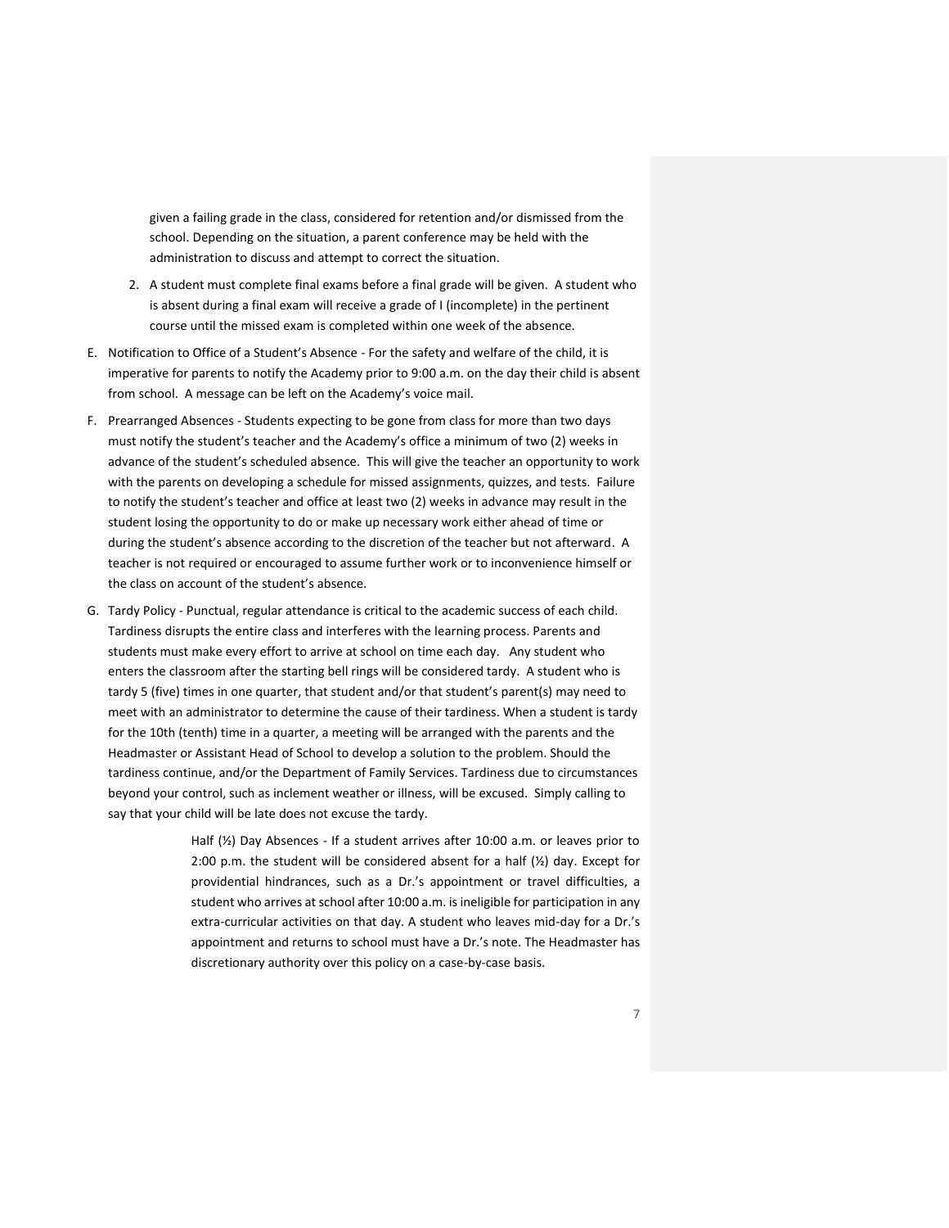given a failing grade in the class, considered for retention and/or dismissed from the school. Depending on the situation, a parent conference may be held with the administration to discuss and attempt to correct the situation.

- 2. A student must complete final exams before a final grade will be given. A student who is absent during a final exam will receive a grade of I (incomplete) in the pertinent course until the missed exam is completed within one week of the absence.
- E. Notification to Office of a Student's Absence For the safety and welfare of the child, it is imperative for parents to notify the Academy prior to 9:00 a.m. on the day their child is absent from school. A message can be left on the Academy's voice mail.
- F. Prearranged Absences Students expecting to be gone from class for more than two days must notify the student's teacher and the Academy's office a minimum of two (2) weeks in advance of the student's scheduled absence. This will give the teacher an opportunity to work with the parents on developing a schedule for missed assignments, quizzes, and tests. Failure to notify the student's teacher and office at least two (2) weeks in advance may result in the student losing the opportunity to do or make up necessary work either ahead of time or during the student's absence according to the discretion of the teacher but not afterward. A teacher is not required or encouraged to assume further work or to inconvenience himself or the class on account of the student's absence.
- G. Tardy Policy Punctual, regular attendance is critical to the academic success of each child. Tardiness disrupts the entire class and interferes with the learning process. Parents and students must make every effort to arrive at school on time each day. Any student who enters the classroom after the starting bell rings will be considered tardy. A student who is tardy 5 (five) times in one quarter, that student and/or that student's parent(s) may need to meet with an administrator to determine the cause of their tardiness. When a student is tardy for the 10th (tenth) time in a quarter, a meeting will be arranged with the parents and the Headmaster or Assistant Head of School to develop a solution to the problem. Should the tardiness continue, and/or the Department of Family Services. Tardiness due to circumstances beyond your control, such as inclement weather or illness, will be excused. Simply calling to say that your child will be late does not excuse the tardy.

Half (½) Day Absences - If a student arrives after 10:00 a.m. or leaves prior to 2:00 p.m. the student will be considered absent for a half (½) day. Except for providential hindrances, such as a Dr.'s appointment or travel difficulties, a student who arrives at school after 10:00 a.m. is ineligible for participation in any extra-curricular activities on that day. A student who leaves mid-day for a Dr.'s appointment and returns to school must have a Dr.'s note. The Headmaster has discretionary authority over this policy on a case-by-case basis.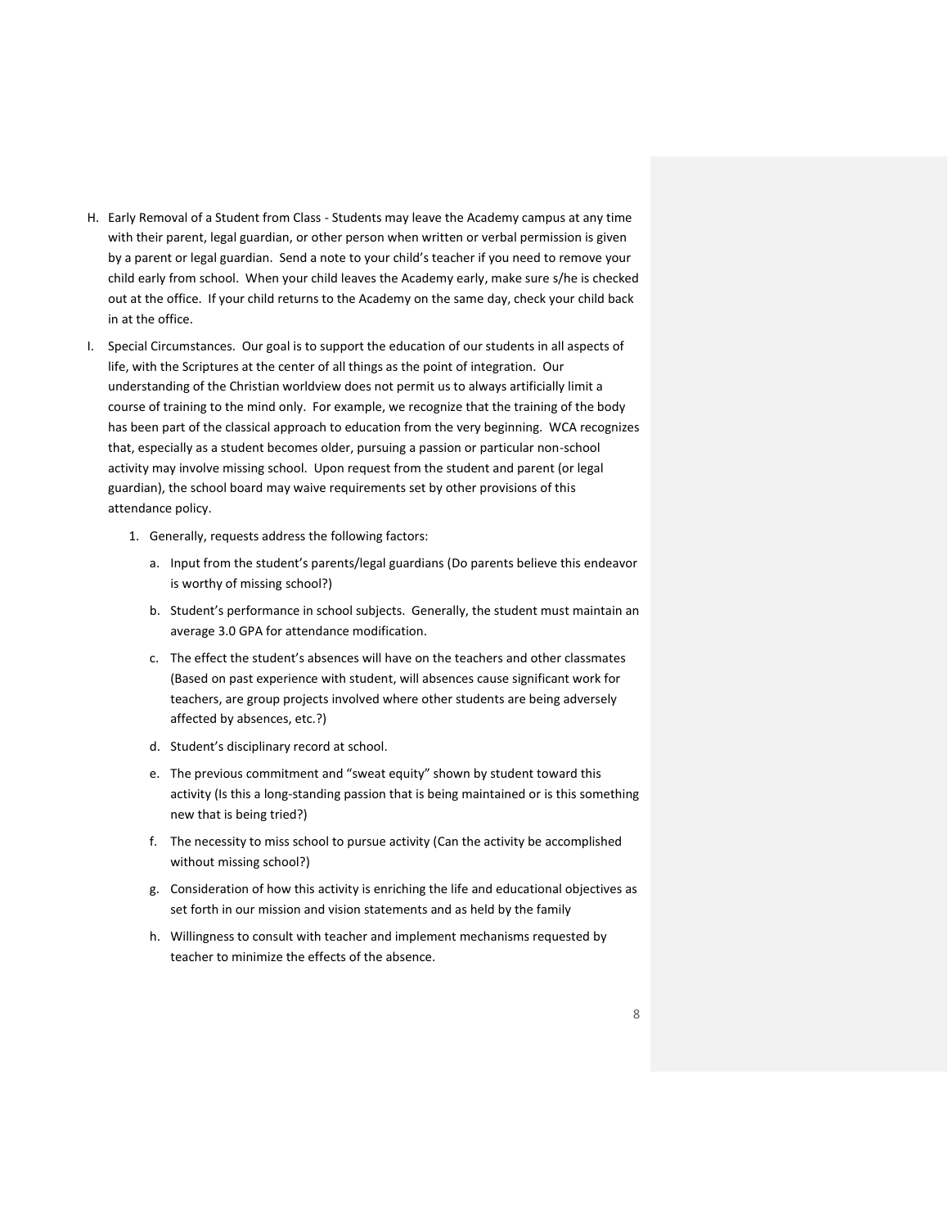- H. Early Removal of a Student from Class Students may leave the Academy campus at any time with their parent, legal guardian, or other person when written or verbal permission is given by a parent or legal guardian. Send a note to your child's teacher if you need to remove your child early from school. When your child leaves the Academy early, make sure s/he is checked out at the office. If your child returns to the Academy on the same day, check your child back in at the office.
- I. Special Circumstances. Our goal is to support the education of our students in all aspects of life, with the Scriptures at the center of all things as the point of integration. Our understanding of the Christian worldview does not permit us to always artificially limit a course of training to the mind only. For example, we recognize that the training of the body has been part of the classical approach to education from the very beginning. WCA recognizes that, especially as a student becomes older, pursuing a passion or particular non-school activity may involve missing school. Upon request from the student and parent (or legal guardian), the school board may waive requirements set by other provisions of this attendance policy.
	- 1. Generally, requests address the following factors:
		- a. Input from the student's parents/legal guardians (Do parents believe this endeavor is worthy of missing school?)
		- b. Student's performance in school subjects. Generally, the student must maintain an average 3.0 GPA for attendance modification.
		- c. The effect the student's absences will have on the teachers and other classmates (Based on past experience with student, will absences cause significant work for teachers, are group projects involved where other students are being adversely affected by absences, etc.?)
		- d. Student's disciplinary record at school.
		- e. The previous commitment and "sweat equity" shown by student toward this activity (Is this a long-standing passion that is being maintained or is this something new that is being tried?)
		- f. The necessity to miss school to pursue activity (Can the activity be accomplished without missing school?)
		- g. Consideration of how this activity is enriching the life and educational objectives as set forth in our mission and vision statements and as held by the family
		- h. Willingness to consult with teacher and implement mechanisms requested by teacher to minimize the effects of the absence.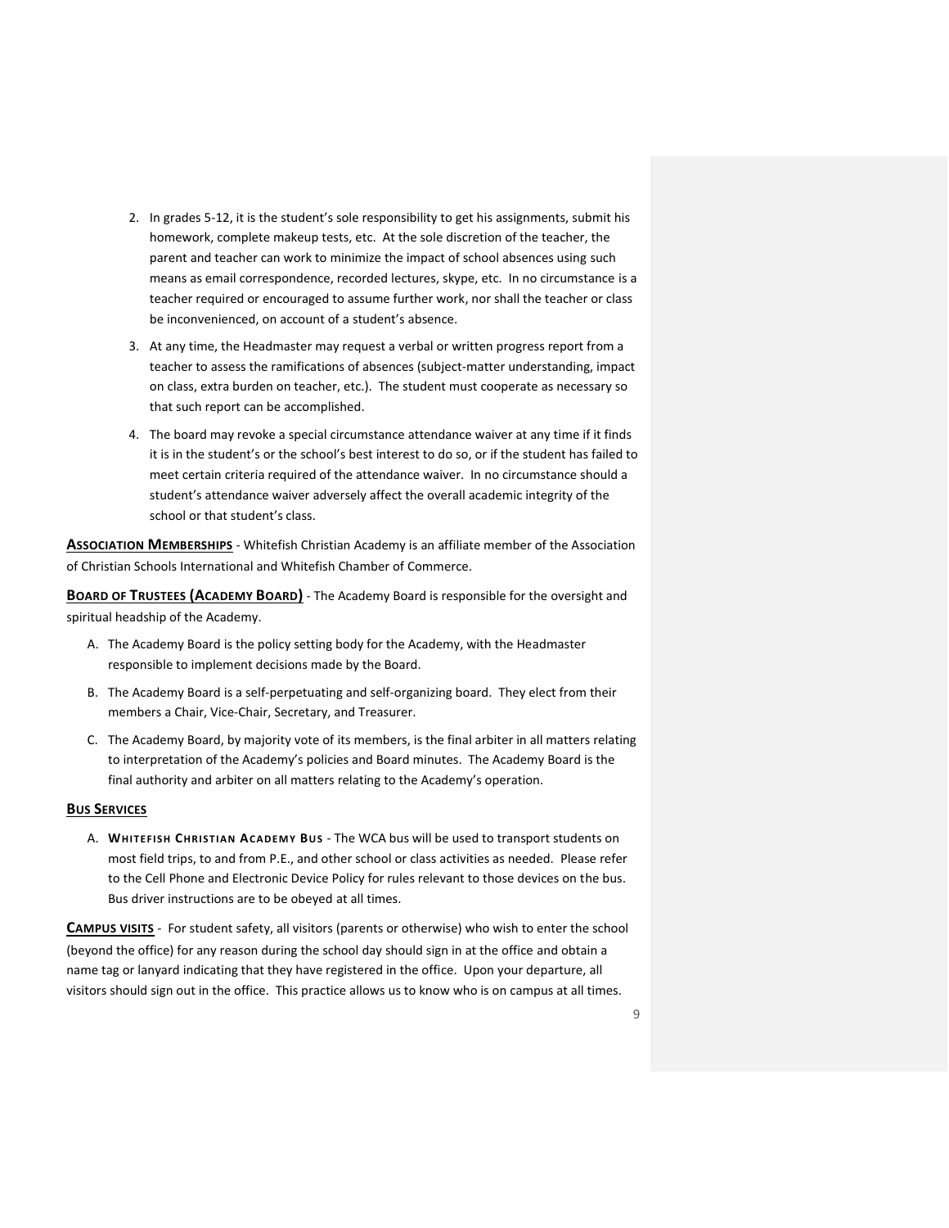- 2. In grades 5-12, it is the student's sole responsibility to get his assignments, submit his homework, complete makeup tests, etc. At the sole discretion of the teacher, the parent and teacher can work to minimize the impact of school absences using such means as email correspondence, recorded lectures, skype, etc. In no circumstance is a teacher required or encouraged to assume further work, nor shall the teacher or class be inconvenienced, on account of a student's absence.
- 3. At any time, the Headmaster may request a verbal or written progress report from a teacher to assess the ramifications of absences (subject-matter understanding, impact on class, extra burden on teacher, etc.). The student must cooperate as necessary so that such report can be accomplished.
- 4. The board may revoke a special circumstance attendance waiver at any time if it finds it is in the student's or the school's best interest to do so, or if the student has failed to meet certain criteria required of the attendance waiver. In no circumstance should a student's attendance waiver adversely affect the overall academic integrity of the school or that student's class.

<span id="page-8-0"></span>**ASSOCIATION MEMBERSHIPS** - Whitefish Christian Academy is an affiliate member of the Association of Christian Schools International and Whitefish Chamber of Commerce.

<span id="page-8-1"></span>**BOARD OF TRUSTEES (ACADEMY BOARD)** - The Academy Board is responsible for the oversight and spiritual headship of the Academy.

- A. The Academy Board is the policy setting body for the Academy, with the Headmaster responsible to implement decisions made by the Board.
- B. The Academy Board is a self-perpetuating and self-organizing board. They elect from their members a Chair, Vice-Chair, Secretary, and Treasurer.
- C. The Academy Board, by majority vote of its members, is the final arbiter in all matters relating to interpretation of the Academy's policies and Board minutes. The Academy Board is the final authority and arbiter on all matters relating to the Academy's operation.

#### <span id="page-8-2"></span>**BUS SERVICES**

A. **WHITE FI SH CHRI STIA N ACADEM Y BU S** - The WCA bus will be used to transport students on most field trips, to and from P.E., and other school or class activities as needed. Please refer to the Cell Phone and Electronic Device Policy for rules relevant to those devices on the bus. Bus driver instructions are to be obeyed at all times.

<span id="page-8-3"></span>**CAMPUS VISITS** - For student safety, all visitors (parents or otherwise) who wish to enter the school (beyond the office) for any reason during the school day should sign in at the office and obtain a name tag or lanyard indicating that they have registered in the office. Upon your departure, all visitors should sign out in the office. This practice allows us to know who is on campus at all times.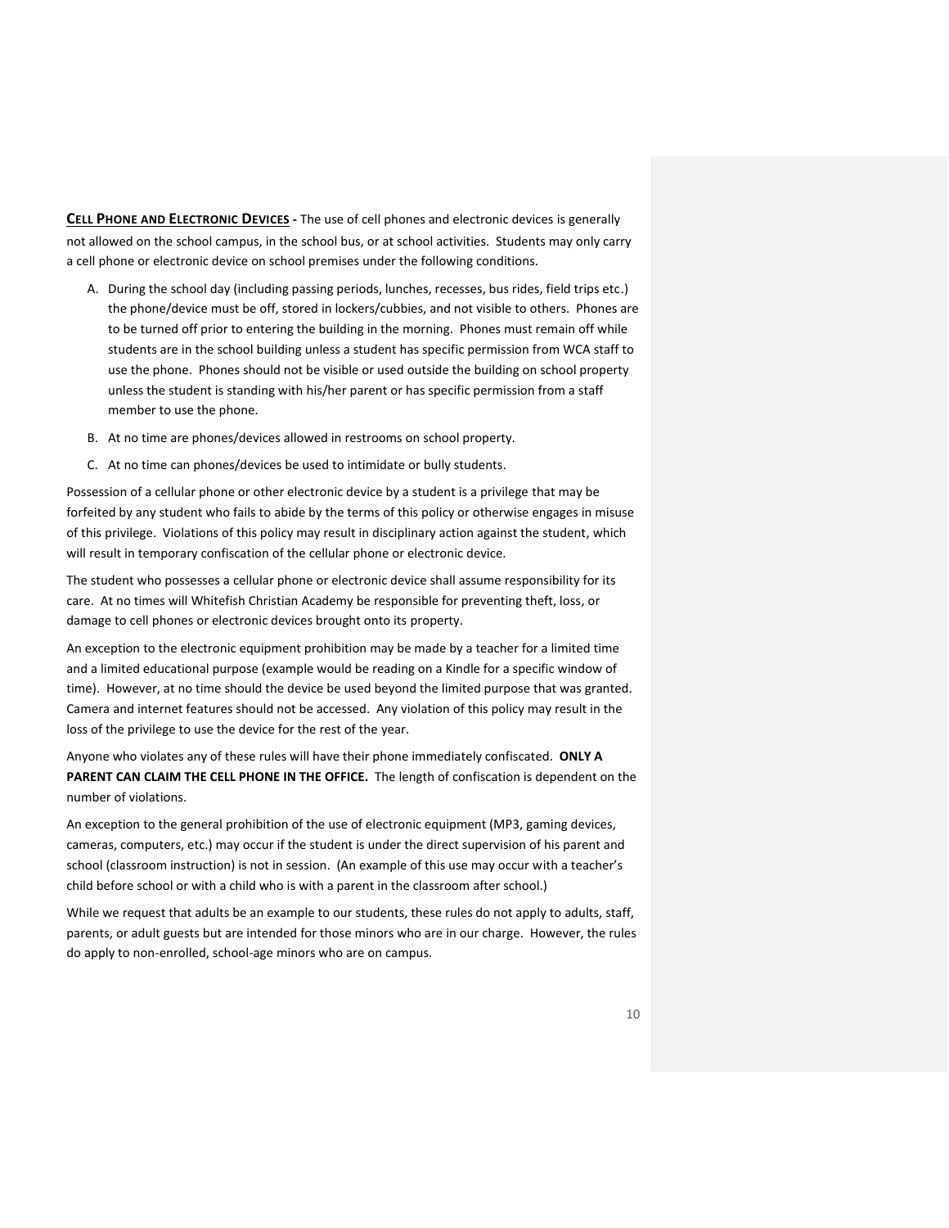<span id="page-9-0"></span>**CELL PHONE AND ELECTRONIC DEVICES -** The use of cell phones and electronic devices is generally not allowed on the school campus, in the school bus, or at school activities. Students may only carry a cell phone or electronic device on school premises under the following conditions.

- A. During the school day (including passing periods, lunches, recesses, bus rides, field trips etc.) the phone/device must be off, stored in lockers/cubbies, and not visible to others. Phones are to be turned off prior to entering the building in the morning. Phones must remain off while students are in the school building unless a student has specific permission from WCA staff to use the phone. Phones should not be visible or used outside the building on school property unless the student is standing with his/her parent or has specific permission from a staff member to use the phone.
- B. At no time are phones/devices allowed in restrooms on school property.
- C. At no time can phones/devices be used to intimidate or bully students.

Possession of a cellular phone or other electronic device by a student is a privilege that may be forfeited by any student who fails to abide by the terms of this policy or otherwise engages in misuse of this privilege. Violations of this policy may result in disciplinary action against the student, which will result in temporary confiscation of the cellular phone or electronic device.

The student who possesses a cellular phone or electronic device shall assume responsibility for its care. At no times will Whitefish Christian Academy be responsible for preventing theft, loss, or damage to cell phones or electronic devices brought onto its property.

An exception to the electronic equipment prohibition may be made by a teacher for a limited time and a limited educational purpose (example would be reading on a Kindle for a specific window of time). However, at no time should the device be used beyond the limited purpose that was granted. Camera and internet features should not be accessed. Any violation of this policy may result in the loss of the privilege to use the device for the rest of the year.

Anyone who violates any of these rules will have their phone immediately confiscated. **ONLY A PARENT CAN CLAIM THE CELL PHONE IN THE OFFICE.** The length of confiscation is dependent on the number of violations.

An exception to the general prohibition of the use of electronic equipment (MP3, gaming devices, cameras, computers, etc.) may occur if the student is under the direct supervision of his parent and school (classroom instruction) is not in session. (An example of this use may occur with a teacher's child before school or with a child who is with a parent in the classroom after school.)

While we request that adults be an example to our students, these rules do not apply to adults, staff, parents, or adult guests but are intended for those minors who are in our charge. However, the rules do apply to non-enrolled, school-age minors who are on campus.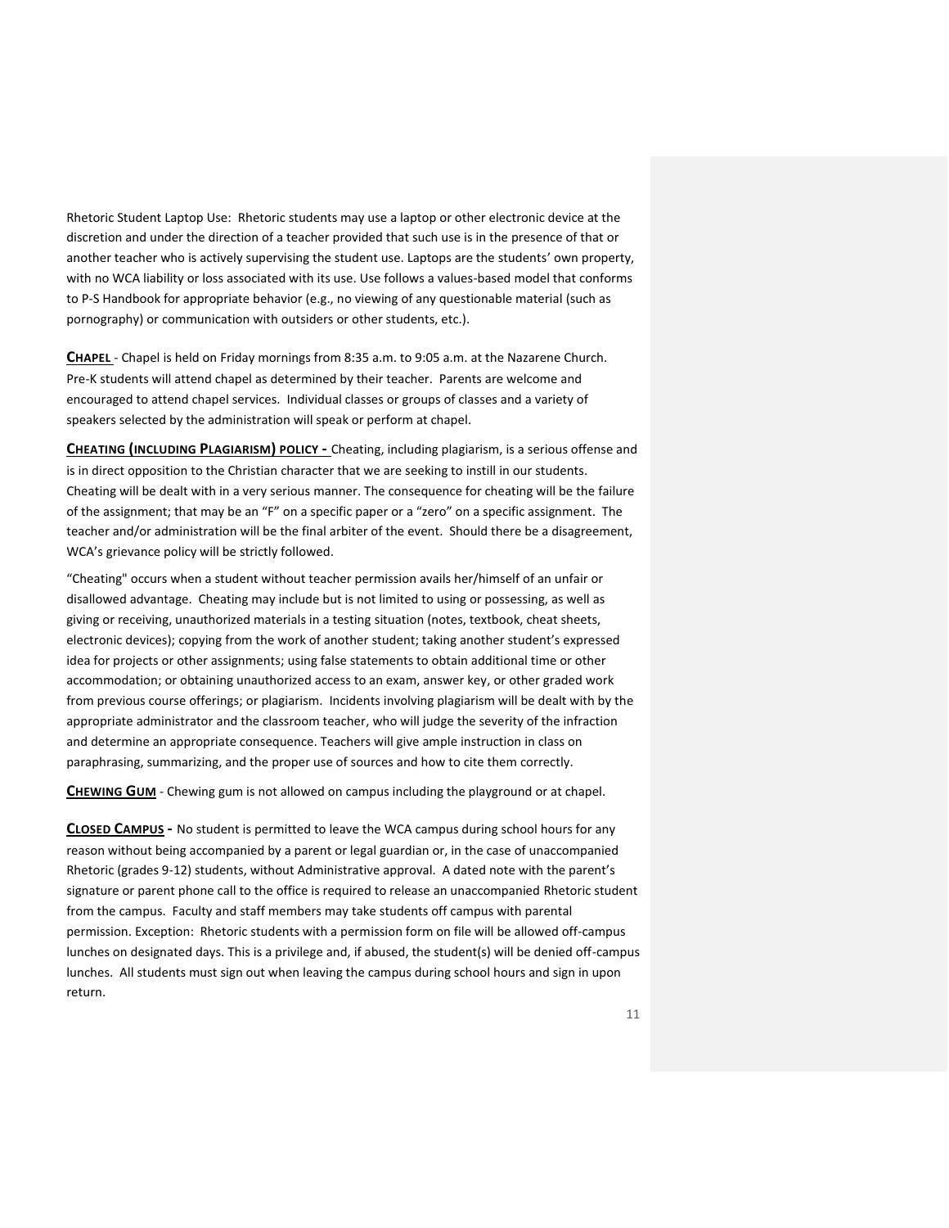Rhetoric Student Laptop Use: Rhetoric students may use a laptop or other electronic device at the discretion and under the direction of a teacher provided that such use is in the presence of that or another teacher who is actively supervising the student use. Laptops are the students' own property, with no WCA liability or loss associated with its use. Use follows a values-based model that conforms to P-S Handbook for appropriate behavior (e.g., no viewing of any questionable material (such as pornography) or communication with outsiders or other students, etc.).

<span id="page-10-0"></span>**CHAPEL** - Chapel is held on Friday mornings from 8:35 a.m. to 9:05 a.m. at the Nazarene Church. Pre-K students will attend chapel as determined by their teacher. Parents are welcome and encouraged to attend chapel services. Individual classes or groups of classes and a variety of speakers selected by the administration will speak or perform at chapel.

<span id="page-10-1"></span>**CHEATING (INCLUDING PLAGIARISM) POLICY -** Cheating, including plagiarism, is a serious offense and is in direct opposition to the Christian character that we are seeking to instill in our students. Cheating will be dealt with in a very serious manner. The consequence for cheating will be the failure of the assignment; that may be an "F" on a specific paper or a "zero" on a specific assignment. The teacher and/or administration will be the final arbiter of the event. Should there be a disagreement, WCA's grievance policy will be strictly followed.

"Cheating" occurs when a student without teacher permission avails her/himself of an unfair or disallowed advantage. Cheating may include but is not limited to using or possessing, as well as giving or receiving, unauthorized materials in a testing situation (notes, textbook, cheat sheets, electronic devices); copying from the work of another student; taking another student's expressed idea for projects or other assignments; using false statements to obtain additional time or other accommodation; or obtaining unauthorized access to an exam, answer key, or other graded work from previous course offerings; or plagiarism. Incidents involving plagiarism will be dealt with by the appropriate administrator and the classroom teacher, who will judge the severity of the infraction and determine an appropriate consequence. Teachers will give ample instruction in class on paraphrasing, summarizing, and the proper use of sources and how to cite them correctly.

<span id="page-10-2"></span>**CHEWING GUM** - Chewing gum is not allowed on campus including the playground or at chapel.

<span id="page-10-3"></span>**CLOSED CAMPUS -** No student is permitted to leave the WCA campus during school hours for any reason without being accompanied by a parent or legal guardian or, in the case of unaccompanied Rhetoric (grades 9-12) students, without Administrative approval. A dated note with the parent's signature or parent phone call to the office is required to release an unaccompanied Rhetoric student from the campus. Faculty and staff members may take students off campus with parental permission. Exception: Rhetoric students with a permission form on file will be allowed off-campus lunches on designated days. This is a privilege and, if abused, the student(s) will be denied off-campus lunches. All students must sign out when leaving the campus during school hours and sign in upon return.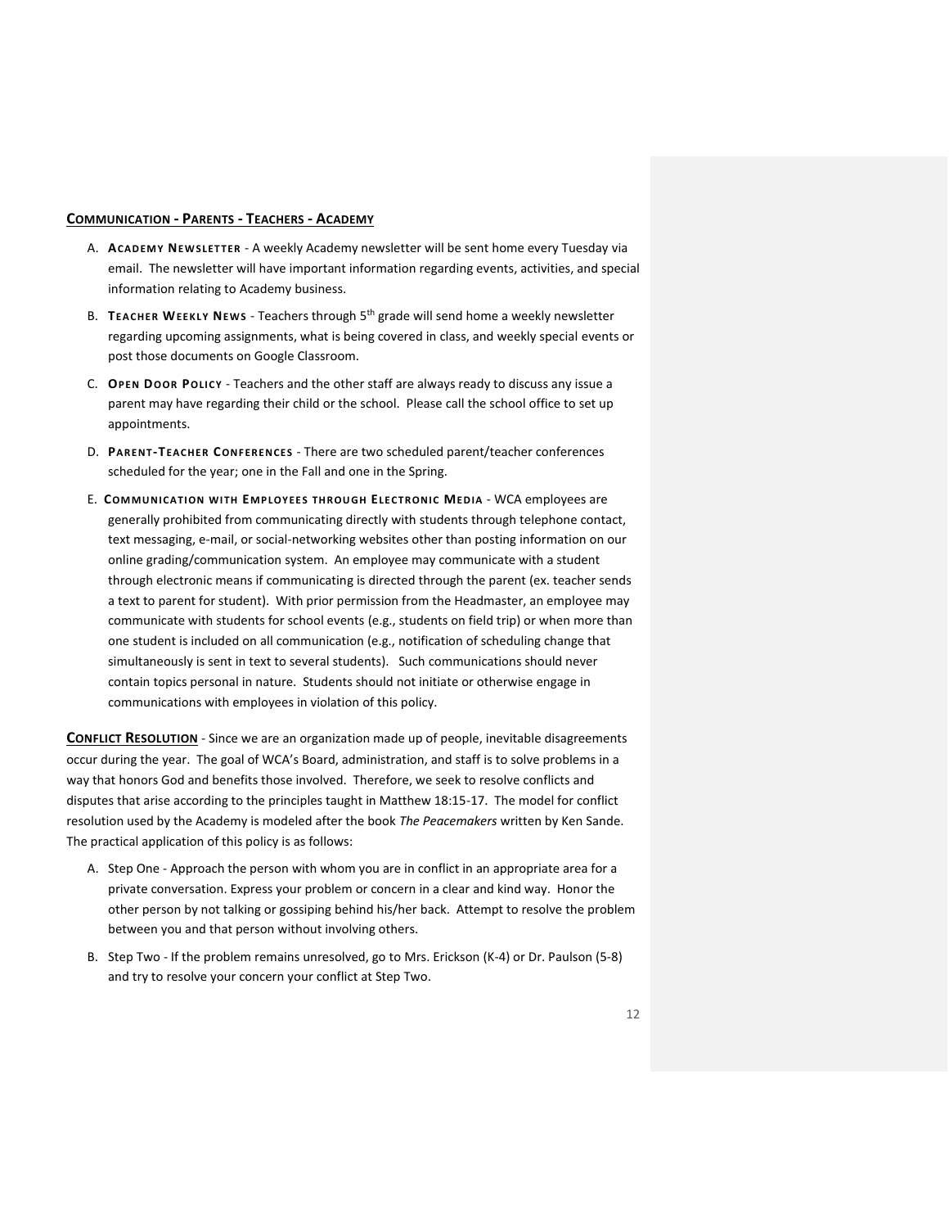#### <span id="page-11-0"></span>**COMMUNICATION - PARENTS - TEACHERS - ACADEMY**

- A. **ACADEM Y NEW SLET TER** A weekly Academy newsletter will be sent home every Tuesday via email. The newsletter will have important information regarding events, activities, and special information relating to Academy business.
- B. **TEACHER WEEKLY NEW S** Teachers through 5 th grade will send home a weekly newsletter regarding upcoming assignments, what is being covered in class, and weekly special events or post those documents on Google Classroom.
- C. **OPEN DOOR POLIC Y** Teachers and the other staff are always ready to discuss any issue a parent may have regarding their child or the school. Please call the school office to set up appointments.
- D. **PARENT-TEACHER CONFERENCES** There are two scheduled parent/teacher conferences scheduled for the year; one in the Fall and one in the Spring.
- E. **COM MUNI CA TI ON WI TH EMP LOYEE S THR OUGH ELE CTR ONIC MED IA** WCA employees are generally prohibited from communicating directly with students through telephone contact, text messaging, e-mail, or social-networking websites other than posting information on our online grading/communication system. An employee may communicate with a student through electronic means if communicating is directed through the parent (ex. teacher sends a text to parent for student). With prior permission from the Headmaster, an employee may communicate with students for school events (e.g., students on field trip) or when more than one student is included on all communication (e.g., notification of scheduling change that simultaneously is sent in text to several students). Such communications should never contain topics personal in nature. Students should not initiate or otherwise engage in communications with employees in violation of this policy.

**CONFLICT RESOLUTION** - Since we are an organization made up of people, inevitable disagreements occur during the year. The goal of WCA's Board, administration, and staff is to solve problems in a way that honors God and benefits those involved. Therefore, we seek to resolve conflicts and disputes that arise according to the principles taught in Matthew 18:15-17. The model for conflict resolution used by the Academy is modeled after the book *The Peacemakers* written by Ken Sande. The practical application of this policy is as follows:

- A. Step One Approach the person with whom you are in conflict in an appropriate area for a private conversation. Express your problem or concern in a clear and kind way. Honor the other person by not talking or gossiping behind his/her back. Attempt to resolve the problem between you and that person without involving others.
- B. Step Two If the problem remains unresolved, go to Mrs. Erickson (K-4) or Dr. Paulson (5-8) and try to resolve your concern your conflict at Step Two.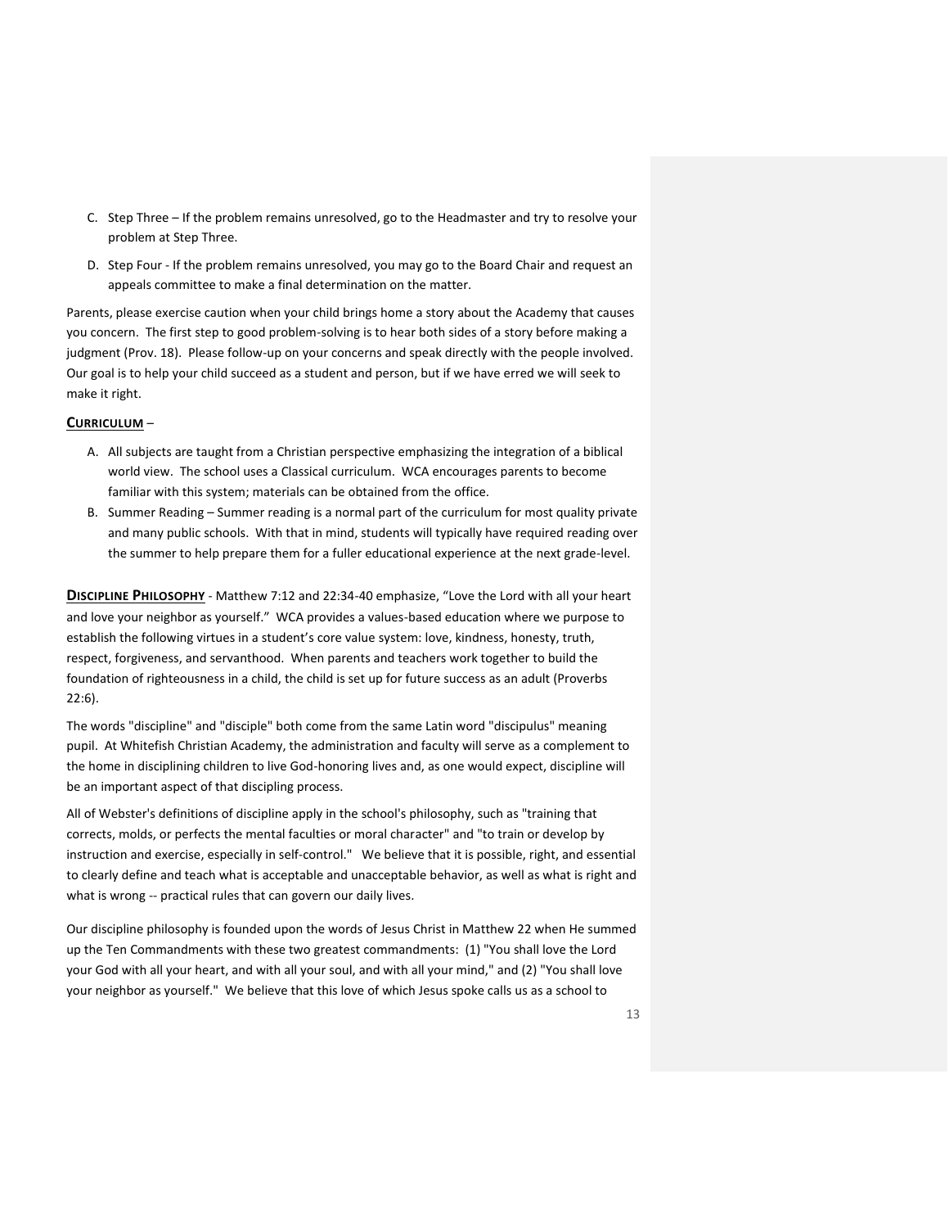- C. Step Three If the problem remains unresolved, go to the Headmaster and try to resolve your problem at Step Three.
- D. Step Four If the problem remains unresolved, you may go to the Board Chair and request an appeals committee to make a final determination on the matter.

Parents, please exercise caution when your child brings home a story about the Academy that causes you concern. The first step to good problem-solving is to hear both sides of a story before making a judgment (Prov. 18). Please follow-up on your concerns and speak directly with the people involved. Our goal is to help your child succeed as a student and person, but if we have erred we will seek to make it right.

#### <span id="page-12-0"></span>**CURRICULUM** –

- A. All subjects are taught from a Christian perspective emphasizing the integration of a biblical world view. The school uses a Classical curriculum. WCA encourages parents to become familiar with this system; materials can be obtained from the office.
- B. Summer Reading Summer reading is a normal part of the curriculum for most quality private and many public schools. With that in mind, students will typically have required reading over the summer to help prepare them for a fuller educational experience at the next grade-level.

<span id="page-12-1"></span>**DISCIPLINE PHILOSOPHY** - Matthew 7:12 and 22:34-40 emphasize, "Love the Lord with all your heart and love your neighbor as yourself." WCA provides a values-based education where we purpose to establish the following virtues in a student's core value system: love, kindness, honesty, truth, respect, forgiveness, and servanthood. When parents and teachers work together to build the foundation of righteousness in a child, the child is set up for future success as an adult (Proverbs 22:6).

The words "discipline" and "disciple" both come from the same Latin word "discipulus" meaning pupil. At Whitefish Christian Academy, the administration and faculty will serve as a complement to the home in disciplining children to live God-honoring lives and, as one would expect, discipline will be an important aspect of that discipling process.

All of Webster's definitions of discipline apply in the school's philosophy, such as "training that corrects, molds, or perfects the mental faculties or moral character" and "to train or develop by instruction and exercise, especially in self-control." We believe that it is possible, right, and essential to clearly define and teach what is acceptable and unacceptable behavior, as well as what is right and what is wrong -- practical rules that can govern our daily lives.

Our discipline philosophy is founded upon the words of Jesus Christ in Matthew 22 when He summed up the Ten Commandments with these two greatest commandments: (1) "You shall love the Lord your God with all your heart, and with all your soul, and with all your mind," and (2) "You shall love your neighbor as yourself." We believe that this love of which Jesus spoke calls us as a school to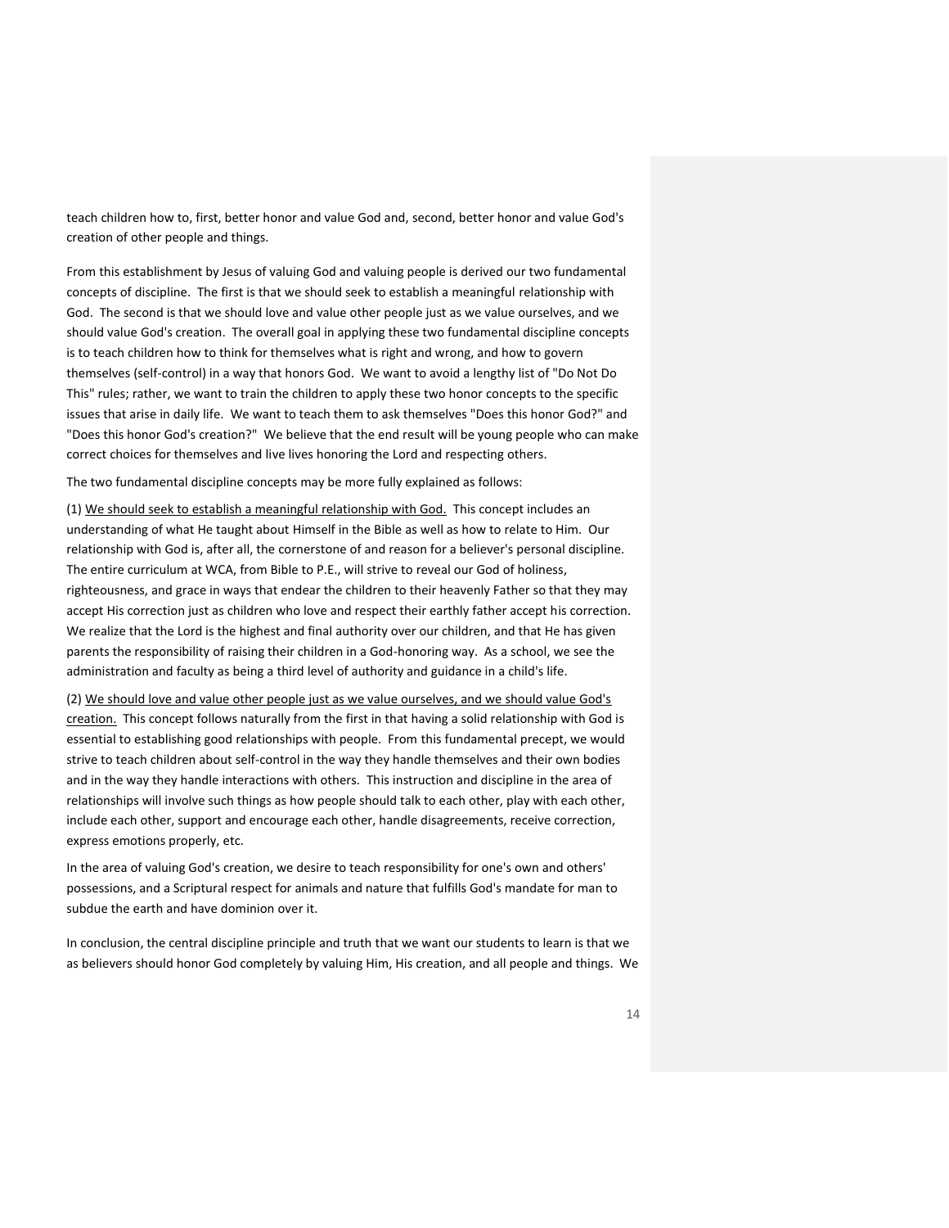teach children how to, first, better honor and value God and, second, better honor and value God's creation of other people and things.

From this establishment by Jesus of valuing God and valuing people is derived our two fundamental concepts of discipline. The first is that we should seek to establish a meaningful relationship with God. The second is that we should love and value other people just as we value ourselves, and we should value God's creation. The overall goal in applying these two fundamental discipline concepts is to teach children how to think for themselves what is right and wrong, and how to govern themselves (self-control) in a way that honors God. We want to avoid a lengthy list of "Do Not Do This" rules; rather, we want to train the children to apply these two honor concepts to the specific issues that arise in daily life. We want to teach them to ask themselves "Does this honor God?" and "Does this honor God's creation?" We believe that the end result will be young people who can make correct choices for themselves and live lives honoring the Lord and respecting others.

The two fundamental discipline concepts may be more fully explained as follows:

(1) We should seek to establish a meaningful relationship with God. This concept includes an understanding of what He taught about Himself in the Bible as well as how to relate to Him. Our relationship with God is, after all, the cornerstone of and reason for a believer's personal discipline. The entire curriculum at WCA, from Bible to P.E., will strive to reveal our God of holiness, righteousness, and grace in ways that endear the children to their heavenly Father so that they may accept His correction just as children who love and respect their earthly father accept his correction. We realize that the Lord is the highest and final authority over our children, and that He has given parents the responsibility of raising their children in a God-honoring way. As a school, we see the administration and faculty as being a third level of authority and guidance in a child's life.

(2) We should love and value other people just as we value ourselves, and we should value God's creation. This concept follows naturally from the first in that having a solid relationship with God is essential to establishing good relationships with people. From this fundamental precept, we would strive to teach children about self-control in the way they handle themselves and their own bodies and in the way they handle interactions with others. This instruction and discipline in the area of relationships will involve such things as how people should talk to each other, play with each other, include each other, support and encourage each other, handle disagreements, receive correction, express emotions properly, etc.

In the area of valuing God's creation, we desire to teach responsibility for one's own and others' possessions, and a Scriptural respect for animals and nature that fulfills God's mandate for man to subdue the earth and have dominion over it.

In conclusion, the central discipline principle and truth that we want our students to learn is that we as believers should honor God completely by valuing Him, His creation, and all people and things. We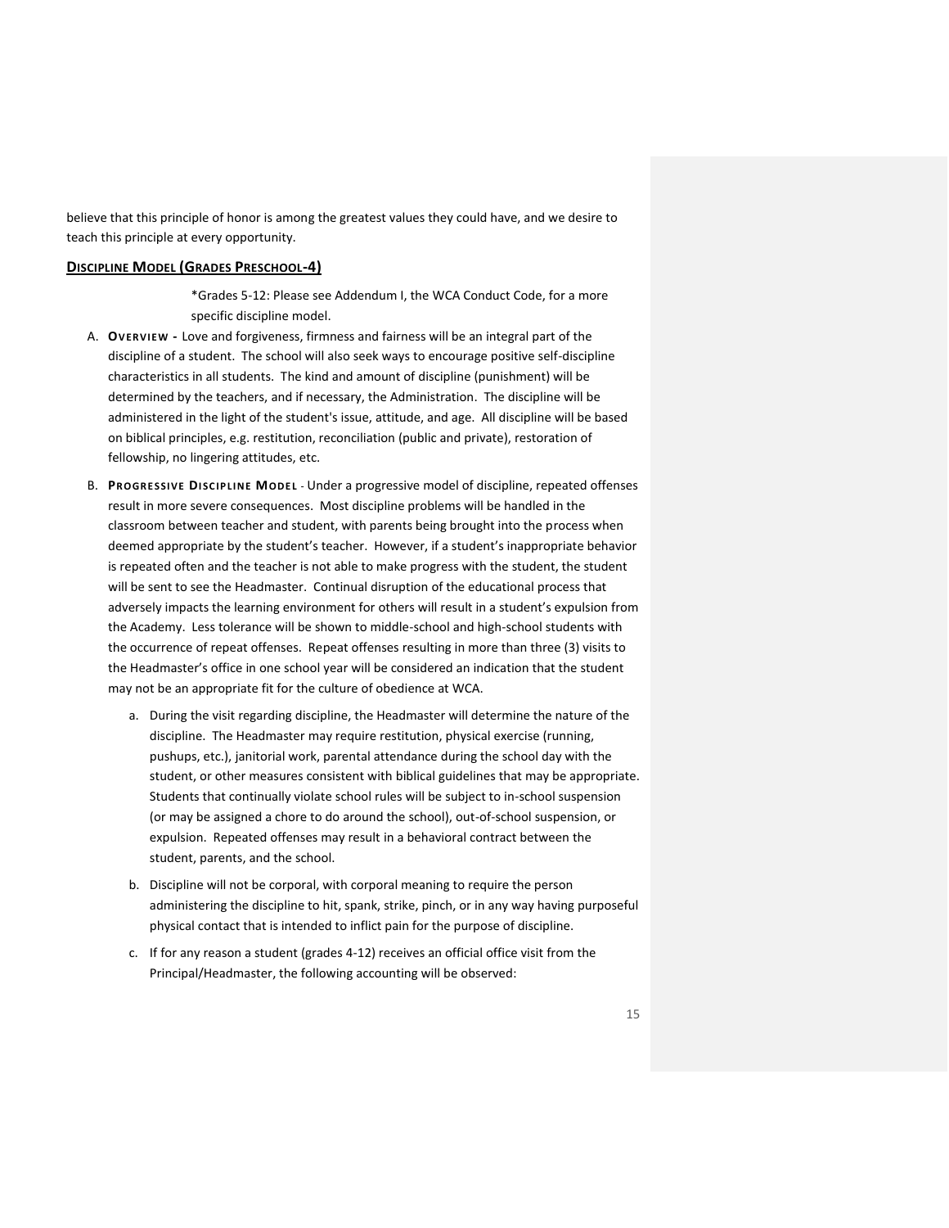believe that this principle of honor is among the greatest values they could have, and we desire to teach this principle at every opportunity.

### <span id="page-14-0"></span>**DISCIPLINE MODEL (GRADES PRESCHOOL-4)**

\*Grades 5-12: Please see Addendum I, the WCA Conduct Code, for a more specific discipline model.

- A. **OVERVIEW -** Love and forgiveness, firmness and fairness will be an integral part of the discipline of a student. The school will also seek ways to encourage positive self-discipline characteristics in all students. The kind and amount of discipline (punishment) will be determined by the teachers, and if necessary, the Administration. The discipline will be administered in the light of the student's issue, attitude, and age. All discipline will be based on biblical principles, e.g. restitution, reconciliation (public and private), restoration of fellowship, no lingering attitudes, etc.
- B. **PROGRE SSIVE DI SC IP LI NE MODE L** Under a progressive model of discipline, repeated offenses result in more severe consequences. Most discipline problems will be handled in the classroom between teacher and student, with parents being brought into the process when deemed appropriate by the student's teacher. However, if a student's inappropriate behavior is repeated often and the teacher is not able to make progress with the student, the student will be sent to see the Headmaster. Continual disruption of the educational process that adversely impacts the learning environment for others will result in a student's expulsion from the Academy. Less tolerance will be shown to middle-school and high-school students with the occurrence of repeat offenses. Repeat offenses resulting in more than three (3) visits to the Headmaster's office in one school year will be considered an indication that the student may not be an appropriate fit for the culture of obedience at WCA.
	- a. During the visit regarding discipline, the Headmaster will determine the nature of the discipline. The Headmaster may require restitution, physical exercise (running, pushups, etc.), janitorial work, parental attendance during the school day with the student, or other measures consistent with biblical guidelines that may be appropriate. Students that continually violate school rules will be subject to in-school suspension (or may be assigned a chore to do around the school), out-of-school suspension, or expulsion. Repeated offenses may result in a behavioral contract between the student, parents, and the school.
	- b. Discipline will not be corporal, with corporal meaning to require the person administering the discipline to hit, spank, strike, pinch, or in any way having purposeful physical contact that is intended to inflict pain for the purpose of discipline.
	- c. If for any reason a student (grades 4-12) receives an official office visit from the Principal/Headmaster, the following accounting will be observed: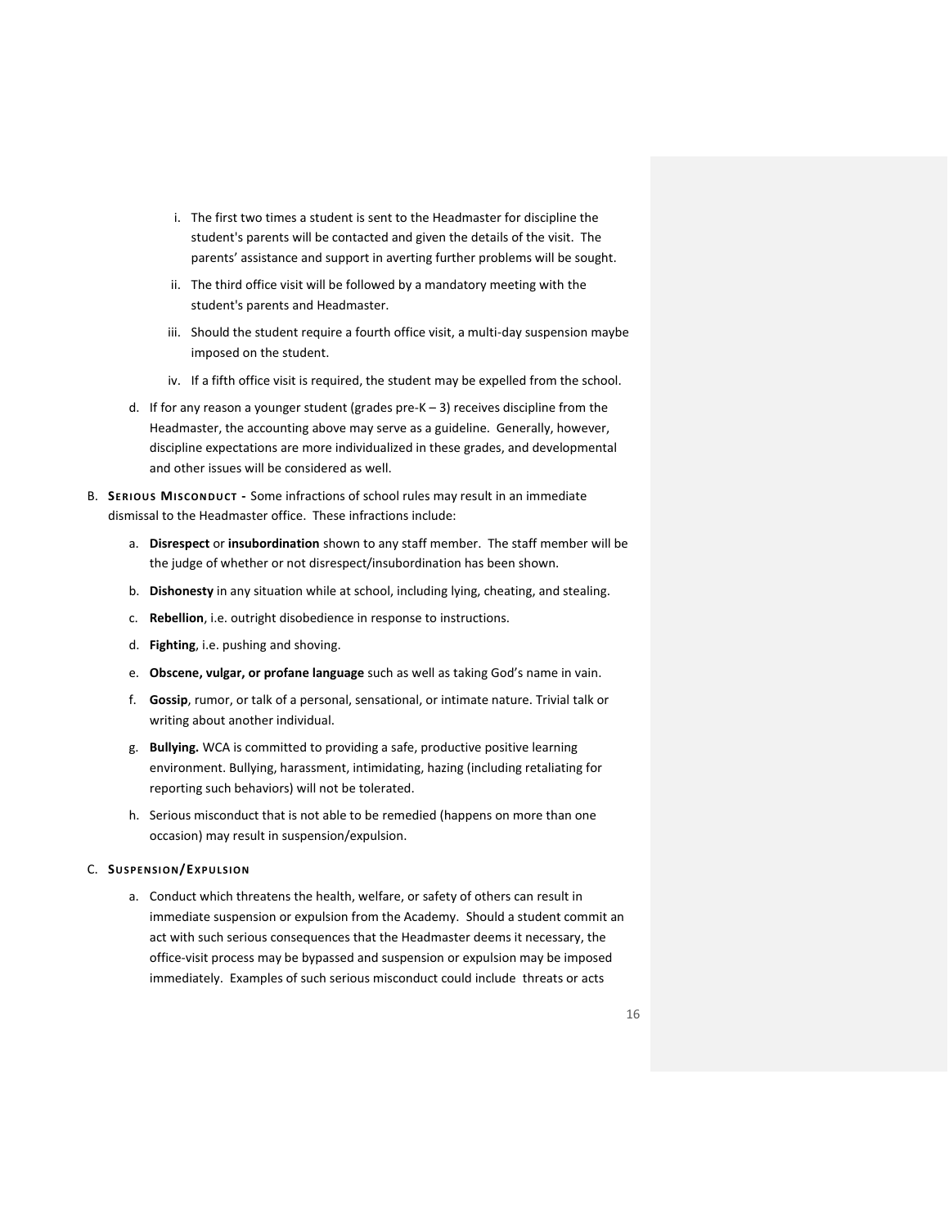- i. The first two times a student is sent to the Headmaster for discipline the student's parents will be contacted and given the details of the visit. The parents' assistance and support in averting further problems will be sought.
- ii. The third office visit will be followed by a mandatory meeting with the student's parents and Headmaster.
- iii. Should the student require a fourth office visit, a multi-day suspension maybe imposed on the student.
- iv. If a fifth office visit is required, the student may be expelled from the school.
- d. If for any reason a younger student (grades pre-K 3) receives discipline from the Headmaster, the accounting above may serve as a guideline. Generally, however, discipline expectations are more individualized in these grades, and developmental and other issues will be considered as well.
- B. **SERI OU S MI SC ONDUCT -** Some infractions of school rules may result in an immediate dismissal to the Headmaster office. These infractions include:
	- a. **Disrespect** or **insubordination** shown to any staff member. The staff member will be the judge of whether or not disrespect/insubordination has been shown.
	- b. **Dishonesty** in any situation while at school, including lying, cheating, and stealing.
	- c. **Rebellion**, i.e. outright disobedience in response to instructions.
	- d. **Fighting**, i.e. pushing and shoving.
	- e. **Obscene, vulgar, or profane language** such as well as taking God's name in vain.
	- f. **Gossip**, rumor, or talk of a personal, sensational, or intimate nature. Trivial talk or writing about another individual.
	- g. **Bullying.** WCA is committed to providing a safe, productive positive learning environment. Bullying, harassment, intimidating, hazing (including retaliating for reporting such behaviors) will not be tolerated.
	- h. Serious misconduct that is not able to be remedied (happens on more than one occasion) may result in suspension/expulsion.

#### C. **SUSPENSI ON/EX PU LSI ON**

a. Conduct which threatens the health, welfare, or safety of others can result in immediate suspension or expulsion from the Academy. Should a student commit an act with such serious consequences that the Headmaster deems it necessary, the office-visit process may be bypassed and suspension or expulsion may be imposed immediately. Examples of such serious misconduct could include threats or acts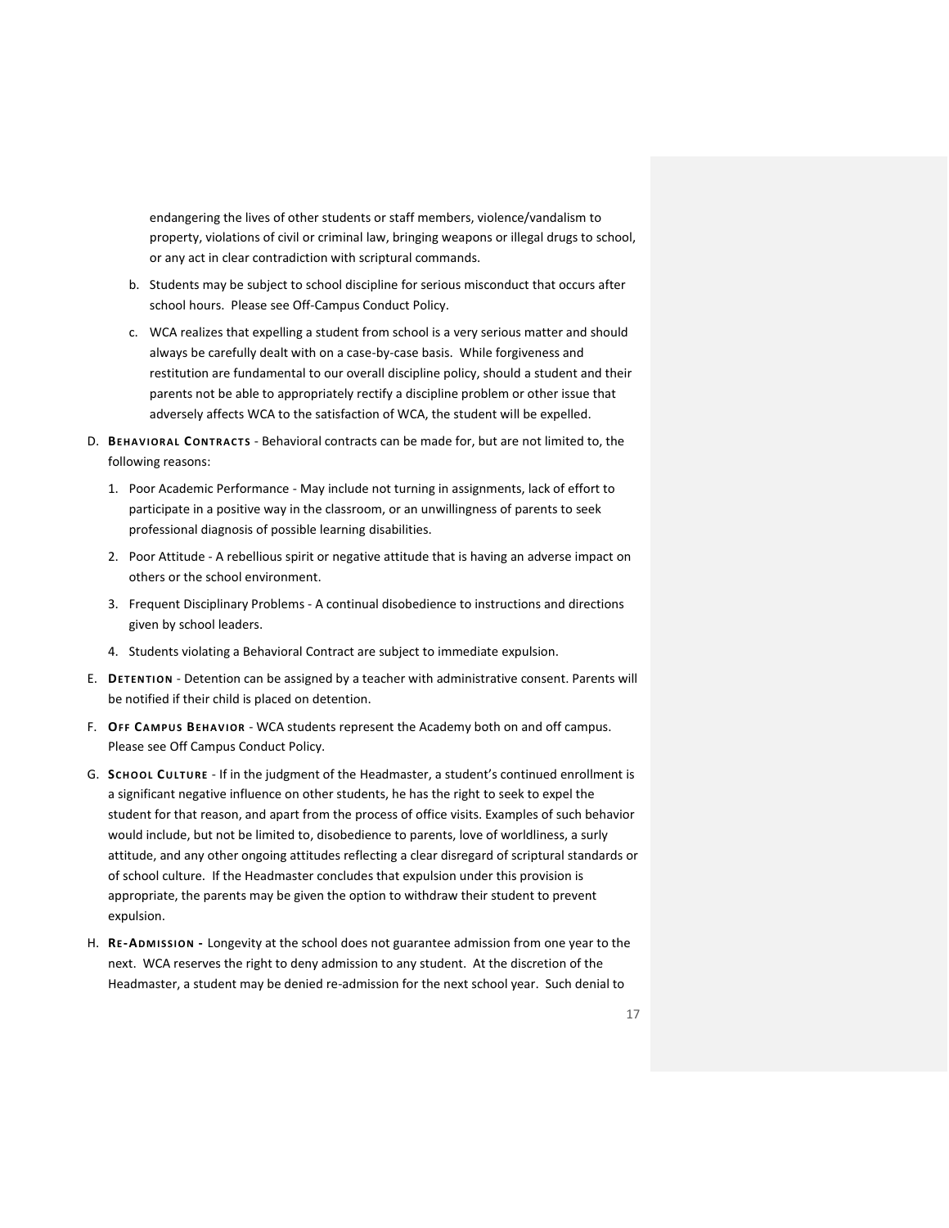endangering the lives of other students or staff members, violence/vandalism to property, violations of civil or criminal law, bringing weapons or illegal drugs to school, or any act in clear contradiction with scriptural commands.

- b. Students may be subject to school discipline for serious misconduct that occurs after school hours. Please see Off-Campus Conduct Policy.
- c. WCA realizes that expelling a student from school is a very serious matter and should always be carefully dealt with on a case-by-case basis. While forgiveness and restitution are fundamental to our overall discipline policy, should a student and their parents not be able to appropriately rectify a discipline problem or other issue that adversely affects WCA to the satisfaction of WCA, the student will be expelled.
- D. **BEHAV IOR AL CONTRAC T S** Behavioral contracts can be made for, but are not limited to, the following reasons:
	- 1. Poor Academic Performance May include not turning in assignments, lack of effort to participate in a positive way in the classroom, or an unwillingness of parents to seek professional diagnosis of possible learning disabilities.
	- 2. Poor Attitude A rebellious spirit or negative attitude that is having an adverse impact on others or the school environment.
	- 3. Frequent Disciplinary Problems A continual disobedience to instructions and directions given by school leaders.
	- 4. Students violating a Behavioral Contract are subject to immediate expulsion.
- E. **DETENTION** Detention can be assigned by a teacher with administrative consent. Parents will be notified if their child is placed on detention.
- F. **OFF CA MPU S BEHAV I OR** WCA students represent the Academy both on and off campus. Please see Off Campus Conduct Policy.
- G. **SCH OOL CU LTURE** If in the judgment of the Headmaster, a student's continued enrollment is a significant negative influence on other students, he has the right to seek to expel the student for that reason, and apart from the process of office visits. Examples of such behavior would include, but not be limited to, disobedience to parents, love of worldliness, a surly attitude, and any other ongoing attitudes reflecting a clear disregard of scriptural standards or of school culture. If the Headmaster concludes that expulsion under this provision is appropriate, the parents may be given the option to withdraw their student to prevent expulsion.
- H. **RE-ADM ISSI ON -** Longevity at the school does not guarantee admission from one year to the next. WCA reserves the right to deny admission to any student. At the discretion of the Headmaster, a student may be denied re-admission for the next school year. Such denial to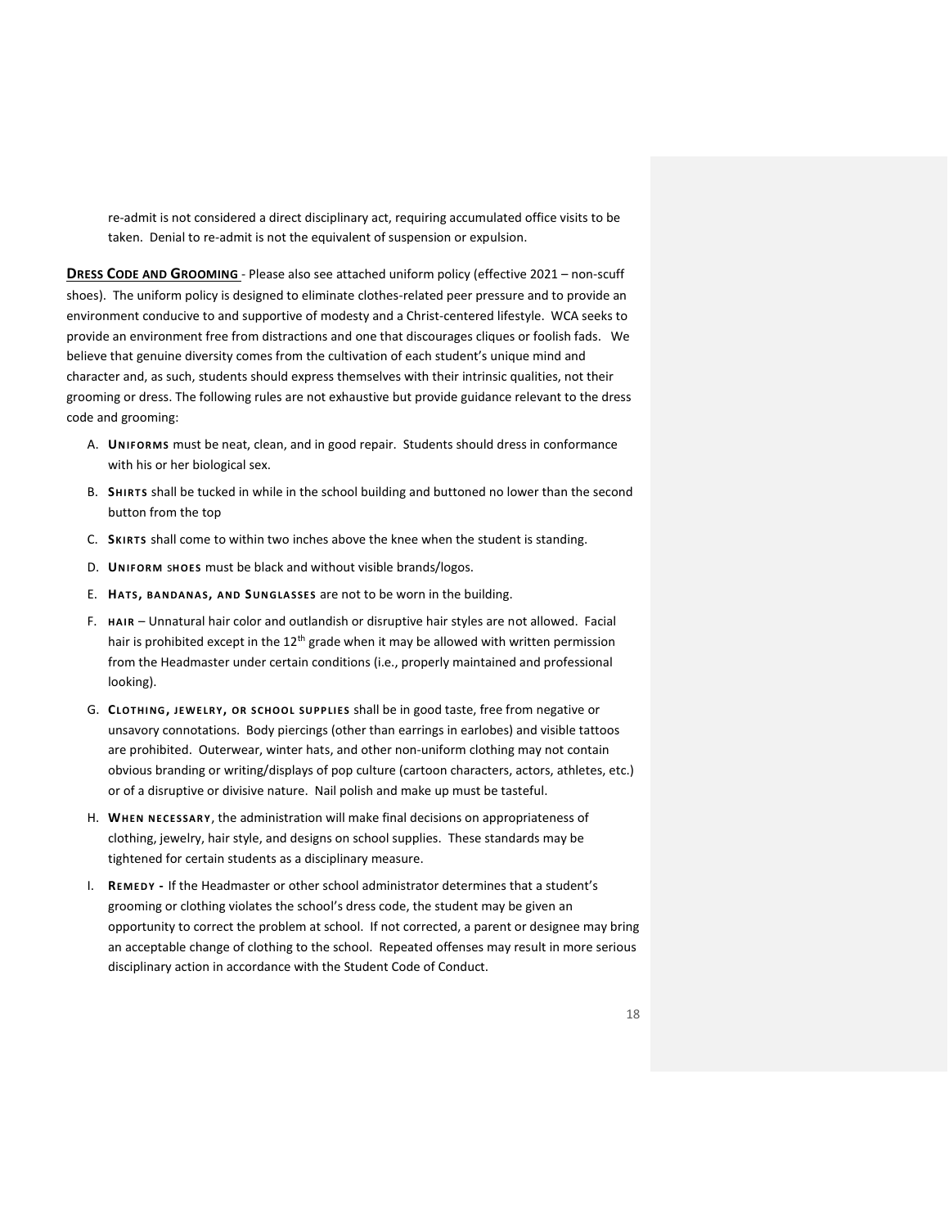re-admit is not considered a direct disciplinary act, requiring accumulated office visits to be taken. Denial to re-admit is not the equivalent of suspension or expulsion.

<span id="page-17-0"></span>**DRESS CODE AND GROOMING** - Please also see attached uniform policy (effective 2021 – non-scuff shoes). The uniform policy is designed to eliminate clothes-related peer pressure and to provide an environment conducive to and supportive of modesty and a Christ-centered lifestyle. WCA seeks to provide an environment free from distractions and one that discourages cliques or foolish fads. We believe that genuine diversity comes from the cultivation of each student's unique mind and character and, as such, students should express themselves with their intrinsic qualities, not their grooming or dress. The following rules are not exhaustive but provide guidance relevant to the dress code and grooming:

- A. **UNIFOR MS** must be neat, clean, and in good repair. Students should dress in conformance with his or her biological sex.
- B. **SHIRTS** shall be tucked in while in the school building and buttoned no lower than the second button from the top
- C. **SKIRT S** shall come to within two inches above the knee when the student is standing.
- D. **UNIFORM SHOES** must be black and without visible brands/logos.
- E. **HAT S, BA NDA NA S, AND SUNGLA SSES** are not to be worn in the building.
- F. **HAIR** Unnatural hair color and outlandish or disruptive hair styles are not allowed. Facial hair is prohibited except in the  $12<sup>th</sup>$  grade when it may be allowed with written permission from the Headmaster under certain conditions (i.e., properly maintained and professional looking).
- G. **CLOT HI NG, JEWE LR Y, OR SC HOOL SU PP LIE S** shall be in good taste, free from negative or unsavory connotations. Body piercings (other than earrings in earlobes) and visible tattoos are prohibited. Outerwear, winter hats, and other non-uniform clothing may not contain obvious branding or writing/displays of pop culture (cartoon characters, actors, athletes, etc.) or of a disruptive or divisive nature. Nail polish and make up must be tasteful.
- H. **WHEN NE CESSAR Y**, the administration will make final decisions on appropriateness of clothing, jewelry, hair style, and designs on school supplies. These standards may be tightened for certain students as a disciplinary measure.
- I. **REMED Y -** If the Headmaster or other school administrator determines that a student's grooming or clothing violates the school's dress code, the student may be given an opportunity to correct the problem at school. If not corrected, a parent or designee may bring an acceptable change of clothing to the school. Repeated offenses may result in more serious disciplinary action in accordance with the Student Code of Conduct.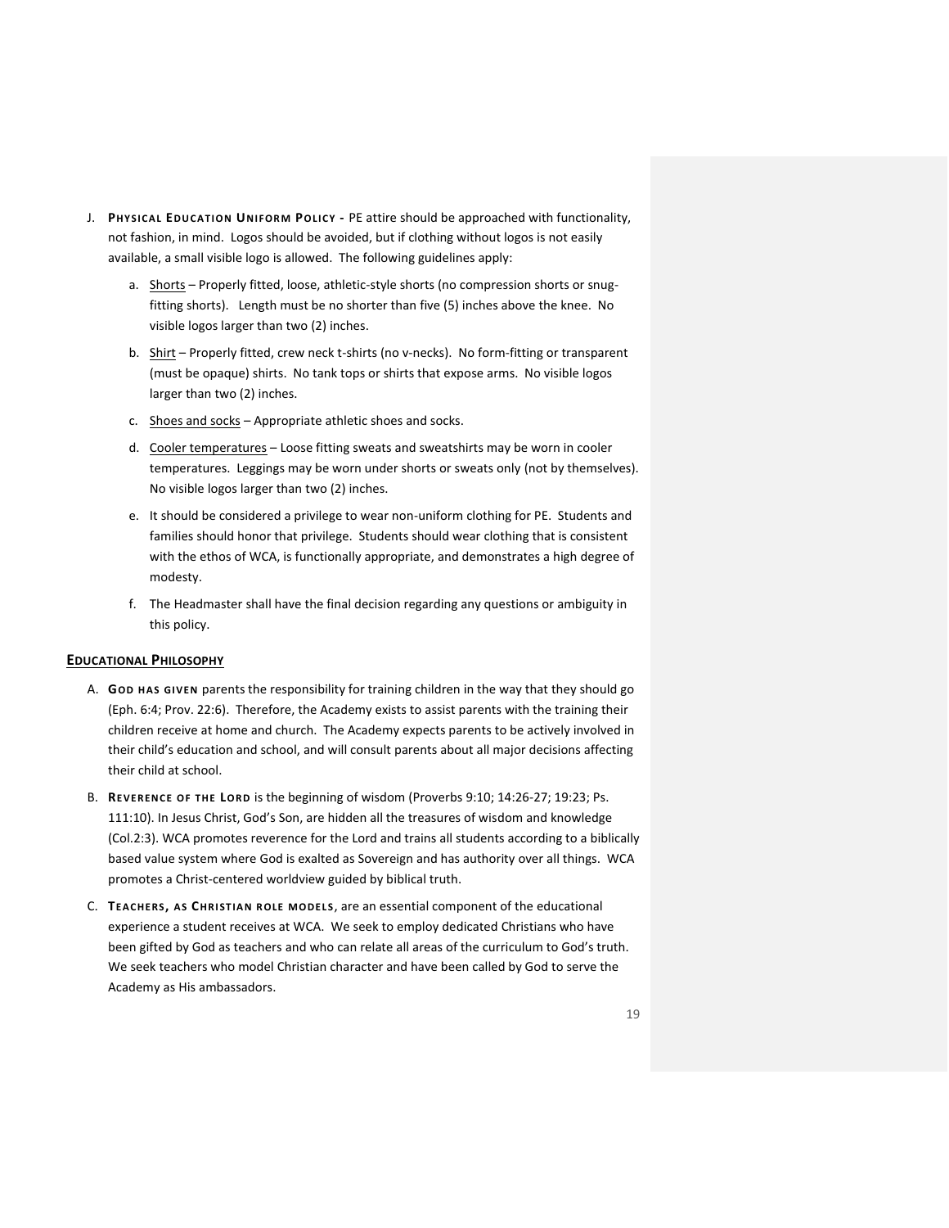- J. **PHYSICA L EDU CA TI ON UNI FOR M POLIC Y -** PE attire should be approached with functionality, not fashion, in mind. Logos should be avoided, but if clothing without logos is not easily available, a small visible logo is allowed. The following guidelines apply:
	- a. Shorts Properly fitted, loose, athletic-style shorts (no compression shorts or snugfitting shorts). Length must be no shorter than five (5) inches above the knee. No visible logos larger than two (2) inches.
	- b. Shirt Properly fitted, crew neck t-shirts (no v-necks). No form-fitting or transparent (must be opaque) shirts. No tank tops or shirts that expose arms. No visible logos larger than two (2) inches.
	- c. Shoes and socks Appropriate athletic shoes and socks.
	- d. Cooler temperatures Loose fitting sweats and sweatshirts may be worn in cooler temperatures. Leggings may be worn under shorts or sweats only (not by themselves). No visible logos larger than two (2) inches.
	- e. It should be considered a privilege to wear non-uniform clothing for PE. Students and families should honor that privilege. Students should wear clothing that is consistent with the ethos of WCA, is functionally appropriate, and demonstrates a high degree of modesty.
	- f. The Headmaster shall have the final decision regarding any questions or ambiguity in this policy.

#### <span id="page-18-0"></span>**EDUCATIONAL PHILOSOPHY**

- A. **GOD HAS GIVEN** parents the responsibility for training children in the way that they should go (Eph. 6:4; Prov. 22:6). Therefore, the Academy exists to assist parents with the training their children receive at home and church. The Academy expects parents to be actively involved in their child's education and school, and will consult parents about all major decisions affecting their child at school.
- B. **REVERENCE OF THE LOR D** is the beginning of wisdom (Proverbs 9:10; 14:26-27; 19:23; Ps. 111:10). In Jesus Christ, God's Son, are hidden all the treasures of wisdom and knowledge (Col.2:3). WCA promotes reverence for the Lord and trains all students according to a biblically based value system where God is exalted as Sovereign and has authority over all things. WCA promotes a Christ-centered worldview guided by biblical truth.
- C. **TEACHERS, A S CHR I ST IA N R OLE M ODE LS**, are an essential component of the educational experience a student receives at WCA. We seek to employ dedicated Christians who have been gifted by God as teachers and who can relate all areas of the curriculum to God's truth. We seek teachers who model Christian character and have been called by God to serve the Academy as His ambassadors.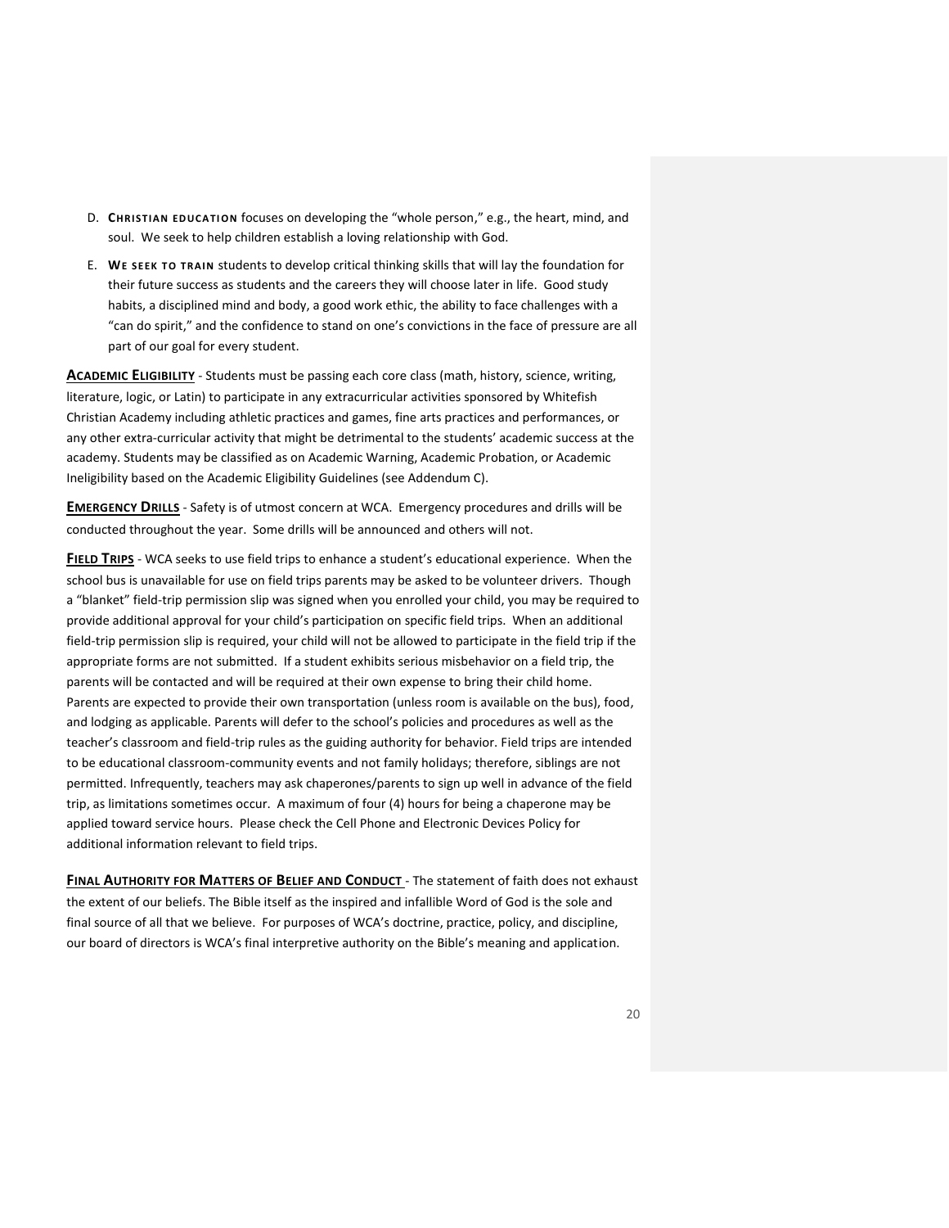- D. **CHRISTIAN EDUCATION** focuses on developing the "whole person," e.g., the heart, mind, and soul. We seek to help children establish a loving relationship with God.
- E. WE SEEK TO TRAIN students to develop critical thinking skills that will lay the foundation for their future success as students and the careers they will choose later in life. Good study habits, a disciplined mind and body, a good work ethic, the ability to face challenges with a "can do spirit," and the confidence to stand on one's convictions in the face of pressure are all part of our goal for every student.

<span id="page-19-0"></span>**ACADEMIC ELIGIBILITY** - Students must be passing each core class (math, history, science, writing, literature, logic, or Latin) to participate in any extracurricular activities sponsored by Whitefish Christian Academy including athletic practices and games, fine arts practices and performances, or any other extra-curricular activity that might be detrimental to the students' academic success at the academy. Students may be classified as on Academic Warning, Academic Probation, or Academic Ineligibility based on the Academic Eligibility Guidelines (see Addendum C).

<span id="page-19-1"></span>**EMERGENCY DRILLS** - Safety is of utmost concern at WCA. Emergency procedures and drills will be conducted throughout the year. Some drills will be announced and others will not.

<span id="page-19-2"></span>**FIELD TRIPS** - WCA seeks to use field trips to enhance a student's educational experience. When the school bus is unavailable for use on field trips parents may be asked to be volunteer drivers. Though a "blanket" field-trip permission slip was signed when you enrolled your child, you may be required to provide additional approval for your child's participation on specific field trips. When an additional field-trip permission slip is required, your child will not be allowed to participate in the field trip if the appropriate forms are not submitted. If a student exhibits serious misbehavior on a field trip, the parents will be contacted and will be required at their own expense to bring their child home. Parents are expected to provide their own transportation (unless room is available on the bus), food, and lodging as applicable. Parents will defer to the school's policies and procedures as well as the teacher's classroom and field-trip rules as the guiding authority for behavior. Field trips are intended to be educational classroom-community events and not family holidays; therefore, siblings are not permitted. Infrequently, teachers may ask chaperones/parents to sign up well in advance of the field trip, as limitations sometimes occur. A maximum of four (4) hours for being a chaperone may be applied toward service hours. Please check the Cell Phone and Electronic Devices Policy for additional information relevant to field trips.

<span id="page-19-4"></span><span id="page-19-3"></span>**FINAL AUTHORITY FOR MATTERS OF BELIEF AND CONDUCT** - The statement of faith does not exhaust the extent of our beliefs. The Bible itself as the inspired and infallible Word of God is the sole and final source of all that we believe. For purposes of WCA's doctrine, practice, policy, and discipline, our board of directors is WCA's final interpretive authority on the Bible's meaning and application.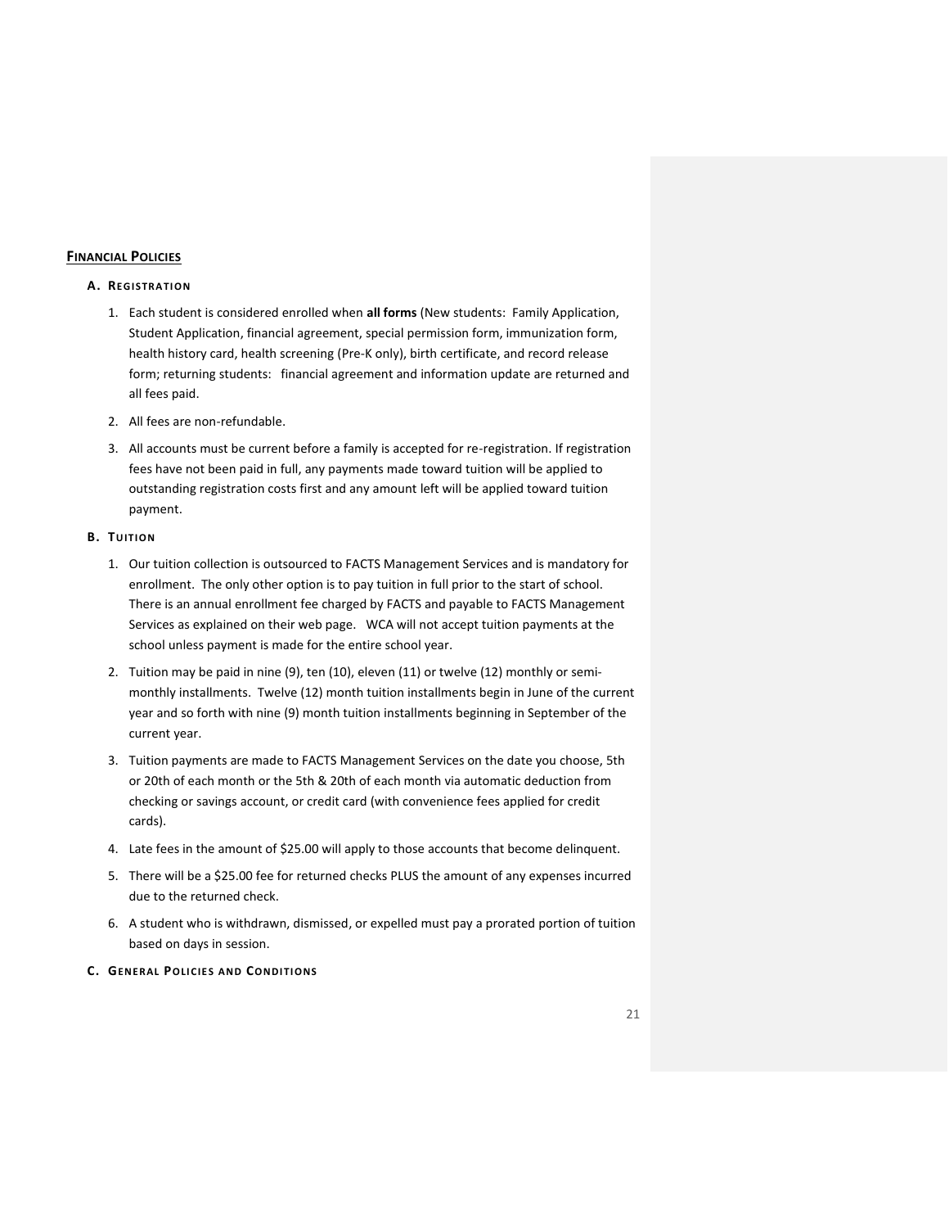## **FINANCIAL POLICIES**

#### **A. REGISTRATION**

- 1. Each student is considered enrolled when **all forms** (New students: Family Application, Student Application, financial agreement, special permission form, immunization form, health history card, health screening (Pre-K only), birth certificate, and record release form; returning students: financial agreement and information update are returned and all fees paid.
- 2. All fees are non-refundable.
- 3. All accounts must be current before a family is accepted for re-registration. If registration fees have not been paid in full, any payments made toward tuition will be applied to outstanding registration costs first and any amount left will be applied toward tuition payment.

## **B. TUITION**

- 1. Our tuition collection is outsourced to FACTS Management Services and is mandatory for enrollment. The only other option is to pay tuition in full prior to the start of school. There is an annual enrollment fee charged by FACTS and payable to FACTS Management Services as explained on their web page. WCA will not accept tuition payments at the school unless payment is made for the entire school year.
- 2. Tuition may be paid in nine (9), ten (10), eleven (11) or twelve (12) monthly or semimonthly installments. Twelve (12) month tuition installments begin in June of the current year and so forth with nine (9) month tuition installments beginning in September of the current year.
- 3. Tuition payments are made to FACTS Management Services on the date you choose, 5th or 20th of each month or the 5th & 20th of each month via automatic deduction from checking or savings account, or credit card (with convenience fees applied for credit cards).
- 4. Late fees in the amount of \$25.00 will apply to those accounts that become delinquent.
- 5. There will be a \$25.00 fee for returned checks PLUS the amount of any expenses incurred due to the returned check.
- 6. A student who is withdrawn, dismissed, or expelled must pay a prorated portion of tuition based on days in session.

## **C. GENERAL POLI CIE S A ND CONDI TI ONS**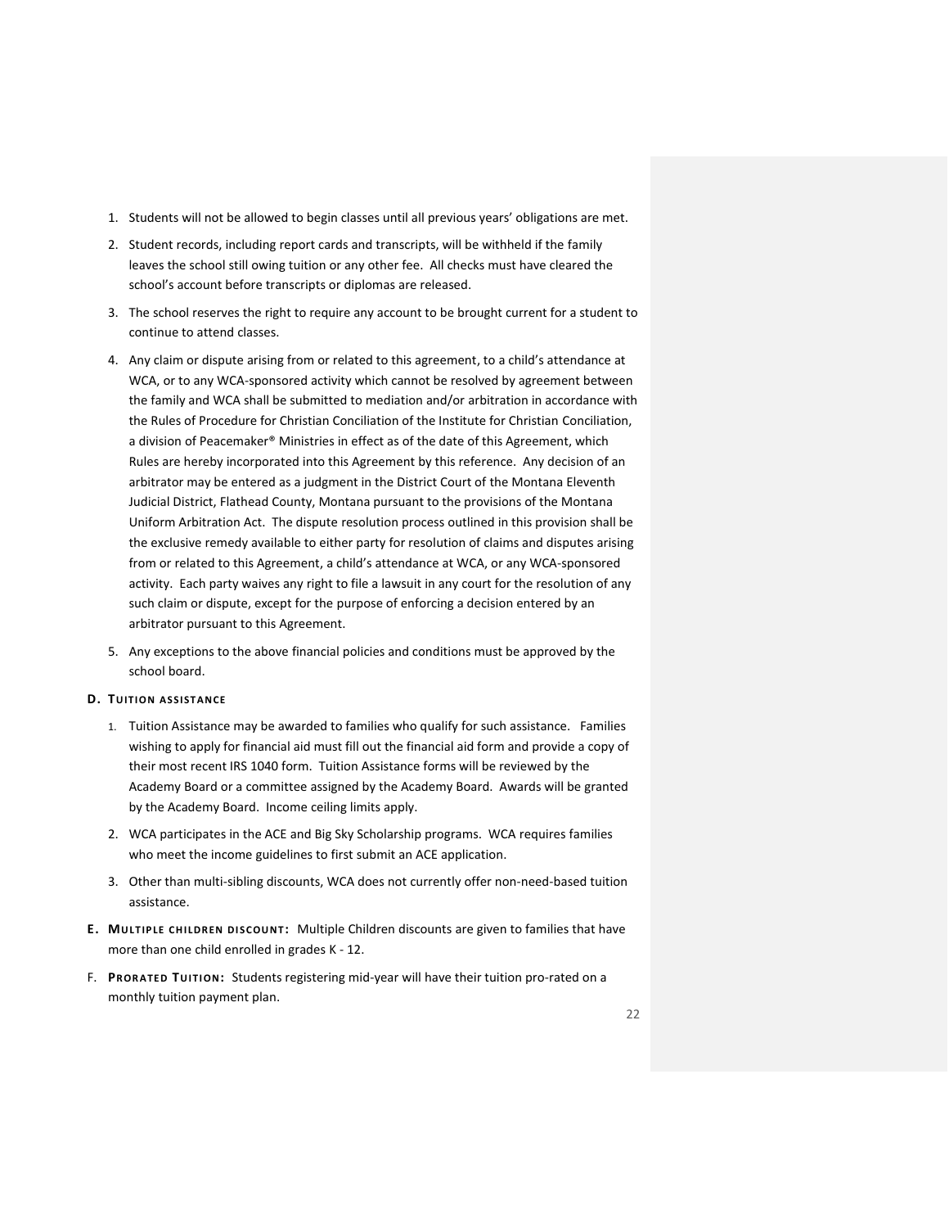- 1. Students will not be allowed to begin classes until all previous years' obligations are met.
- 2. Student records, including report cards and transcripts, will be withheld if the family leaves the school still owing tuition or any other fee. All checks must have cleared the school's account before transcripts or diplomas are released.
- 3. The school reserves the right to require any account to be brought current for a student to continue to attend classes.
- 4. Any claim or dispute arising from or related to this agreement, to a child's attendance at WCA, or to any WCA-sponsored activity which cannot be resolved by agreement between the family and WCA shall be submitted to mediation and/or arbitration in accordance with the Rules of Procedure for Christian Conciliation of the Institute for Christian Conciliation, a division of Peacemaker® Ministries in effect as of the date of this Agreement, which Rules are hereby incorporated into this Agreement by this reference. Any decision of an arbitrator may be entered as a judgment in the District Court of the Montana Eleventh Judicial District, Flathead County, Montana pursuant to the provisions of the Montana Uniform Arbitration Act. The dispute resolution process outlined in this provision shall be the exclusive remedy available to either party for resolution of claims and disputes arising from or related to this Agreement, a child's attendance at WCA, or any WCA-sponsored activity. Each party waives any right to file a lawsuit in any court for the resolution of any such claim or dispute, except for the purpose of enforcing a decision entered by an arbitrator pursuant to this Agreement.
- 5. Any exceptions to the above financial policies and conditions must be approved by the school board.

#### **D.** TUITION ASSISTANCE

- 1. Tuition Assistance may be awarded to families who qualify for such assistance. Families wishing to apply for financial aid must fill out the financial aid form and provide a copy of their most recent IRS 1040 form. Tuition Assistance forms will be reviewed by the Academy Board or a committee assigned by the Academy Board. Awards will be granted by the Academy Board. Income ceiling limits apply.
- 2. WCA participates in the ACE and Big Sky Scholarship programs. WCA requires families who meet the income guidelines to first submit an ACE application.
- 3. Other than multi-sibling discounts, WCA does not currently offer non-need-based tuition assistance.
- **E. MU LT IP LE C HI LDREN DI SCOU NT :** Multiple Children discounts are given to families that have more than one child enrolled in grades K - 12.
- F. PRORATED TUITION: Students registering mid-year will have their tuition pro-rated on a monthly tuition payment plan.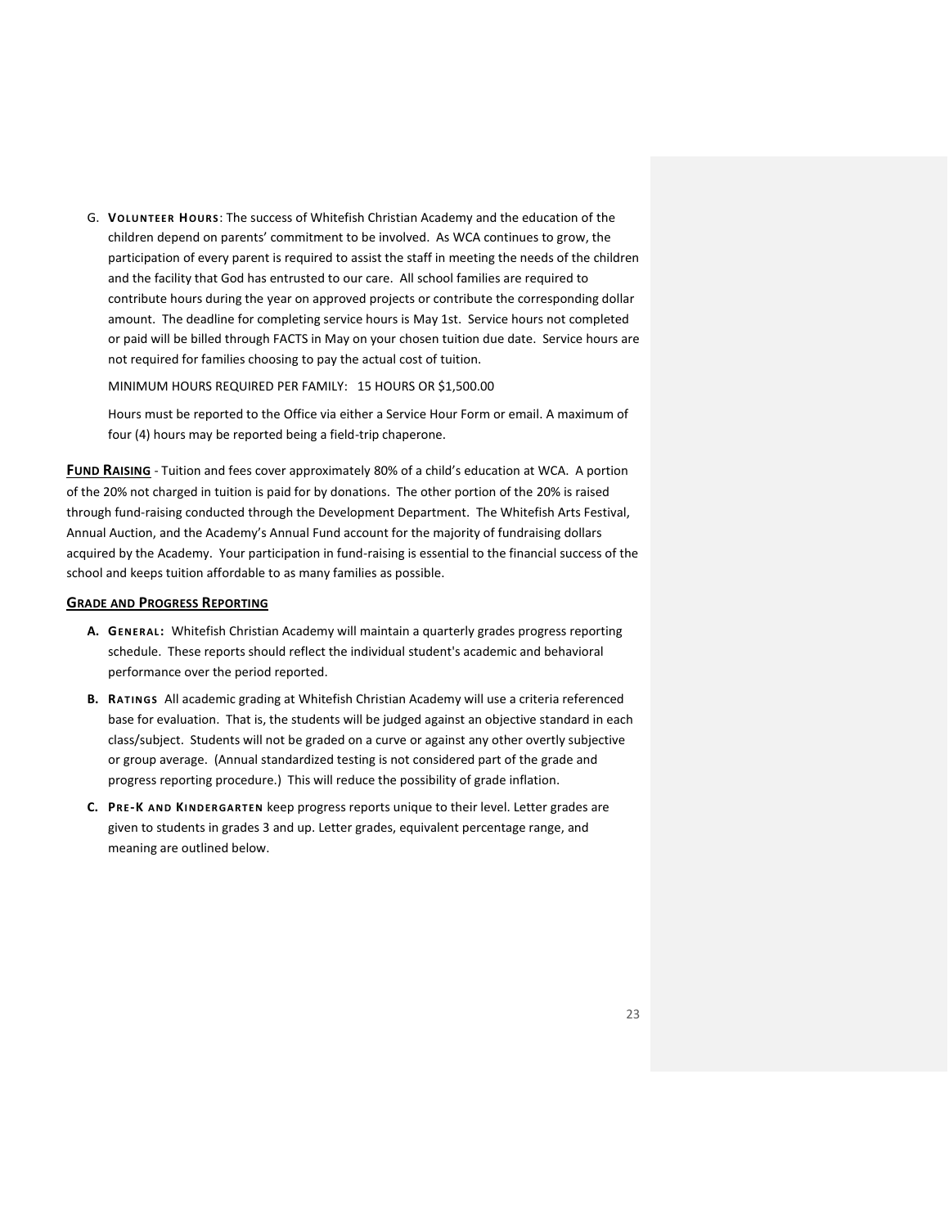G. **VOLU NTEER HOURS**: The success of Whitefish Christian Academy and the education of the children depend on parents' commitment to be involved. As WCA continues to grow, the participation of every parent is required to assist the staff in meeting the needs of the children and the facility that God has entrusted to our care. All school families are required to contribute hours during the year on approved projects or contribute the corresponding dollar amount. The deadline for completing service hours is May 1st. Service hours not completed or paid will be billed through FACTS in May on your chosen tuition due date. Service hours are not required for families choosing to pay the actual cost of tuition.

MINIMUM HOURS REQUIRED PER FAMILY: 15 HOURS OR \$1,500.00

Hours must be reported to the Office via either a Service Hour Form or email. A maximum of four (4) hours may be reported being a field-trip chaperone.

<span id="page-22-0"></span>**FUND RAISING** - Tuition and fees cover approximately 80% of a child's education at WCA. A portion of the 20% not charged in tuition is paid for by donations. The other portion of the 20% is raised through fund-raising conducted through the Development Department. The Whitefish Arts Festival, Annual Auction, and the Academy's Annual Fund account for the majority of fundraising dollars acquired by the Academy. Your participation in fund-raising is essential to the financial success of the school and keeps tuition affordable to as many families as possible.

#### <span id="page-22-1"></span>**GRADE AND PROGRESS REPORTING**

- **A. GENERAL:** Whitefish Christian Academy will maintain a quarterly grades progress reporting schedule. These reports should reflect the individual student's academic and behavioral performance over the period reported.
- **B. RAT INGS** All academic grading at Whitefish Christian Academy will use a criteria referenced base for evaluation. That is, the students will be judged against an objective standard in each class/subject. Students will not be graded on a curve or against any other overtly subjective or group average. (Annual standardized testing is not considered part of the grade and progress reporting procedure.) This will reduce the possibility of grade inflation.
- **C. PRE-K AND KI NDER GART EN** keep progress reports unique to their level. Letter grades are given to students in grades 3 and up. Letter grades, equivalent percentage range, and meaning are outlined below.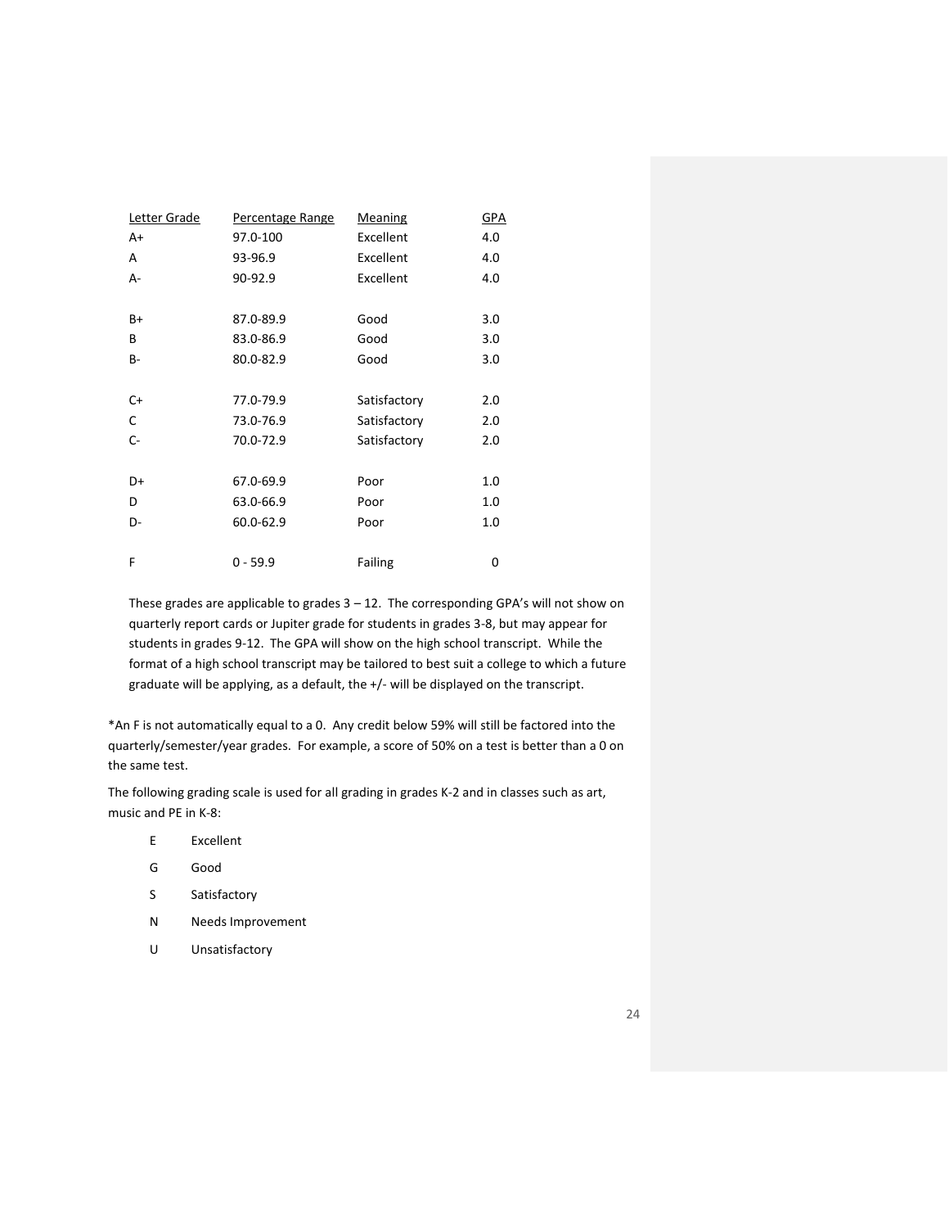| Letter Grade | Percentage Range | <b>Meaning</b> | <b>GPA</b> |
|--------------|------------------|----------------|------------|
| A+           | 97.0-100         | Excellent      | 4.0        |
| A            | 93-96.9          | Excellent      | 4.0        |
| А-           | 90-92.9          | Excellent      | 4.0        |
|              |                  |                |            |
| B+           | 87.0-89.9        | Good           | 3.0        |
| B            | 83.0-86.9        | Good           | 3.0        |
| B-           | 80.0-82.9        | Good           | 3.0        |
|              |                  |                |            |
| $C+$         | 77.0-79.9        | Satisfactory   | 2.0        |
| C            | 73.0-76.9        | Satisfactory   | 2.0        |
| $C -$        | 70.0-72.9        | Satisfactory   | 2.0        |
|              |                  |                |            |
| D+           | 67.0-69.9        | Poor           | 1.0        |
| D            | 63.0-66.9        | Poor           | 1.0        |
| D-           | 60.0-62.9        | Poor           | 1.0        |
|              |                  |                |            |
| F            | $0 - 59.9$       | Failing        | 0          |

These grades are applicable to grades  $3 - 12$ . The corresponding GPA's will not show on quarterly report cards or Jupiter grade for students in grades 3-8, but may appear for students in grades 9-12. The GPA will show on the high school transcript. While the format of a high school transcript may be tailored to best suit a college to which a future graduate will be applying, as a default, the +/- will be displayed on the transcript.

\*An F is not automatically equal to a 0. Any credit below 59% will still be factored into the quarterly/semester/year grades. For example, a score of 50% on a test is better than a 0 on the same test.

The following grading scale is used for all grading in grades K-2 and in classes such as art, music and PE in K-8:

- E Excellent
- G Good
- S Satisfactory
- N Needs Improvement
- U Unsatisfactory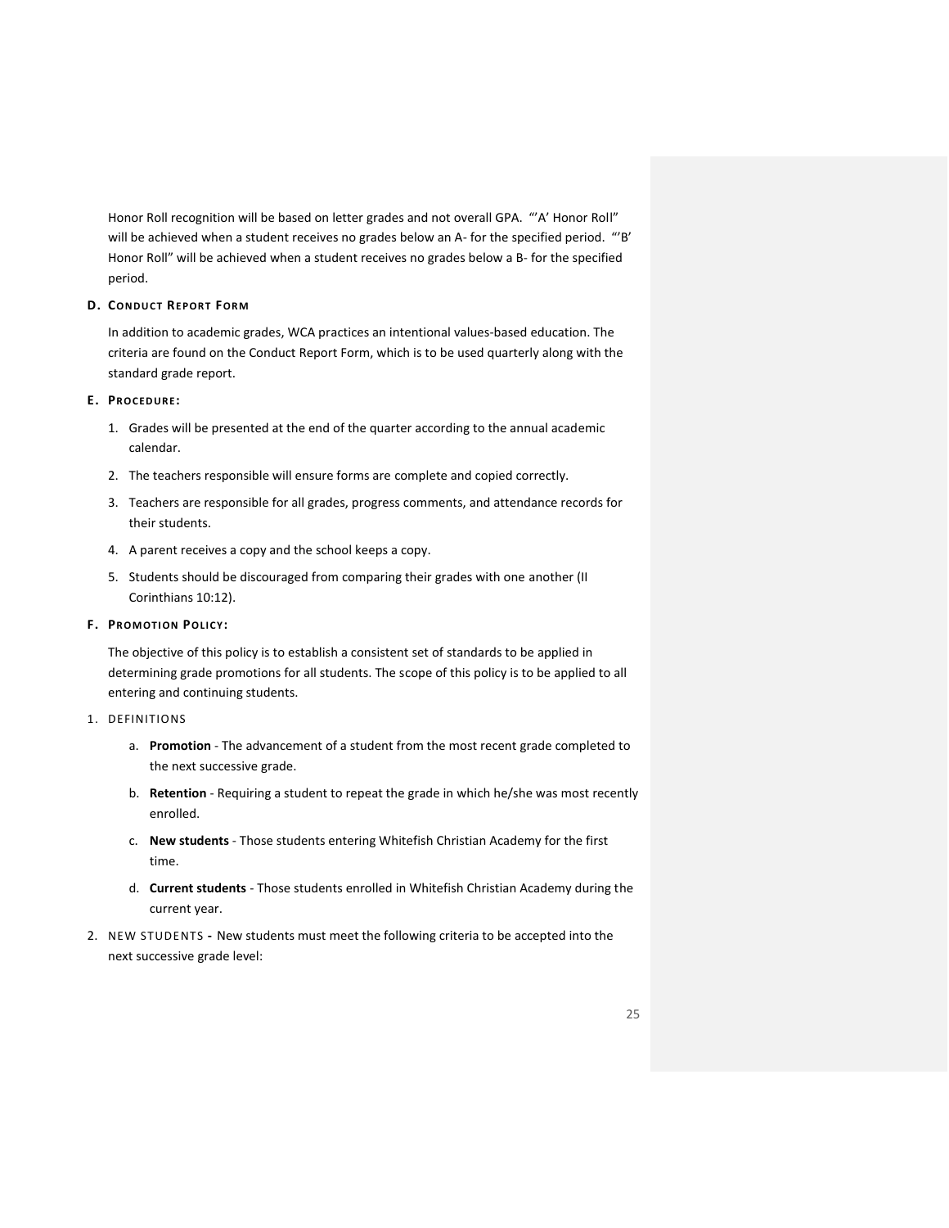Honor Roll recognition will be based on letter grades and not overall GPA. "'A' Honor Roll" will be achieved when a student receives no grades below an A- for the specified period. "'B' Honor Roll" will be achieved when a student receives no grades below a B- for the specified period.

## **D. CONDUCT REPORT FORM**

In addition to academic grades, WCA practices an intentional values-based education. The criteria are found on the Conduct Report Form, which is to be used quarterly along with the standard grade report.

#### **E. PROCEDURE:**

- 1. Grades will be presented at the end of the quarter according to the annual academic calendar.
- 2. The teachers responsible will ensure forms are complete and copied correctly.
- 3. Teachers are responsible for all grades, progress comments, and attendance records for their students.
- 4. A parent receives a copy and the school keeps a copy.
- 5. Students should be discouraged from comparing their grades with one another (II Corinthians 10:12).

## $F.$  **PROMOTION POLICY:**

The objective of this policy is to establish a consistent set of standards to be applied in determining grade promotions for all students. The scope of this policy is to be applied to all entering and continuing students.

- 1. DEFINITIONS
	- a. **Promotion** The advancement of a student from the most recent grade completed to the next successive grade.
	- b. **Retention** Requiring a student to repeat the grade in which he/she was most recently enrolled.
	- c. **New students** Those students entering Whitefish Christian Academy for the first time.
	- d. **Current students** Those students enrolled in Whitefish Christian Academy during the current year.
- 2. NEW STUDENTS **-** New students must meet the following criteria to be accepted into the next successive grade level: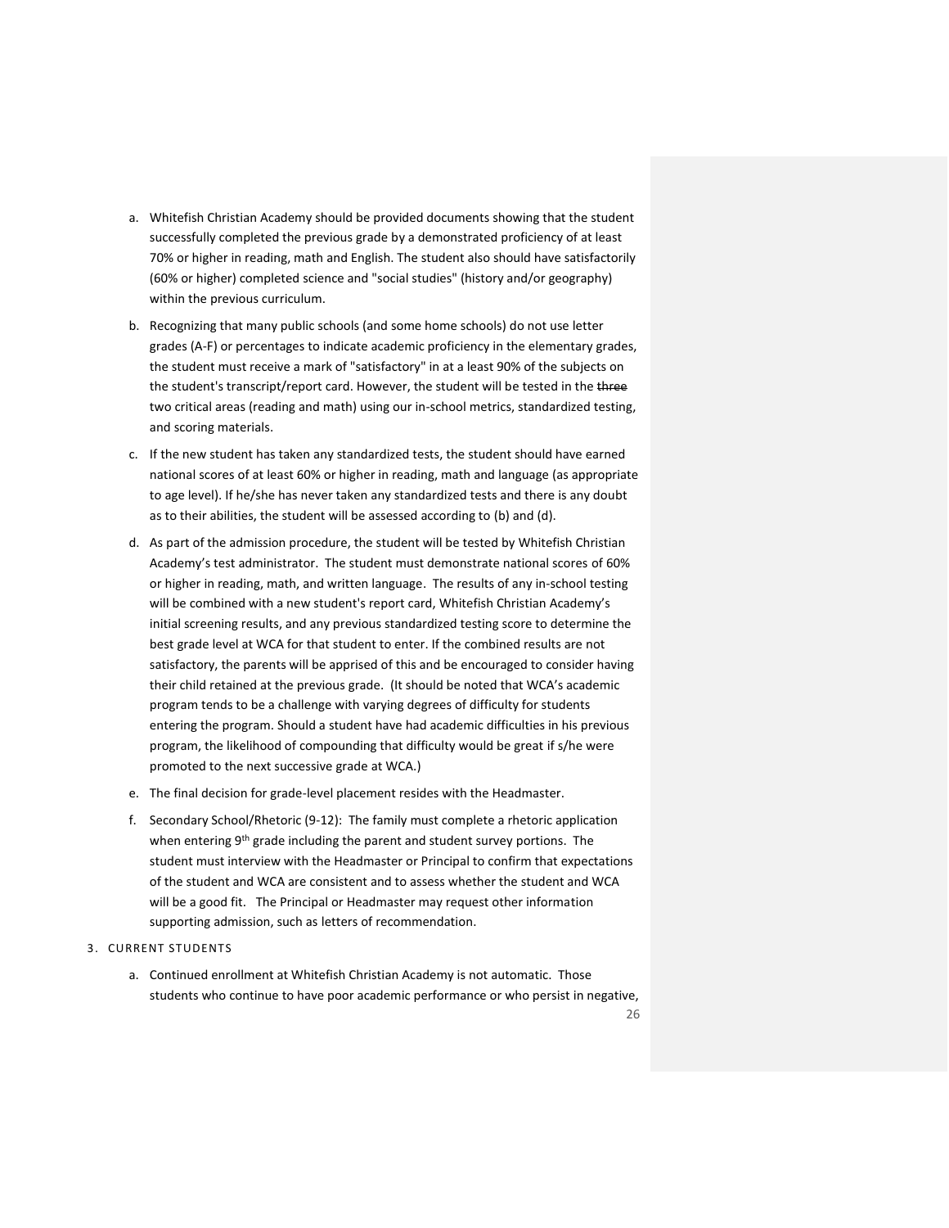- a. Whitefish Christian Academy should be provided documents showing that the student successfully completed the previous grade by a demonstrated proficiency of at least 70% or higher in reading, math and English. The student also should have satisfactorily (60% or higher) completed science and "social studies" (history and/or geography) within the previous curriculum.
- b. Recognizing that many public schools (and some home schools) do not use letter grades (A-F) or percentages to indicate academic proficiency in the elementary grades, the student must receive a mark of "satisfactory" in at a least 90% of the subjects on the student's transcript/report card. However, the student will be tested in the three two critical areas (reading and math) using our in-school metrics, standardized testing, and scoring materials.
- c. If the new student has taken any standardized tests, the student should have earned national scores of at least 60% or higher in reading, math and language (as appropriate to age level). If he/she has never taken any standardized tests and there is any doubt as to their abilities, the student will be assessed according to (b) and (d).
- d. As part of the admission procedure, the student will be tested by Whitefish Christian Academy's test administrator. The student must demonstrate national scores of 60% or higher in reading, math, and written language. The results of any in-school testing will be combined with a new student's report card, Whitefish Christian Academy's initial screening results, and any previous standardized testing score to determine the best grade level at WCA for that student to enter. If the combined results are not satisfactory, the parents will be apprised of this and be encouraged to consider having their child retained at the previous grade. (It should be noted that WCA's academic program tends to be a challenge with varying degrees of difficulty for students entering the program. Should a student have had academic difficulties in his previous program, the likelihood of compounding that difficulty would be great if s/he were promoted to the next successive grade at WCA.)
- e. The final decision for grade-level placement resides with the Headmaster.
- f. Secondary School/Rhetoric (9-12): The family must complete a rhetoric application when entering 9<sup>th</sup> grade including the parent and student survey portions. The student must interview with the Headmaster or Principal to confirm that expectations of the student and WCA are consistent and to assess whether the student and WCA will be a good fit. The Principal or Headmaster may request other information supporting admission, such as letters of recommendation.
- 3. CURRENT STUDENTS
	- a. Continued enrollment at Whitefish Christian Academy is not automatic. Those students who continue to have poor academic performance or who persist in negative,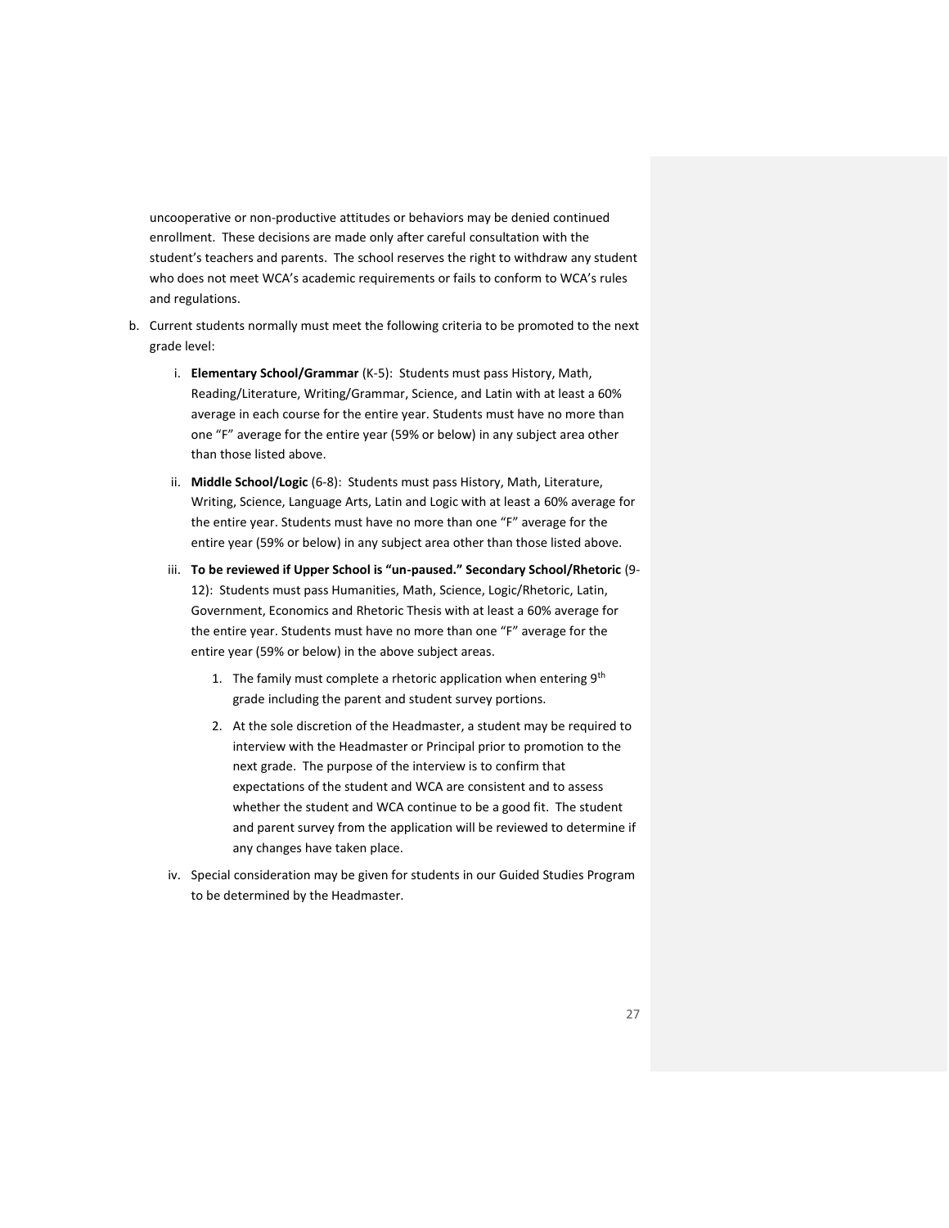uncooperative or non-productive attitudes or behaviors may be denied continued enrollment. These decisions are made only after careful consultation with the student's teachers and parents. The school reserves the right to withdraw any student who does not meet WCA's academic requirements or fails to conform to WCA's rules and regulations.

- <span id="page-26-0"></span>b. Current students normally must meet the following criteria to be promoted to the next grade level:
	- i. **Elementary School/Grammar** (K-5): Students must pass History, Math, Reading/Literature, Writing/Grammar, Science, and Latin with at least a 60% average in each course for the entire year. Students must have no more than one "F" average for the entire year (59% or below) in any subject area other than those listed above.
	- ii. **Middle School/Logic** (6-8): Students must pass History, Math, Literature, Writing, Science, Language Arts, Latin and Logic with at least a 60% average for the entire year. Students must have no more than one "F" average for the entire year (59% or below) in any subject area other than those listed above.
	- iii. **To be reviewed if Upper School is "un-paused." Secondary School/Rhetoric** (9- 12): Students must pass Humanities, Math, Science, Logic/Rhetoric, Latin, Government, Economics and Rhetoric Thesis with at least a 60% average for the entire year. Students must have no more than one "F" average for the entire year (59% or below) in the above subject areas.
		- 1. The family must complete a rhetoric application when entering  $9<sup>th</sup>$ grade including the parent and student survey portions.
		- 2. At the sole discretion of the Headmaster, a student may be required to interview with the Headmaster or Principal prior to promotion to the next grade. The purpose of the interview is to confirm that expectations of the student and WCA are consistent and to assess whether the student and WCA continue to be a good fit. The student and parent survey from the application will be reviewed to determine if any changes have taken place.
	- iv. Special consideration may be given for students in our Guided Studies Program to be determined by the Headmaster.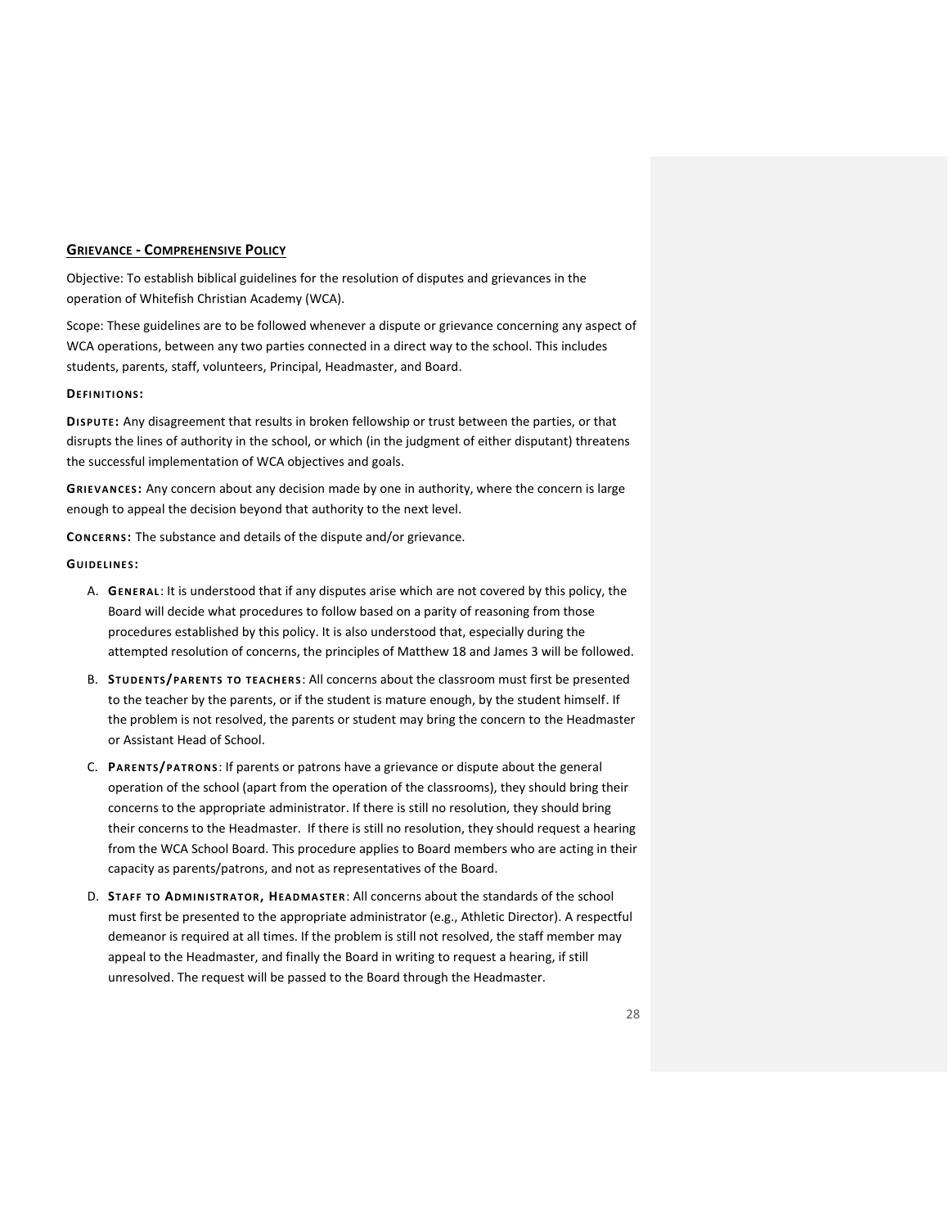## **GRIEVANCE - COMPREHENSIVE POLICY**

Objective: To establish biblical guidelines for the resolution of disputes and grievances in the operation of Whitefish Christian Academy (WCA).

Scope: These guidelines are to be followed whenever a dispute or grievance concerning any aspect of WCA operations, between any two parties connected in a direct way to the school. This includes students, parents, staff, volunteers, Principal, Headmaster, and Board.

#### **DEFI NI TI ONS:**

**DI SPU TE:** Any disagreement that results in broken fellowship or trust between the parties, or that disrupts the lines of authority in the school, or which (in the judgment of either disputant) threatens the successful implementation of WCA objectives and goals.

**GRIEVANCES:** Any concern about any decision made by one in authority, where the concern is large enough to appeal the decision beyond that authority to the next level.

**CONCERNS:** The substance and details of the dispute and/or grievance.

#### **GUIDE LINE S:**

- A. **GENERAL**: It is understood that if any disputes arise which are not covered by this policy, the Board will decide what procedures to follow based on a parity of reasoning from those procedures established by this policy. It is also understood that, especially during the attempted resolution of concerns, the principles of Matthew 18 and James 3 will be followed.
- B. **STUDE NT S/PARE NT S TO TEACHER S**: All concerns about the classroom must first be presented to the teacher by the parents, or if the student is mature enough, by the student himself. If the problem is not resolved, the parents or student may bring the concern to the Headmaster or Assistant Head of School.
- C. **PARENT S/P ATR ONS**: If parents or patrons have a grievance or dispute about the general operation of the school (apart from the operation of the classrooms), they should bring their concerns to the appropriate administrator. If there is still no resolution, they should bring their concerns to the Headmaster. If there is still no resolution, they should request a hearing from the WCA School Board. This procedure applies to Board members who are acting in their capacity as parents/patrons, and not as representatives of the Board.
- D. **STA FF TO ADM INI STRA T OR, HEAD MA STER**: All concerns about the standards of the school must first be presented to the appropriate administrator (e.g., Athletic Director). A respectful demeanor is required at all times. If the problem is still not resolved, the staff member may appeal to the Headmaster, and finally the Board in writing to request a hearing, if still unresolved. The request will be passed to the Board through the Headmaster.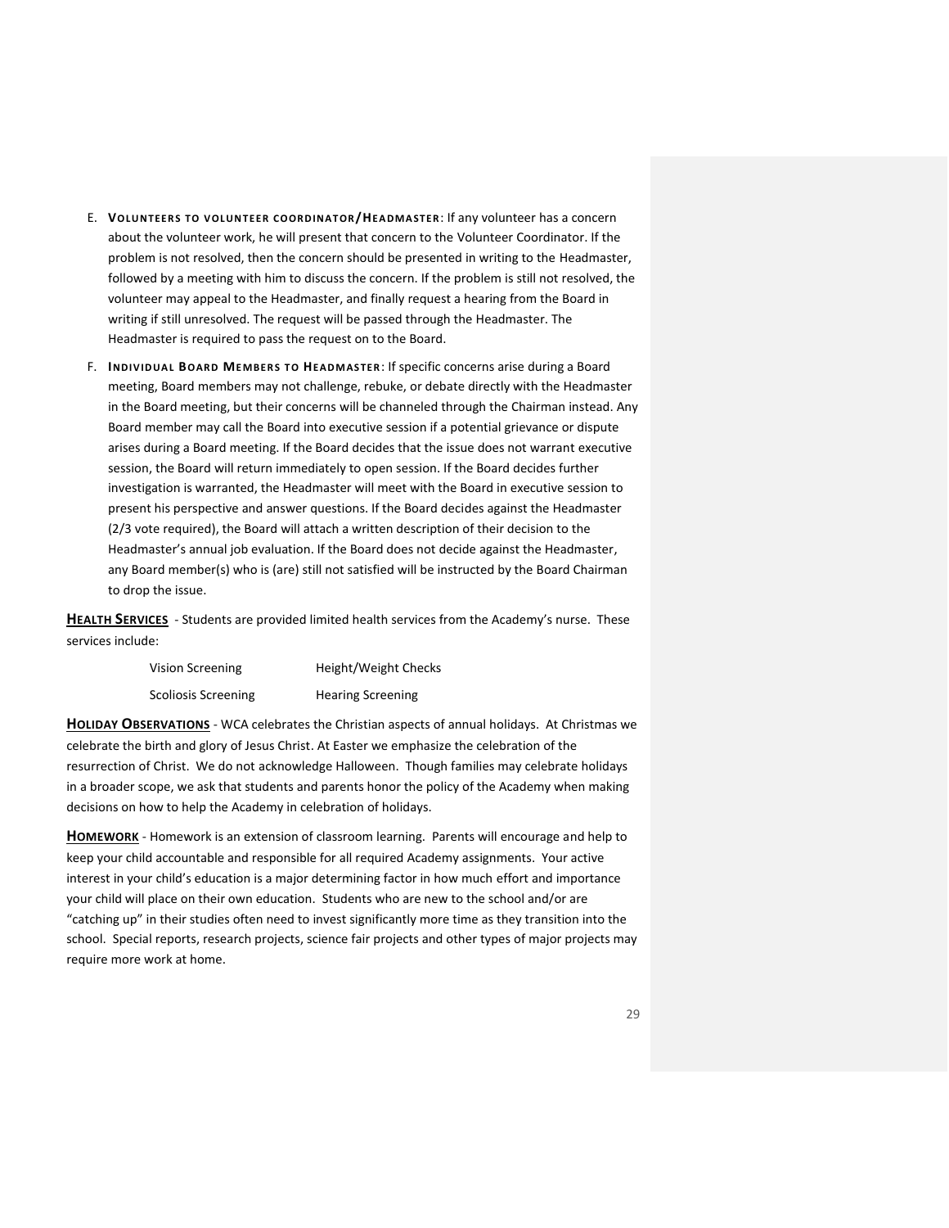- E. **VOLU NTEER S TO V OLUNT EER COORD INA T OR/HE A DMA STER**: If any volunteer has a concern about the volunteer work, he will present that concern to the Volunteer Coordinator. If the problem is not resolved, then the concern should be presented in writing to the Headmaster, followed by a meeting with him to discuss the concern. If the problem is still not resolved, the volunteer may appeal to the Headmaster, and finally request a hearing from the Board in writing if still unresolved. The request will be passed through the Headmaster. The Headmaster is required to pass the request on to the Board.
- F. **INDIV IDUA L BOARD ME MBER S T O HEA DM ASTER**: If specific concerns arise during a Board meeting, Board members may not challenge, rebuke, or debate directly with the Headmaster in the Board meeting, but their concerns will be channeled through the Chairman instead. Any Board member may call the Board into executive session if a potential grievance or dispute arises during a Board meeting. If the Board decides that the issue does not warrant executive session, the Board will return immediately to open session. If the Board decides further investigation is warranted, the Headmaster will meet with the Board in executive session to present his perspective and answer questions. If the Board decides against the Headmaster (2/3 vote required), the Board will attach a written description of their decision to the Headmaster's annual job evaluation. If the Board does not decide against the Headmaster, any Board member(s) who is (are) still not satisfied will be instructed by the Board Chairman to drop the issue.

<span id="page-28-0"></span>**HEALTH SERVICES** - Students are provided limited health services from the Academy's nurse. These services include:

| Vision Screening    | Height/Weight Checks     |
|---------------------|--------------------------|
| Scoliosis Screening | <b>Hearing Screening</b> |

<span id="page-28-1"></span>**HOLIDAY OBSERVATIONS** - WCA celebrates the Christian aspects of annual holidays. At Christmas we celebrate the birth and glory of Jesus Christ. At Easter we emphasize the celebration of the resurrection of Christ. We do not acknowledge Halloween. Though families may celebrate holidays in a broader scope, we ask that students and parents honor the policy of the Academy when making decisions on how to help the Academy in celebration of holidays.

<span id="page-28-2"></span>**HOMEWORK** - Homework is an extension of classroom learning. Parents will encourage and help to keep your child accountable and responsible for all required Academy assignments. Your active interest in your child's education is a major determining factor in how much effort and importance your child will place on their own education. Students who are new to the school and/or are "catching up" in their studies often need to invest significantly more time as they transition into the school. Special reports, research projects, science fair projects and other types of major projects may require more work at home.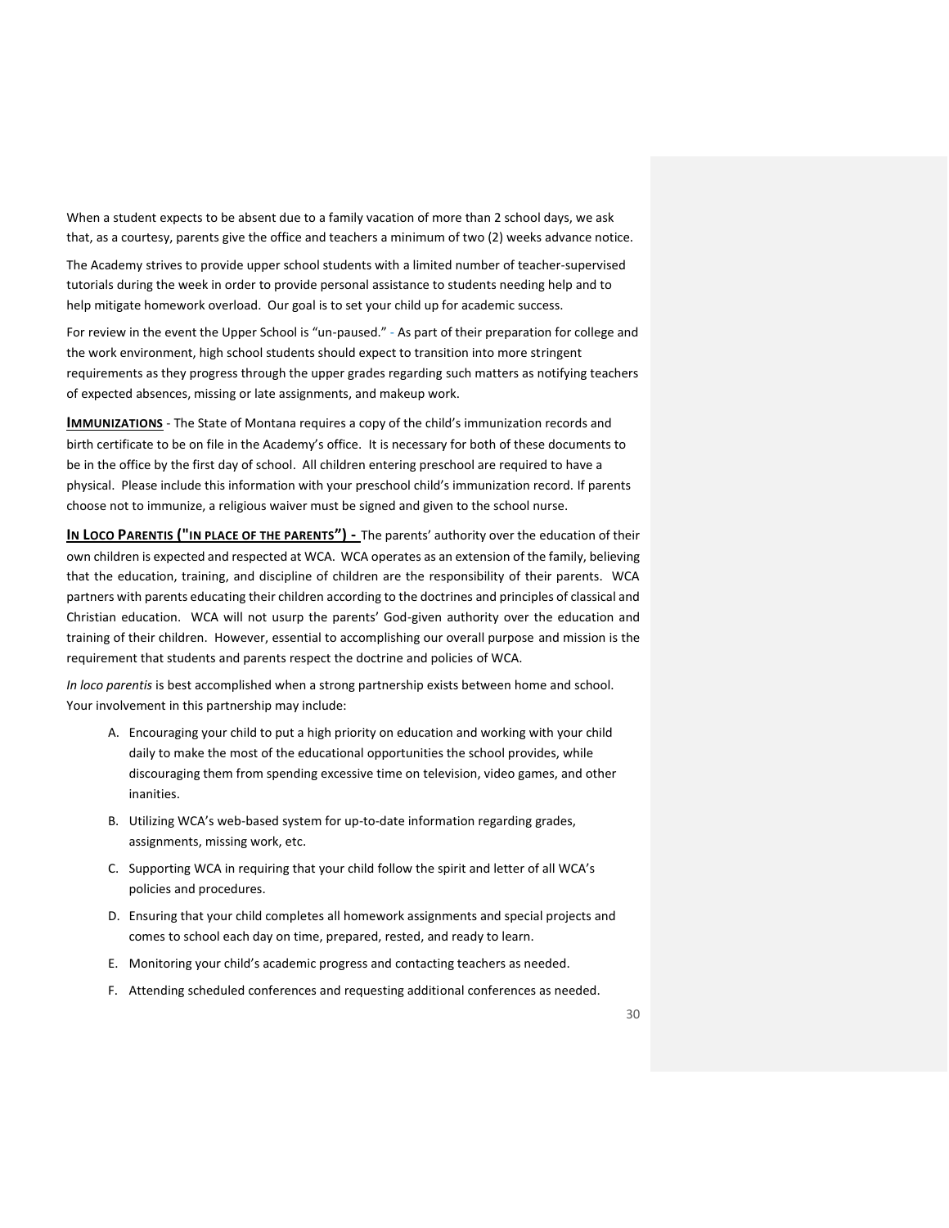When a student expects to be absent due to a family vacation of more than 2 school days, we ask that, as a courtesy, parents give the office and teachers a minimum of two (2) weeks advance notice.

The Academy strives to provide upper school students with a limited number of teacher-supervised tutorials during the week in order to provide personal assistance to students needing help and to help mitigate homework overload. Our goal is to set your child up for academic success.

For review in the event the Upper School is "un-paused." - As part of their preparation for college and the work environment, high school students should expect to transition into more stringent requirements as they progress through the upper grades regarding such matters as notifying teachers of expected absences, missing or late assignments, and makeup work.

<span id="page-29-0"></span>**IMMUNIZATIONS** - The State of Montana requires a copy of the child's immunization records and birth certificate to be on file in the Academy's office. It is necessary for both of these documents to be in the office by the first day of school. All children entering preschool are required to have a physical. Please include this information with your preschool child's immunization record. If parents choose not to immunize, a religious waiver must be signed and given to the school nurse.

**IN LOCO PARENTIS ("IN PLACE OF THE PARENTS") -** The parents' authority over the education of their own children is expected and respected at WCA. WCA operates as an extension of the family, believing that the education, training, and discipline of children are the responsibility of their parents. WCA partners with parents educating their children according to the doctrines and principles of classical and Christian education. WCA will not usurp the parents' God-given authority over the education and training of their children. However, essential to accomplishing our overall purpose and mission is the requirement that students and parents respect the doctrine and policies of WCA.

*In loco parentis* is best accomplished when a strong partnership exists between home and school. Your involvement in this partnership may include:

- A. Encouraging your child to put a high priority on education and working with your child daily to make the most of the educational opportunities the school provides, while discouraging them from spending excessive time on television, video games, and other inanities.
- B. Utilizing WCA's web-based system for up-to-date information regarding grades, assignments, missing work, etc.
- C. Supporting WCA in requiring that your child follow the spirit and letter of all WCA's policies and procedures.
- D. Ensuring that your child completes all homework assignments and special projects and comes to school each day on time, prepared, rested, and ready to learn.
- E. Monitoring your child's academic progress and contacting teachers as needed.
- F. Attending scheduled conferences and requesting additional conferences as needed.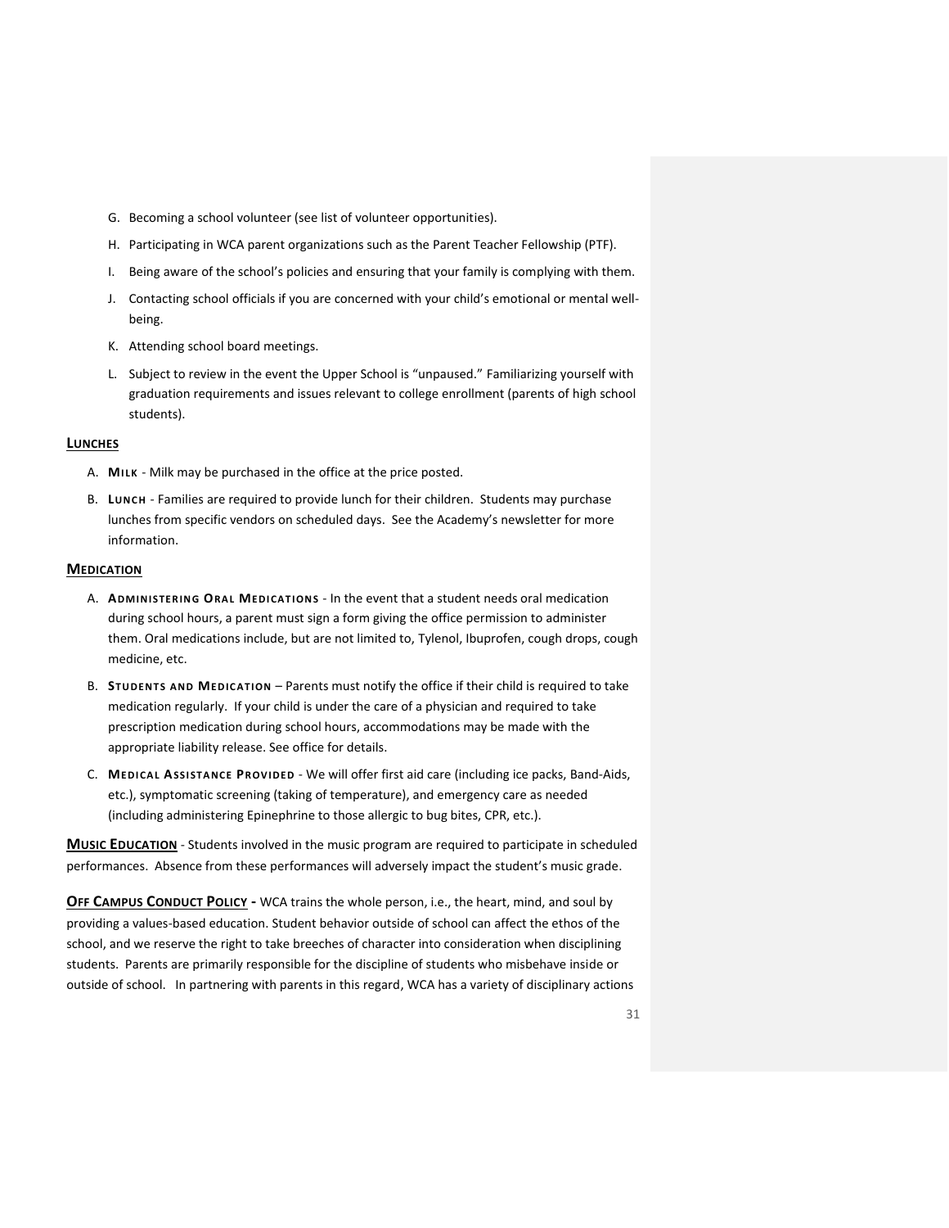- G. Becoming a school volunteer (see list of volunteer opportunities).
- H. Participating in WCA parent organizations such as the Parent Teacher Fellowship (PTF).
- I. Being aware of the school's policies and ensuring that your family is complying with them.
- J. Contacting school officials if you are concerned with your child's emotional or mental wellbeing.
- K. Attending school board meetings.
- L. Subject to review in the event the Upper School is "unpaused." Familiarizing yourself with graduation requirements and issues relevant to college enrollment (parents of high school students).

#### <span id="page-30-0"></span>**LUNCHES**

- A. **MILK** Milk may be purchased in the office at the price posted.
- B. Lunch Families are required to provide lunch for their children. Students may purchase lunches from specific vendors on scheduled days. See the Academy's newsletter for more information.

## <span id="page-30-1"></span>**MEDICATION**

- A. **ADMI NI STER ING ORA L MEDI CAT I ONS** In the event that a student needs oral medication during school hours, a parent must sign a form giving the office permission to administer them. Oral medications include, but are not limited to, Tylenol, Ibuprofen, cough drops, cough medicine, etc.
- B. **STUDE NT S AND ME DIC A TI ON** Parents must notify the office if their child is required to take medication regularly. If your child is under the care of a physician and required to take prescription medication during school hours, accommodations may be made with the appropriate liability release. See office for details.
- C. **MEDI CA L ASSI STA NCE PROVI DED** We will offer first aid care (including ice packs, Band-Aids, etc.), symptomatic screening (taking of temperature), and emergency care as needed (including administering Epinephrine to those allergic to bug bites, CPR, etc.).

<span id="page-30-2"></span>**MUSIC EDUCATION** - Students involved in the music program are required to participate in scheduled performances. Absence from these performances will adversely impact the student's music grade.

<span id="page-30-3"></span>**OFF CAMPUS CONDUCT POLICY -** WCA trains the whole person, i.e., the heart, mind, and soul by providing a values-based education. Student behavior outside of school can affect the ethos of the school, and we reserve the right to take breeches of character into consideration when disciplining students. Parents are primarily responsible for the discipline of students who misbehave inside or outside of school. In partnering with parents in this regard, WCA has a variety of disciplinary actions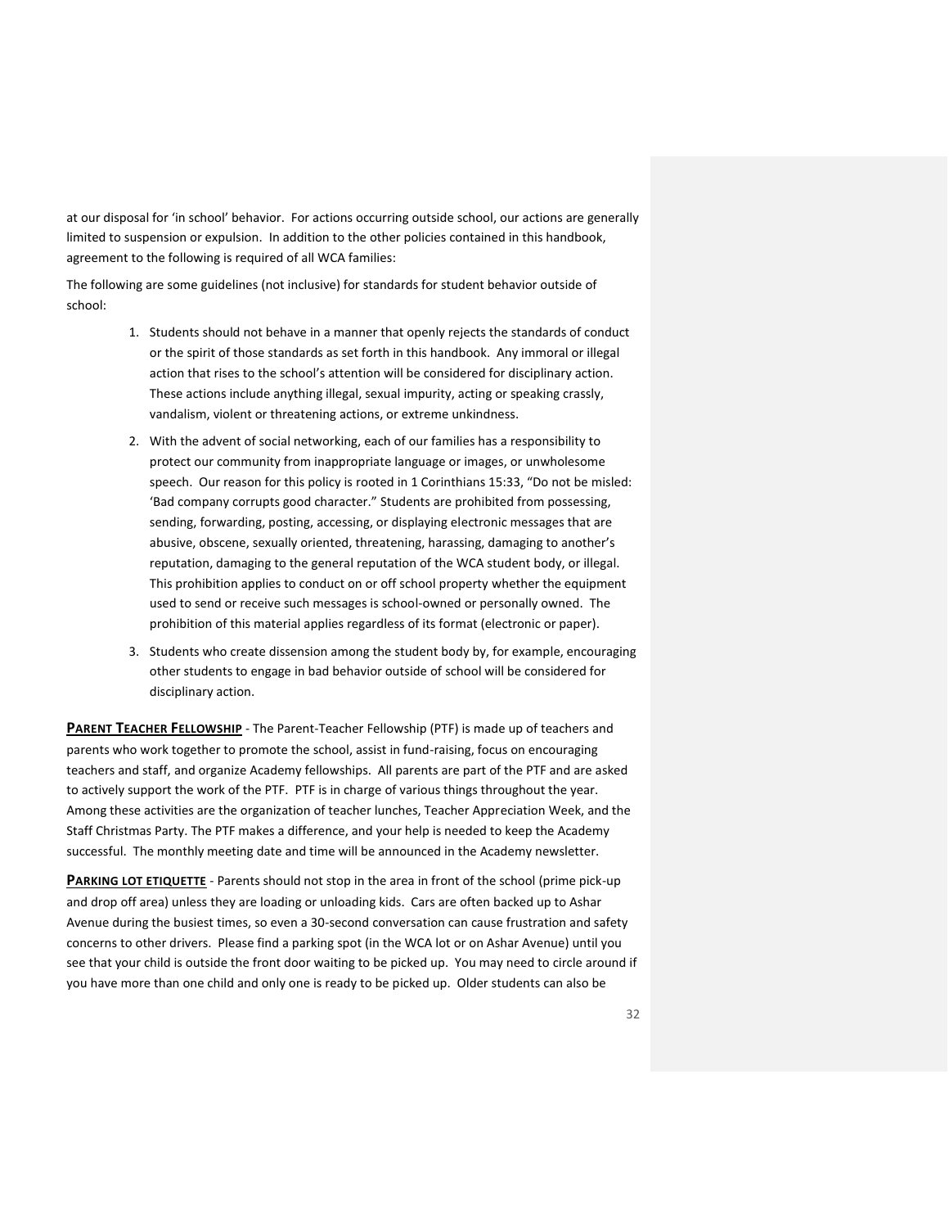at our disposal for 'in school' behavior. For actions occurring outside school, our actions are generally limited to suspension or expulsion. In addition to the other policies contained in this handbook, agreement to the following is required of all WCA families:

The following are some guidelines (not inclusive) for standards for student behavior outside of school:

- 1. Students should not behave in a manner that openly rejects the standards of conduct or the spirit of those standards as set forth in this handbook. Any immoral or illegal action that rises to the school's attention will be considered for disciplinary action. These actions include anything illegal, sexual impurity, acting or speaking crassly, vandalism, violent or threatening actions, or extreme unkindness.
- 2. With the advent of social networking, each of our families has a responsibility to protect our community from inappropriate language or images, or unwholesome speech. Our reason for this policy is rooted in 1 Corinthians 15:33, "Do not be misled: 'Bad company corrupts good character." Students are prohibited from possessing, sending, forwarding, posting, accessing, or displaying electronic messages that are abusive, obscene, sexually oriented, threatening, harassing, damaging to another's reputation, damaging to the general reputation of the WCA student body, or illegal. This prohibition applies to conduct on or off school property whether the equipment used to send or receive such messages is school-owned or personally owned. The prohibition of this material applies regardless of its format (electronic or paper).
- 3. Students who create dissension among the student body by, for example, encouraging other students to engage in bad behavior outside of school will be considered for disciplinary action.

<span id="page-31-0"></span>**PARENT TEACHER FELLOWSHIP** - The Parent-Teacher Fellowship (PTF) is made up of teachers and parents who work together to promote the school, assist in fund-raising, focus on encouraging teachers and staff, and organize Academy fellowships. All parents are part of the PTF and are asked to actively support the work of the PTF. PTF is in charge of various things throughout the year. Among these activities are the organization of teacher lunches, Teacher Appreciation Week, and the Staff Christmas Party. The PTF makes a difference, and your help is needed to keep the Academy successful. The monthly meeting date and time will be announced in the Academy newsletter.

<span id="page-31-1"></span>**PARKING LOT ETIQUETTE** - Parents should not stop in the area in front of the school (prime pick-up and drop off area) unless they are loading or unloading kids. Cars are often backed up to Ashar Avenue during the busiest times, so even a 30-second conversation can cause frustration and safety concerns to other drivers. Please find a parking spot (in the WCA lot or on Ashar Avenue) until you see that your child is outside the front door waiting to be picked up. You may need to circle around if you have more than one child and only one is ready to be picked up. Older students can also be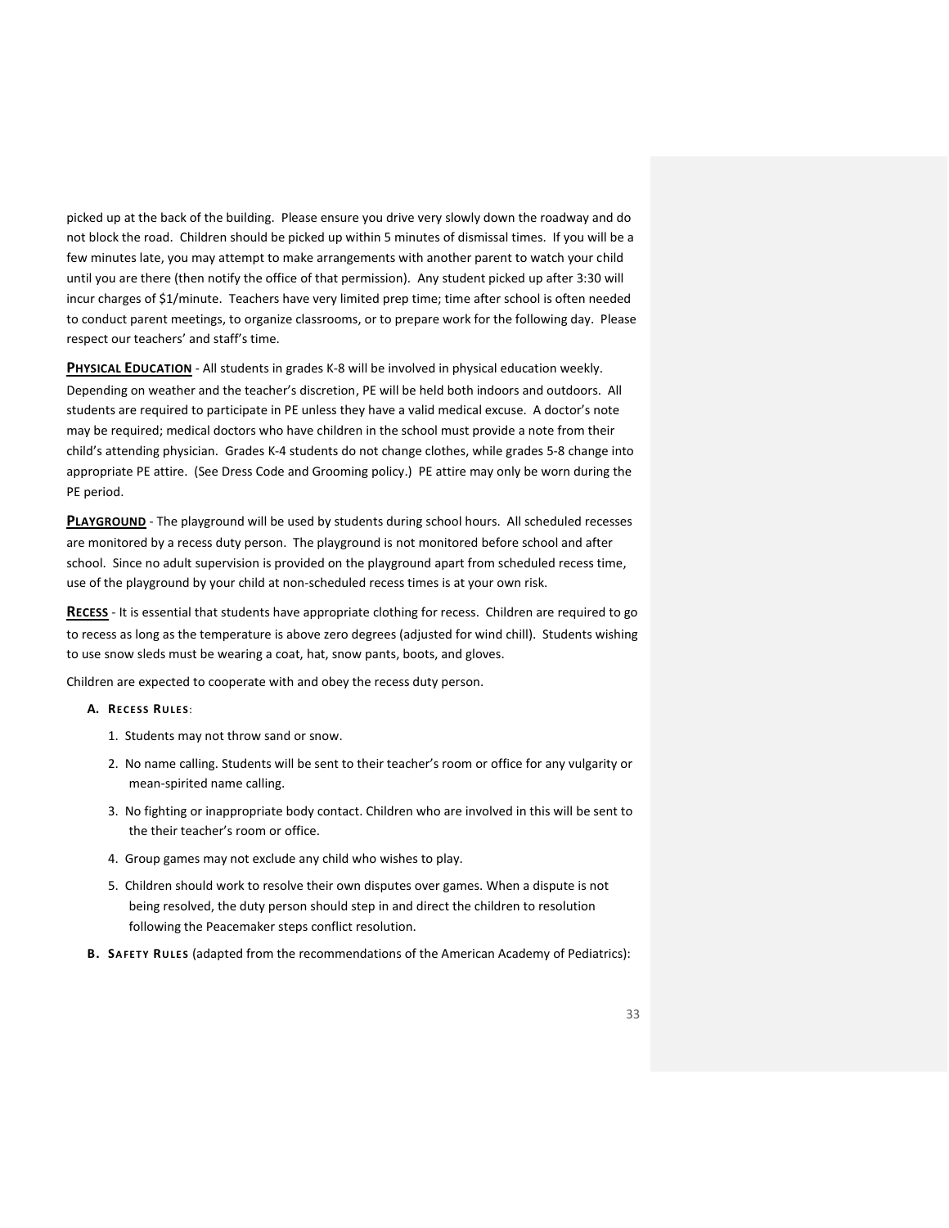picked up at the back of the building. Please ensure you drive very slowly down the roadway and do not block the road. Children should be picked up within 5 minutes of dismissal times. If you will be a few minutes late, you may attempt to make arrangements with another parent to watch your child until you are there (then notify the office of that permission). Any student picked up after 3:30 will incur charges of \$1/minute. Teachers have very limited prep time; time after school is often needed to conduct parent meetings, to organize classrooms, or to prepare work for the following day. Please respect our teachers' and staff's time.

<span id="page-32-0"></span>**PHYSICAL EDUCATION** - All students in grades K-8 will be involved in physical education weekly. Depending on weather and the teacher's discretion, PE will be held both indoors and outdoors. All students are required to participate in PE unless they have a valid medical excuse. A doctor's note may be required; medical doctors who have children in the school must provide a note from their child's attending physician. Grades K-4 students do not change clothes, while grades 5-8 change into appropriate PE attire. (See Dress Code and Grooming policy.) PE attire may only be worn during the PE period.

<span id="page-32-1"></span>**PLAYGROUND** - The playground will be used by students during school hours. All scheduled recesses are monitored by a recess duty person. The playground is not monitored before school and after school. Since no adult supervision is provided on the playground apart from scheduled recess time, use of the playground by your child at non-scheduled recess times is at your own risk.

<span id="page-32-2"></span>**RECESS** - It is essential that students have appropriate clothing for recess. Children are required to go to recess as long as the temperature is above zero degrees (adjusted for wind chill). Students wishing to use snow sleds must be wearing a coat, hat, snow pants, boots, and gloves.

Children are expected to cooperate with and obey the recess duty person.

- **A. RECE SS RU LE S**:
	- 1. Students may not throw sand or snow.
	- 2. No name calling. Students will be sent to their teacher's room or office for any vulgarity or mean-spirited name calling.
	- 3. No fighting or inappropriate body contact. Children who are involved in this will be sent to the their teacher's room or office.
	- 4. Group games may not exclude any child who wishes to play.
	- 5. Children should work to resolve their own disputes over games. When a dispute is not being resolved, the duty person should step in and direct the children to resolution following the Peacemaker steps conflict resolution.
- **B. SA FET Y RU LE S** (adapted from the recommendations of the American Academy of Pediatrics):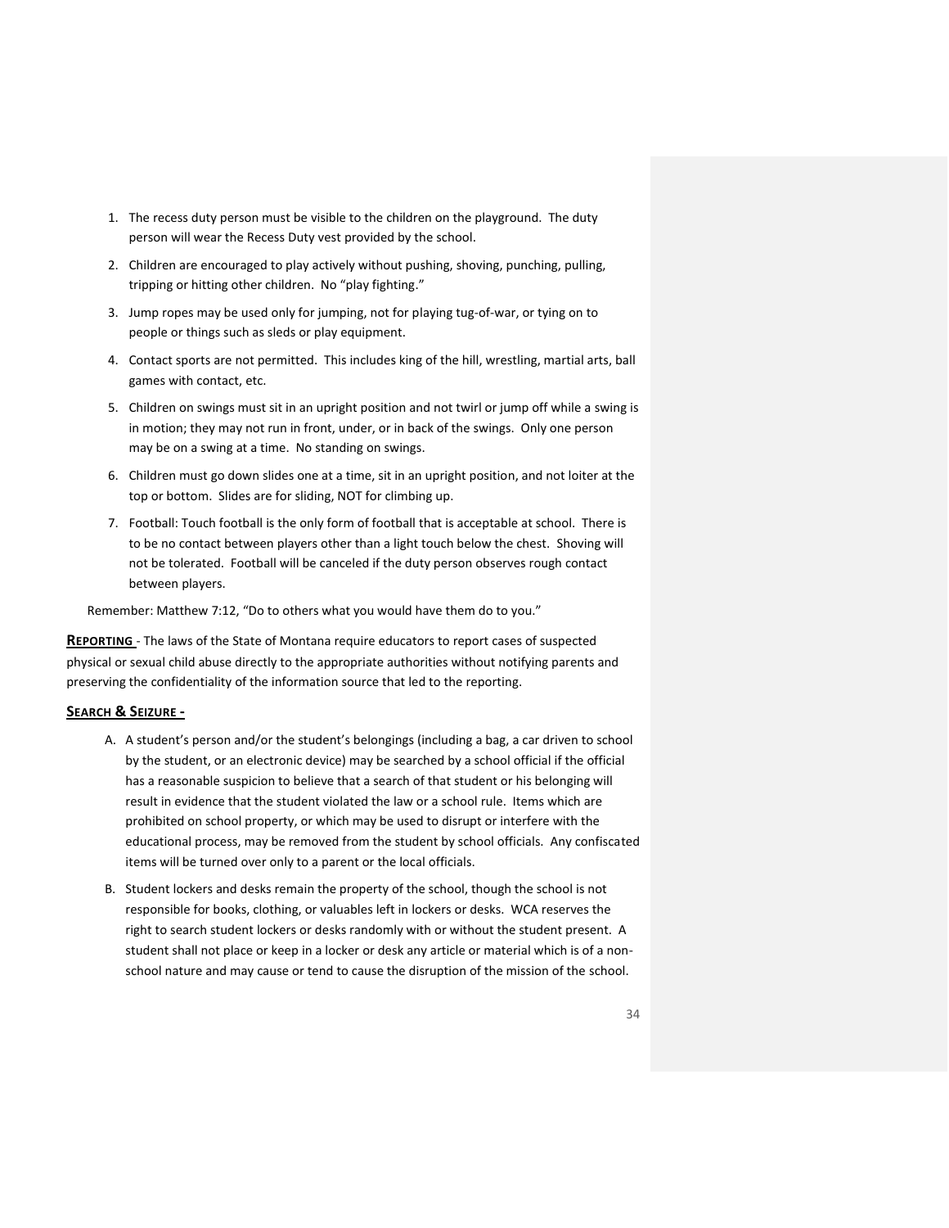- 1. The recess duty person must be visible to the children on the playground. The duty person will wear the Recess Duty vest provided by the school.
- 2. Children are encouraged to play actively without pushing, shoving, punching, pulling, tripping or hitting other children. No "play fighting."
- 3. Jump ropes may be used only for jumping, not for playing tug-of-war, or tying on to people or things such as sleds or play equipment.
- 4. Contact sports are not permitted. This includes king of the hill, wrestling, martial arts, ball games with contact, etc.
- 5. Children on swings must sit in an upright position and not twirl or jump off while a swing is in motion; they may not run in front, under, or in back of the swings. Only one person may be on a swing at a time. No standing on swings.
- 6. Children must go down slides one at a time, sit in an upright position, and not loiter at the top or bottom. Slides are for sliding, NOT for climbing up.
- 7. Football: Touch football is the only form of football that is acceptable at school. There is to be no contact between players other than a light touch below the chest. Shoving will not be tolerated. Football will be canceled if the duty person observes rough contact between players.

Remember: Matthew 7:12, "Do to others what you would have them do to you."

<span id="page-33-0"></span>**REPORTING** - The laws of the State of Montana require educators to report cases of suspected physical or sexual child abuse directly to the appropriate authorities without notifying parents and preserving the confidentiality of the information source that led to the reporting.

#### <span id="page-33-1"></span>**SEARCH & SEIZURE -**

- A. A student's person and/or the student's belongings (including a bag, a car driven to school by the student, or an electronic device) may be searched by a school official if the official has a reasonable suspicion to believe that a search of that student or his belonging will result in evidence that the student violated the law or a school rule. Items which are prohibited on school property, or which may be used to disrupt or interfere with the educational process, may be removed from the student by school officials. Any confiscated items will be turned over only to a parent or the local officials.
- B. Student lockers and desks remain the property of the school, though the school is not responsible for books, clothing, or valuables left in lockers or desks. WCA reserves the right to search student lockers or desks randomly with or without the student present. A student shall not place or keep in a locker or desk any article or material which is of a nonschool nature and may cause or tend to cause the disruption of the mission of the school.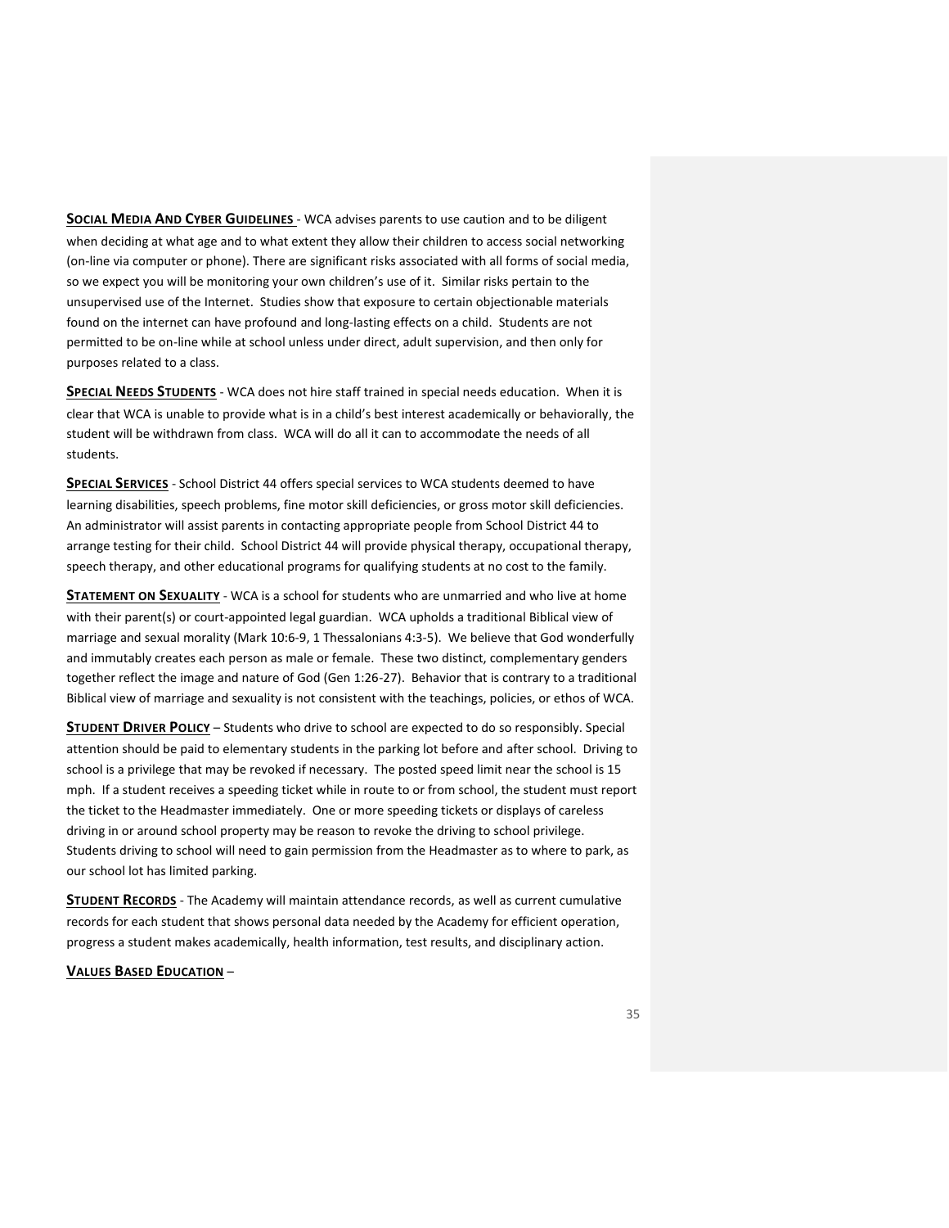<span id="page-34-0"></span>**SOCIAL MEDIA AND CYBER GUIDELINES** - WCA advises parents to use caution and to be diligent when deciding at what age and to what extent they allow their children to access social networking (on-line via computer or phone). There are significant risks associated with all forms of social media, so we expect you will be monitoring your own children's use of it. Similar risks pertain to the unsupervised use of the Internet. Studies show that exposure to certain objectionable materials found on the internet can have profound and long-lasting effects on a child. Students are not permitted to be on-line while at school unless under direct, adult supervision, and then only for purposes related to a class.

<span id="page-34-1"></span>**SPECIAL NEEDS STUDENTS** - WCA does not hire staff trained in special needs education. When it is clear that WCA is unable to provide what is in a child's best interest academically or behaviorally, the student will be withdrawn from class. WCA will do all it can to accommodate the needs of all students.

<span id="page-34-2"></span>**SPECIAL SERVICES** - School District 44 offers special services to WCA students deemed to have learning disabilities, speech problems, fine motor skill deficiencies, or gross motor skill deficiencies. An administrator will assist parents in contacting appropriate people from School District 44 to arrange testing for their child. School District 44 will provide physical therapy, occupational therapy, speech therapy, and other educational programs for qualifying students at no cost to the family.

<span id="page-34-3"></span>**STATEMENT ON SEXUALITY** - WCA is a school for students who are unmarried and who live at home with their parent(s) or court-appointed legal guardian. WCA upholds a traditional Biblical view of marriage and sexual morality (Mark 10:6-9, 1 Thessalonians 4:3-5). We believe that God wonderfully and immutably creates each person as male or female. These two distinct, complementary genders together reflect the image and nature of God (Gen 1:26-27). Behavior that is contrary to a traditional Biblical view of marriage and sexuality is not consistent with the teachings, policies, or ethos of WCA.

<span id="page-34-4"></span>**STUDENT DRIVER POLICY** – Students who drive to school are expected to do so responsibly. Special attention should be paid to elementary students in the parking lot before and after school. Driving to school is a privilege that may be revoked if necessary. The posted speed limit near the school is 15 mph. If a student receives a speeding ticket while in route to or from school, the student must report the ticket to the Headmaster immediately. One or more speeding tickets or displays of careless driving in or around school property may be reason to revoke the driving to school privilege. Students driving to school will need to gain permission from the Headmaster as to where to park, as our school lot has limited parking.

<span id="page-34-5"></span>**STUDENT RECORDS** - The Academy will maintain attendance records, as well as current cumulative records for each student that shows personal data needed by the Academy for efficient operation, progress a student makes academically, health information, test results, and disciplinary action.

#### <span id="page-34-6"></span>**VALUES BASED EDUCATION** –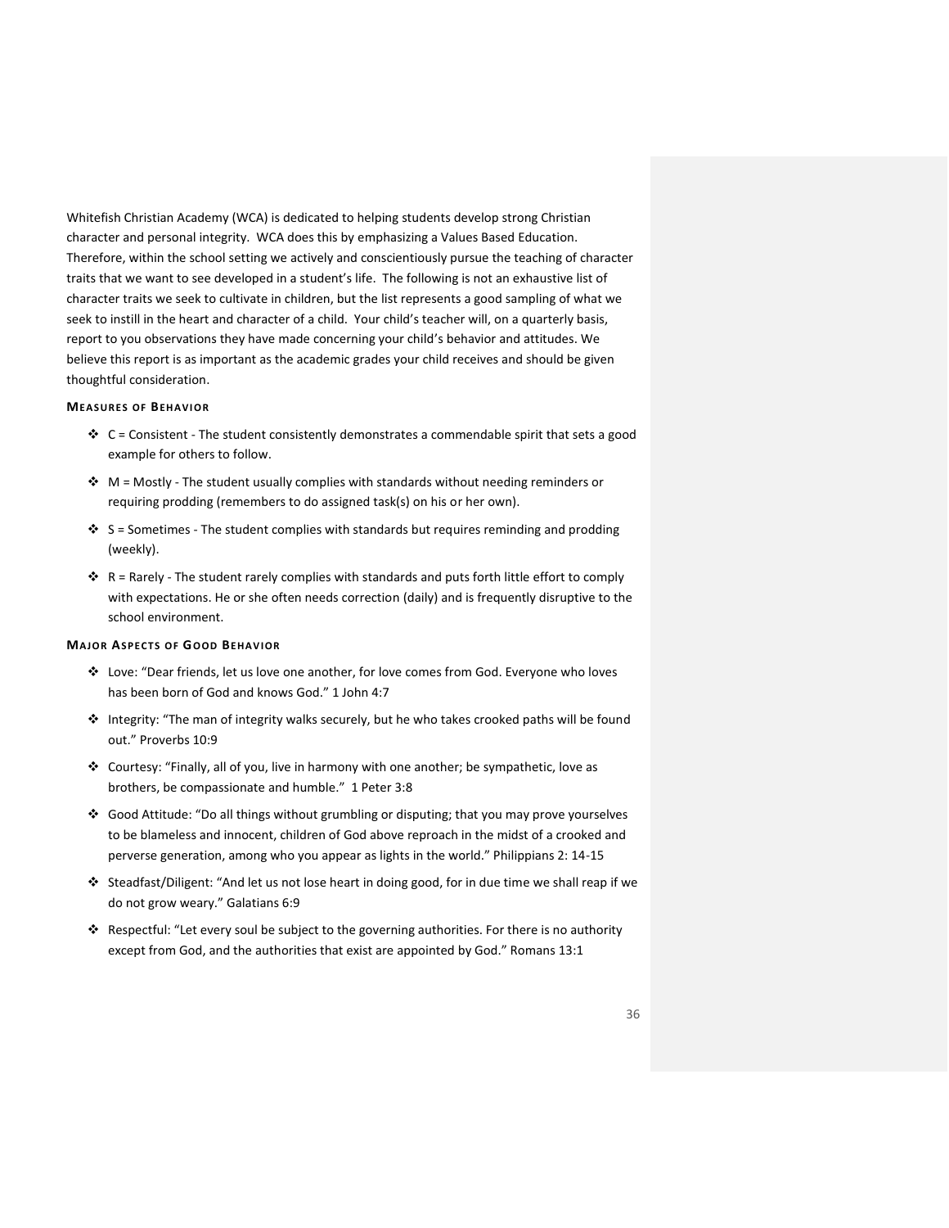Whitefish Christian Academy (WCA) is dedicated to helping students develop strong Christian character and personal integrity. WCA does this by emphasizing a Values Based Education. Therefore, within the school setting we actively and conscientiously pursue the teaching of character traits that we want to see developed in a student's life. The following is not an exhaustive list of character traits we seek to cultivate in children, but the list represents a good sampling of what we seek to instill in the heart and character of a child. Your child's teacher will, on a quarterly basis, report to you observations they have made concerning your child's behavior and attitudes. We believe this report is as important as the academic grades your child receives and should be given thoughtful consideration.

## **MEASURES OF BEHAVIOR**

- ◆ C = Consistent The student consistently demonstrates a commendable spirit that sets a good example for others to follow.
- ◆ M = Mostly The student usually complies with standards without needing reminders or requiring prodding (remembers to do assigned task(s) on his or her own).
- ► S = Sometimes The student complies with standards but requires reminding and prodding (weekly).
- R = Rarely The student rarely complies with standards and puts forth little effort to comply with expectations. He or she often needs correction (daily) and is frequently disruptive to the school environment.

#### **MAJOR ASPECTS OF GOOD BEHAVIOR**

- ❖ Love: "Dear friends, let us love one another, for love comes from God. Everyone who loves has been born of God and knows God." 1 John 4:7
- ❖ Integrity: "The man of integrity walks securely, but he who takes crooked paths will be found out." Proverbs 10:9
- ❖ Courtesy: "Finally, all of you, live in harmony with one another; be sympathetic, love as brothers, be compassionate and humble." 1 Peter 3:8
- ❖ Good Attitude: "Do all things without grumbling or disputing; that you may prove yourselves to be blameless and innocent, children of God above reproach in the midst of a crooked and perverse generation, among who you appear as lights in the world." Philippians 2: 14-15
- ❖ Steadfast/Diligent: "And let us not lose heart in doing good, for in due time we shall reap if we do not grow weary." Galatians 6:9
- ❖ Respectful: "Let every soul be subject to the governing authorities. For there is no authority except from God, and the authorities that exist are appointed by God." Romans 13:1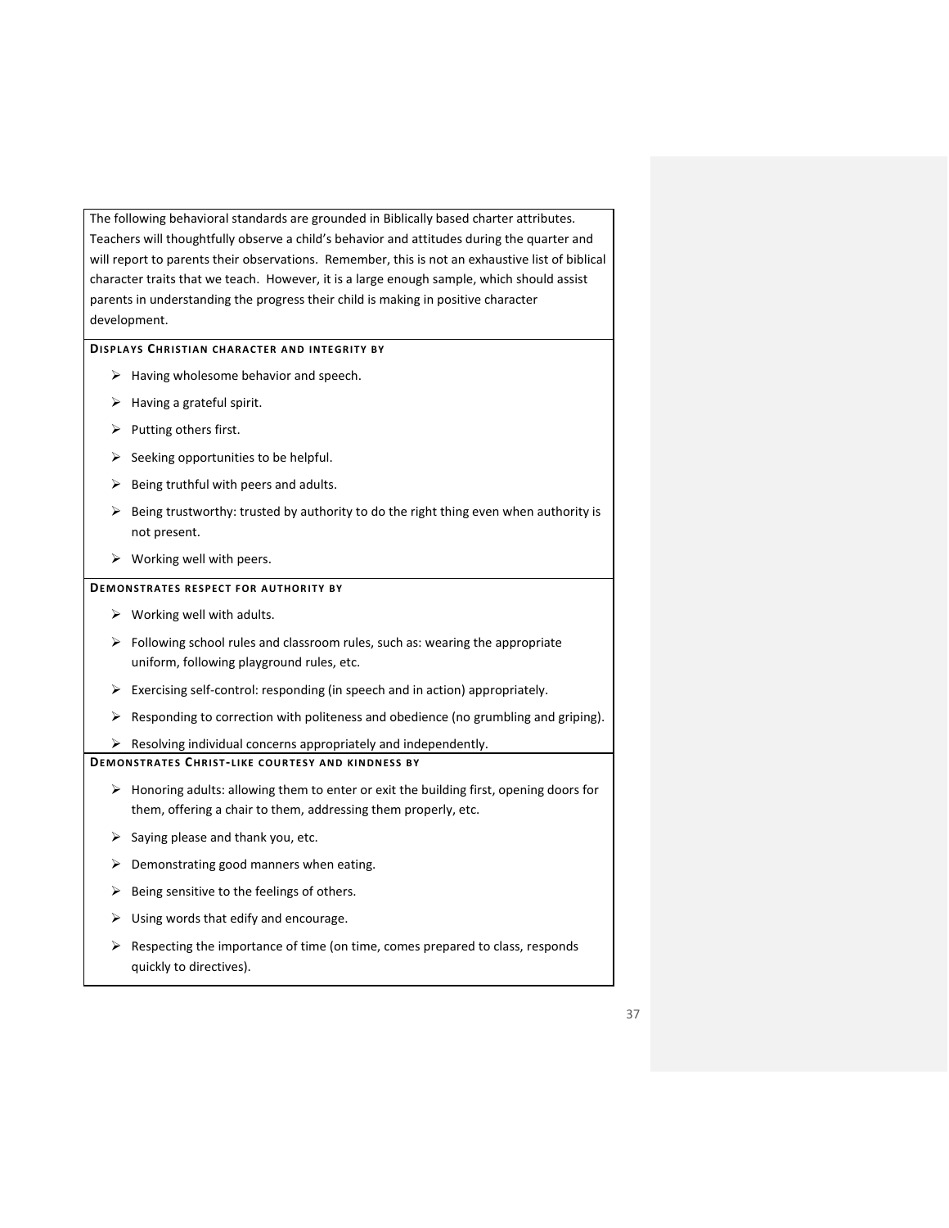The following behavioral standards are grounded in Biblically based charter attributes. Teachers will thoughtfully observe a child's behavior and attitudes during the quarter and will report to parents their observations. Remember, this is not an exhaustive list of biblical character traits that we teach. However, it is a large enough sample, which should assist parents in understanding the progress their child is making in positive character development.

## **DISPLAYS CHRISTIAN CHARACTER AND INTEGRITY BY**

- ➢ Having wholesome behavior and speech.
- ➢ Having a grateful spirit.
- ➢ Putting others first.
- $\triangleright$  Seeking opportunities to be helpful.
- $\triangleright$  Being truthful with peers and adults.
- $\triangleright$  Being trustworthy: trusted by authority to do the right thing even when authority is not present.
- $\triangleright$  Working well with peers.

## **DEMONSTRATES RESPECT FOR AUTHORITY BY**

- $\triangleright$  Working well with adults.
- $\triangleright$  Following school rules and classroom rules, such as: wearing the appropriate uniform, following playground rules, etc.
- ➢ Exercising self-control: responding (in speech and in action) appropriately.
- $\triangleright$  Responding to correction with politeness and obedience (no grumbling and griping).

 $\triangleright$  Resolving individual concerns appropriately and independently.

## **DEM ONSTRATE S CHRI ST- LI KE C OUR TESY A ND KI NDNESS BY**

- $\triangleright$  Honoring adults: allowing them to enter or exit the building first, opening doors for them, offering a chair to them, addressing them properly, etc.
- $\triangleright$  Saying please and thank you, etc.
- $\triangleright$  Demonstrating good manners when eating.
- $\triangleright$  Being sensitive to the feelings of others.
- $\triangleright$  Using words that edify and encourage.
- $\triangleright$  Respecting the importance of time (on time, comes prepared to class, responds quickly to directives).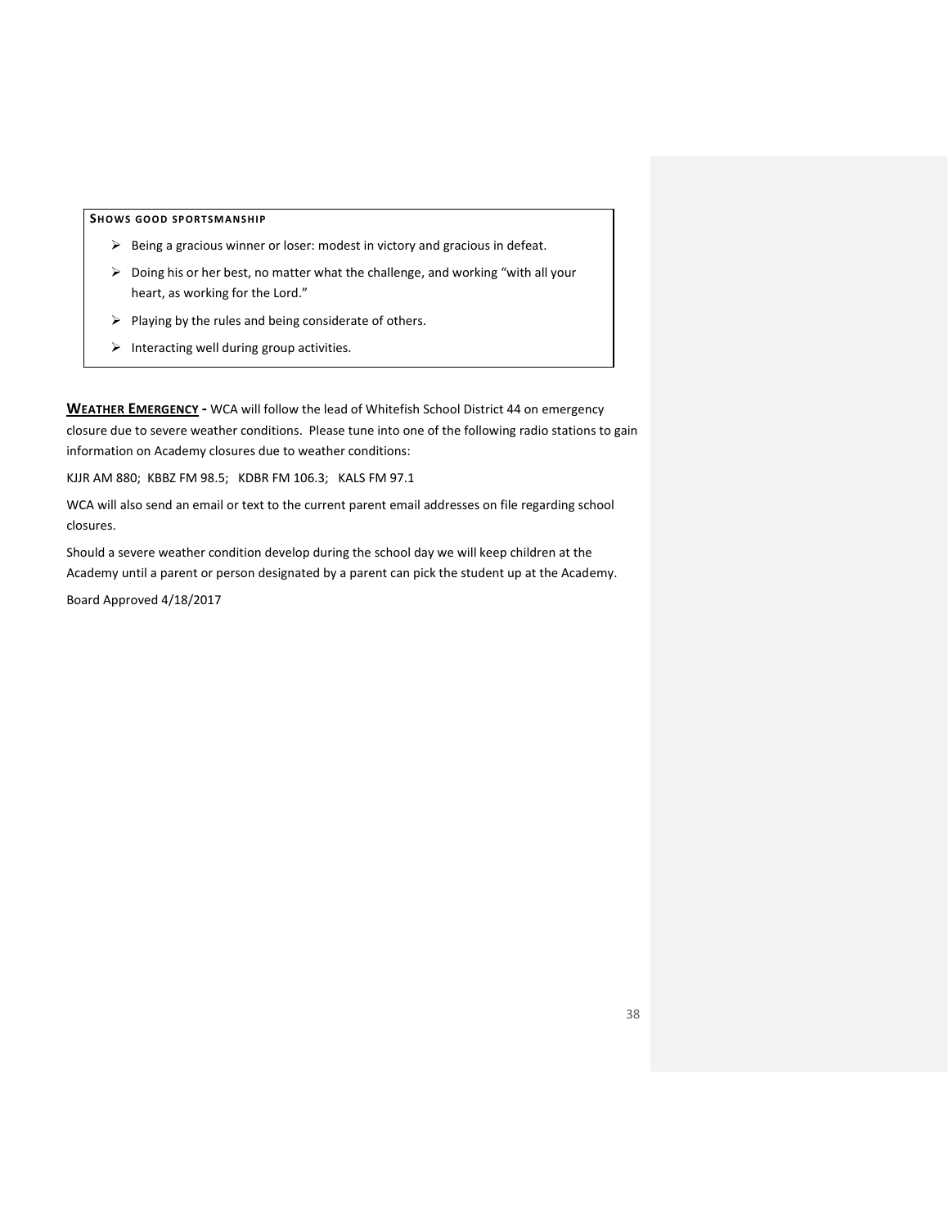**SHOWS GOOD SPORTSMANSHIP** 

- ➢ Being a gracious winner or loser: modest in victory and gracious in defeat.
- ➢ Doing his or her best, no matter what the challenge, and working "with all your heart, as working for the Lord."
- $\triangleright$  Playing by the rules and being considerate of others.
- $\triangleright$  Interacting well during group activities.

<span id="page-37-0"></span>**WEATHER EMERGENCY -** WCA will follow the lead of Whitefish School District 44 on emergency closure due to severe weather conditions. Please tune into one of the following radio stations to gain information on Academy closures due to weather conditions:

KJJR AM 880; KBBZ FM 98.5; KDBR FM 106.3; KALS FM 97.1

WCA will also send an email or text to the current parent email addresses on file regarding school closures.

Should a severe weather condition develop during the school day we will keep children at the Academy until a parent or person designated by a parent can pick the student up at the Academy.

Board Approved 4/18/2017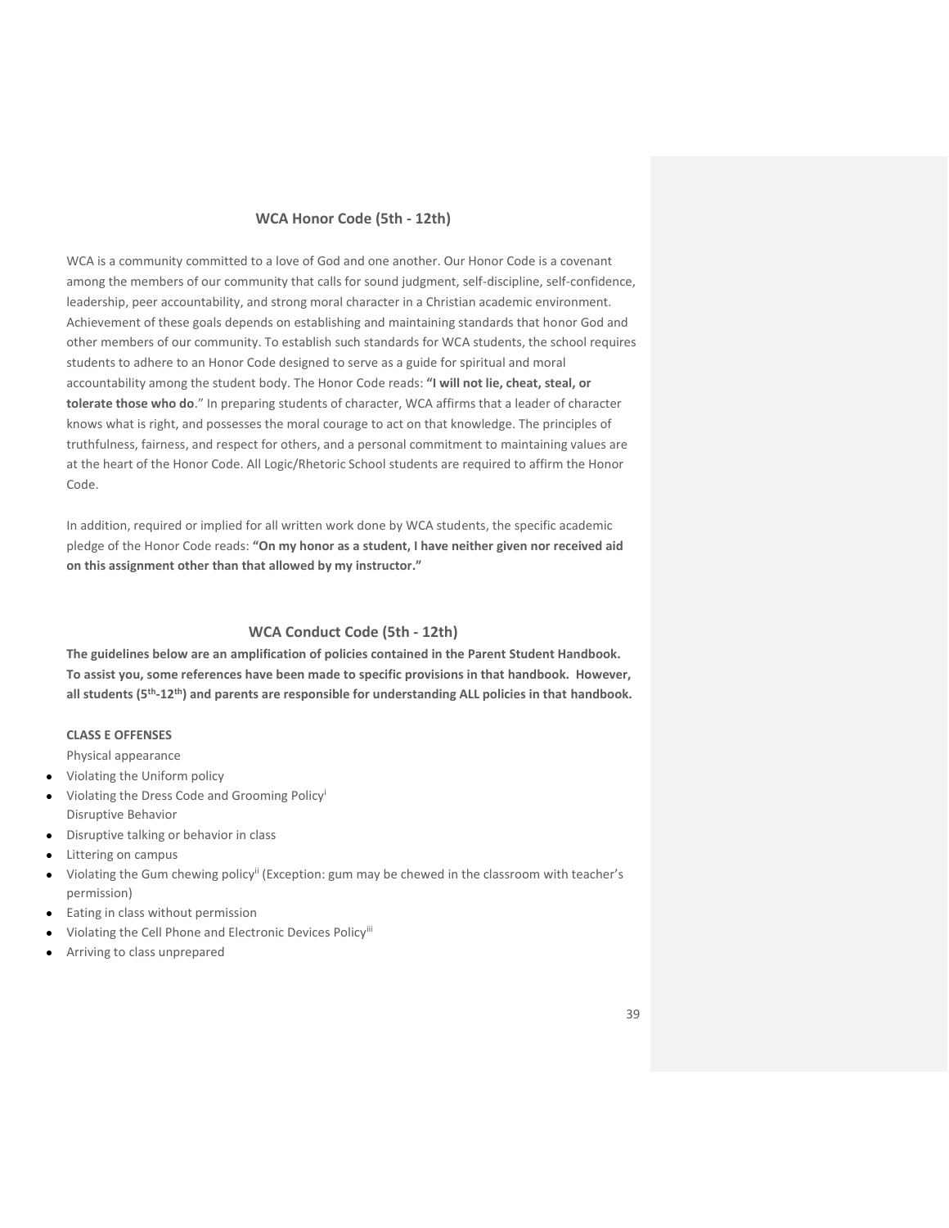## **WCA Honor Code (5th - 12th)**

WCA is a community committed to a love of God and one another. Our Honor Code is a covenant among the members of our community that calls for sound judgment, self-discipline, self-confidence, leadership, peer accountability, and strong moral character in a Christian academic environment. Achievement of these goals depends on establishing and maintaining standards that honor God and other members of our community. To establish such standards for WCA students, the school requires students to adhere to an Honor Code designed to serve as a guide for spiritual and moral accountability among the student body. The Honor Code reads: **"I will not lie, cheat, steal, or tolerate those who do**." In preparing students of character, WCA affirms that a leader of character knows what is right, and possesses the moral courage to act on that knowledge. The principles of truthfulness, fairness, and respect for others, and a personal commitment to maintaining values are at the heart of the Honor Code. All Logic/Rhetoric School students are required to affirm the Honor Code.

In addition, required or implied for all written work done by WCA students, the specific academic pledge of the Honor Code reads: **"On my honor as a student, I have neither given nor received aid on this assignment other than that allowed by my instructor."**

# **WCA Conduct Code (5th - 12th)**

**The guidelines below are an amplification of policies contained in the Parent Student Handbook. To assist you, some references have been made to specific provisions in that handbook. However, all students (5th -12th) and parents are responsible for understanding ALL policies in that handbook.**

## **CLASS E OFFENSES**

Physical appearance

- Violating the Uniform policy
- Violating the Dress Code and Grooming Policy<sup>i</sup> Disruptive Behavior
- Disruptive talking or behavior in class
- Littering on campus
- Violating the Gum chewing policy<sup>ii</sup> (Exception: gum may be chewed in the classroom with teacher's permission)
- Eating in class without permission
- Violating the Cell Phone and Electronic Devices Policyiii
- Arriving to class unprepared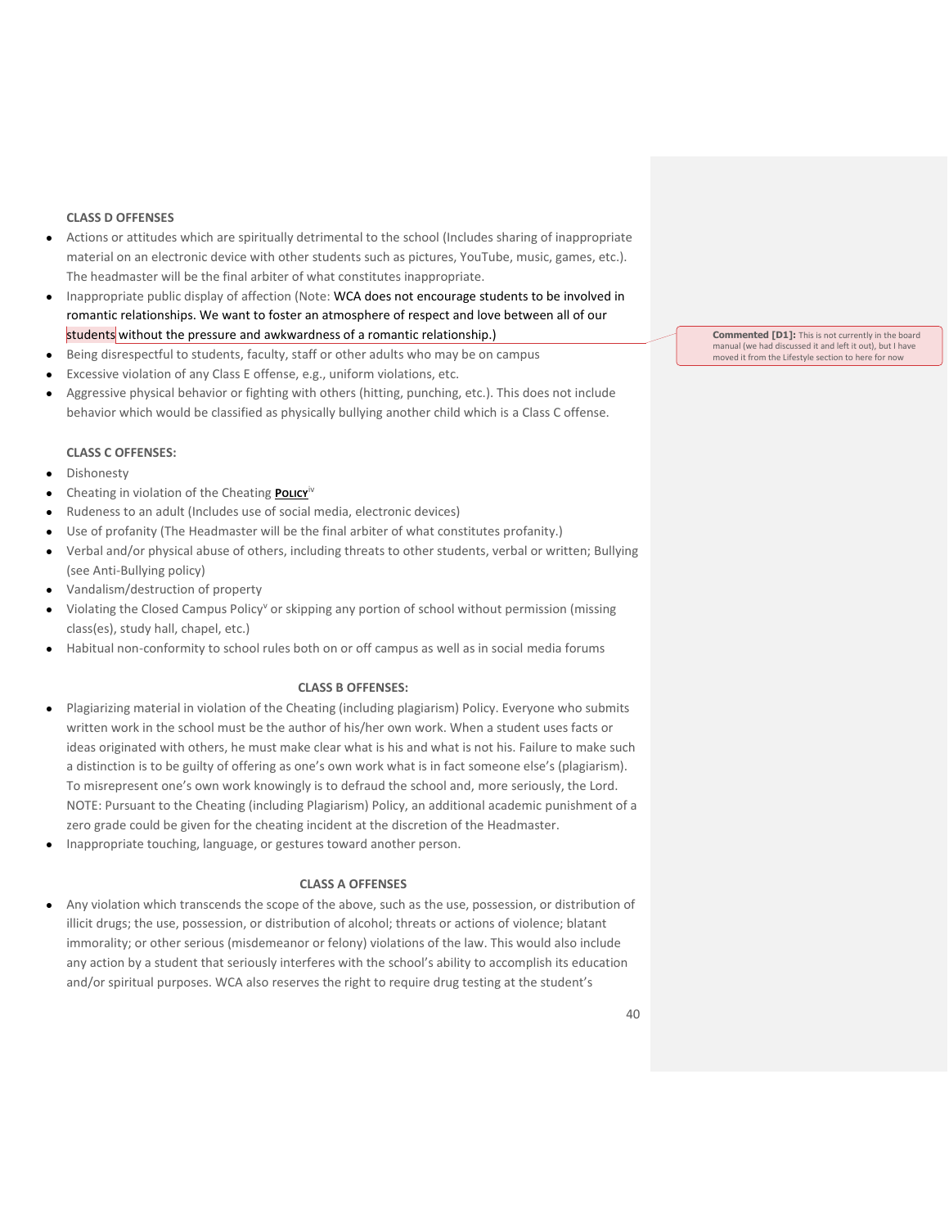## **CLASS D OFFENSES**

- Actions or attitudes which are spiritually detrimental to the school (Includes sharing of inappropriate material on an electronic device with other students such as pictures, YouTube, music, games, etc.). The headmaster will be the final arbiter of what constitutes inappropriate.
- Inappropriate public display of affection (Note: WCA does not encourage students to be involved in romantic relationships. We want to foster an atmosphere of respect and love between all of our students without the pressure and awkwardness of a romantic relationship.)
- Being disrespectful to students, faculty, staff or other adults who may be on campus
- Excessive violation of any Class E offense, e.g., uniform violations, etc.
- Aggressive physical behavior or fighting with others (hitting, punching, etc.). This does not include behavior which would be classified as physically bullying another child which is a Class C offense.

## **CLASS C OFFENSES:**

- Dishonesty
- Cheating in violation of the Cheating **POLICY**iv
- Rudeness to an adult (Includes use of social media, electronic devices)
- Use of profanity (The Headmaster will be the final arbiter of what constitutes profanity.)
- Verbal and/or physical abuse of others, including threats to other students, verbal or written; Bullying (see Anti-Bullying policy)
- Vandalism/destruction of property
- Violating the Closed Campus Policy<sup>v</sup> or skipping any portion of school without permission (missing class(es), study hall, chapel, etc.)
- Habitual non-conformity to school rules both on or off campus as well as in social media forums

#### **CLASS B OFFENSES:**

- Plagiarizing material in violation of the Cheating (including plagiarism) Policy. Everyone who submits written work in the school must be the author of his/her own work. When a student uses facts or ideas originated with others, he must make clear what is his and what is not his. Failure to make such a distinction is to be guilty of offering as one's own work what is in fact someone else's (plagiarism). To misrepresent one's own work knowingly is to defraud the school and, more seriously, the Lord. NOTE: Pursuant to the Cheating (including Plagiarism) Policy, an additional academic punishment of a zero grade could be given for the cheating incident at the discretion of the Headmaster.
- Inappropriate touching, language, or gestures toward another person.

#### **CLASS A OFFENSES**

Any violation which transcends the scope of the above, such as the use, possession, or distribution of illicit drugs; the use, possession, or distribution of alcohol; threats or actions of violence; blatant immorality; or other serious (misdemeanor or felony) violations of the law. This would also include any action by a student that seriously interferes with the school's ability to accomplish its education and/or spiritual purposes. WCA also reserves the right to require drug testing at the student's

**Commented [D1]:** This is not currently in the board manual (we had discussed it and left it out), but I have matival (we had discussed it different to here for now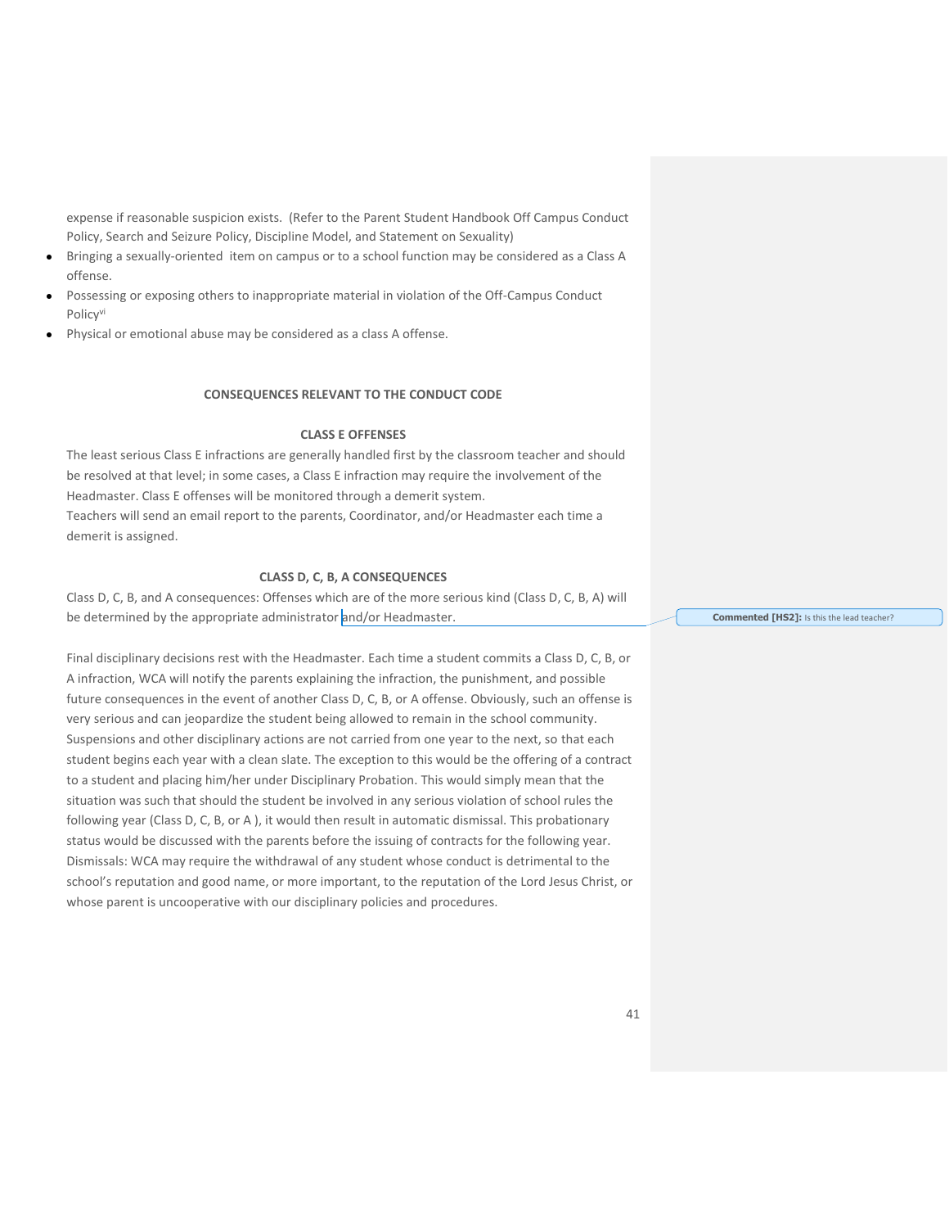expense if reasonable suspicion exists. (Refer to the Parent Student Handbook Off Campus Conduct Policy, Search and Seizure Policy, Discipline Model, and Statement on Sexuality)

- Bringing a sexually-oriented item on campus or to a school function may be considered as a Class A offense.
- Possessing or exposing others to inappropriate material in violation of the Off-Campus Conduct Policy<sup>vi</sup>
- Physical or emotional abuse may be considered as a class A offense.

## **CONSEQUENCES RELEVANT TO THE CONDUCT CODE**

## **CLASS E OFFENSES**

The least serious Class E infractions are generally handled first by the classroom teacher and should be resolved at that level; in some cases, a Class E infraction may require the involvement of the Headmaster. Class E offenses will be monitored through a demerit system. Teachers will send an email report to the parents, Coordinator, and/or Headmaster each time a demerit is assigned.

#### **CLASS D, C, B, A CONSEQUENCES**

Class D, C, B, and A consequences: Offenses which are of the more serious kind (Class D, C, B, A) will be determined by the appropriate administrator and/or Headmaster.

Final disciplinary decisions rest with the Headmaster. Each time a student commits a Class D, C, B, or A infraction, WCA will notify the parents explaining the infraction, the punishment, and possible future consequences in the event of another Class D, C, B, or A offense. Obviously, such an offense is very serious and can jeopardize the student being allowed to remain in the school community. Suspensions and other disciplinary actions are not carried from one year to the next, so that each student begins each year with a clean slate. The exception to this would be the offering of a contract to a student and placing him/her under Disciplinary Probation. This would simply mean that the situation was such that should the student be involved in any serious violation of school rules the following year (Class D, C, B, or A ), it would then result in automatic dismissal. This probationary status would be discussed with the parents before the issuing of contracts for the following year. Dismissals: WCA may require the withdrawal of any student whose conduct is detrimental to the school's reputation and good name, or more important, to the reputation of the Lord Jesus Christ, or whose parent is uncooperative with our disciplinary policies and procedures.

**Commented [HS2]:** Is this the lead teacher?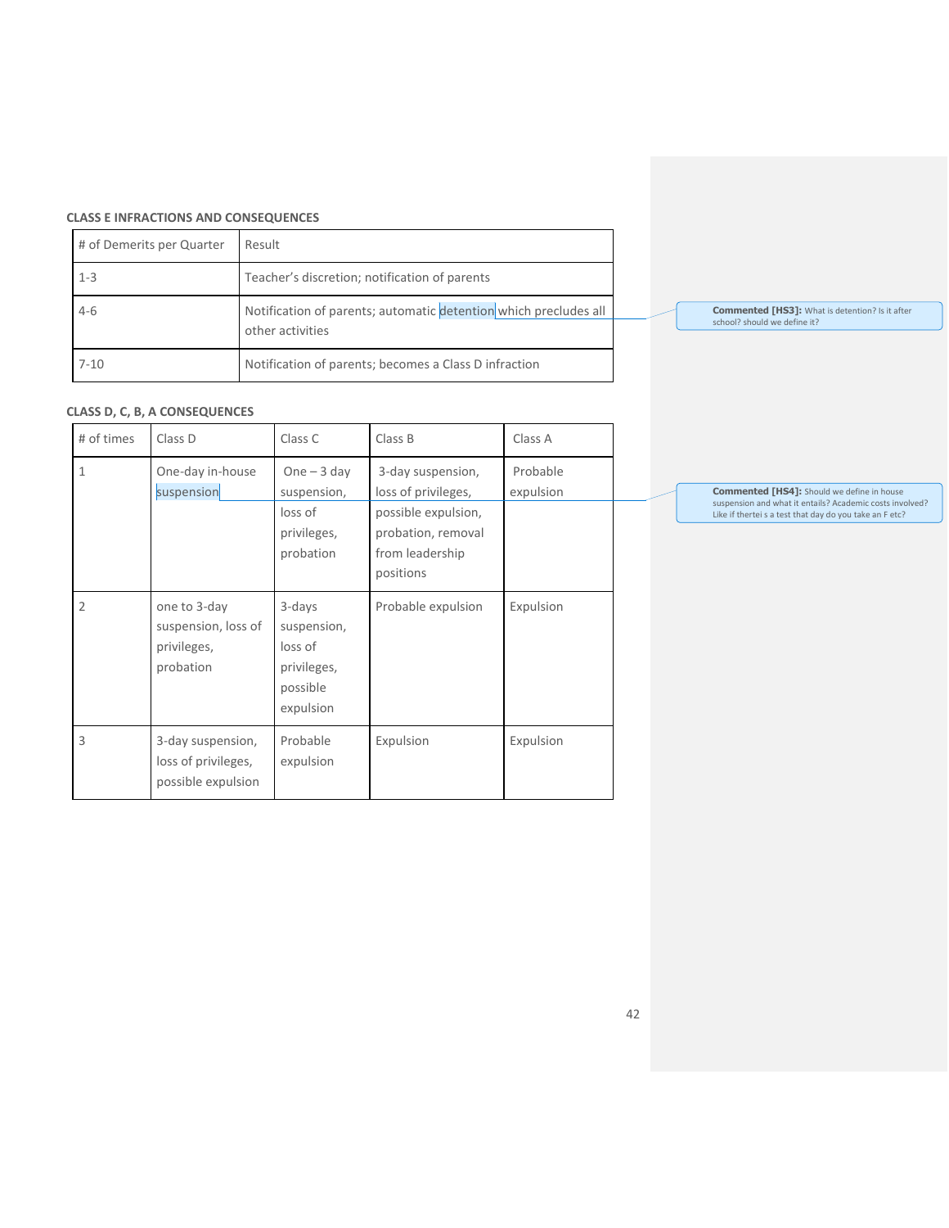## **CLASS E INFRACTIONS AND CONSEQUENCES**

|          | # of Demerits per Quarter | Result                                                                               |  |                              |
|----------|---------------------------|--------------------------------------------------------------------------------------|--|------------------------------|
| $1 - 3$  |                           | Teacher's discretion; notification of parents                                        |  |                              |
| $4-6$    |                           | Notification of parents; automatic detention which precludes all<br>other activities |  | <b>Commen</b><br>school? she |
| $7 - 10$ |                           | Notification of parents; becomes a Class D infraction                                |  |                              |

# **Commented [HS3]:** What is detention? Is it after school? should we define it?

# **CLASS D, C, B, A CONSEQUENCES**

| # of times     | Class D                                                         | Class C                                                                  | Class B                                                                                                               | Class A               |  |
|----------------|-----------------------------------------------------------------|--------------------------------------------------------------------------|-----------------------------------------------------------------------------------------------------------------------|-----------------------|--|
| $\mathbf{1}$   | One-day in-house<br>suspension                                  | One $-3$ day<br>suspension,<br>loss of<br>privileges,<br>probation       | 3-day suspension,<br>loss of privileges,<br>possible expulsion,<br>probation, removal<br>from leadership<br>positions | Probable<br>expulsion |  |
| $\overline{2}$ | one to 3-day<br>suspension, loss of<br>privileges,<br>probation | 3-days<br>suspension,<br>loss of<br>privileges,<br>possible<br>expulsion | Probable expulsion                                                                                                    | Expulsion             |  |
| 3              | 3-day suspension,<br>loss of privileges,<br>possible expulsion  | Probable<br>expulsion                                                    | Expulsion                                                                                                             | Expulsion             |  |

**Commented [HS4]:** Should we define in house<br>suspension and what it entails? Academic costs involved?<br>Like if thertei s a test that day do you take an F etc?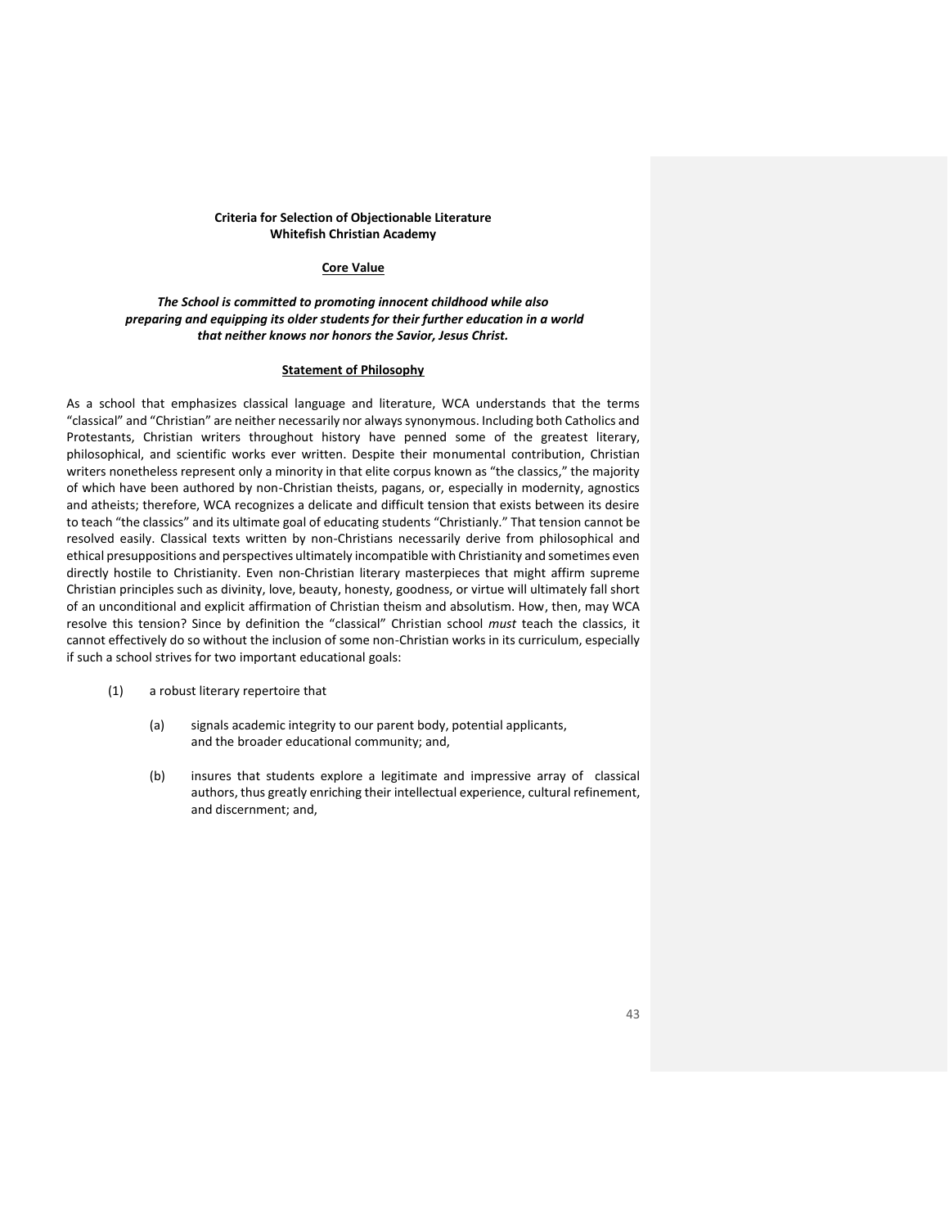#### **Criteria for Selection of Objectionable Literature Whitefish Christian Academy**

#### **Core Value**

## *The School is committed to promoting innocent childhood while also preparing and equipping its older students for their further education in a world that neither knows nor honors the Savior, Jesus Christ.*

#### **Statement of Philosophy**

As a school that emphasizes classical language and literature, WCA understands that the terms "classical" and "Christian" are neither necessarily nor always synonymous. Including both Catholics and Protestants, Christian writers throughout history have penned some of the greatest literary, philosophical, and scientific works ever written. Despite their monumental contribution, Christian writers nonetheless represent only a minority in that elite corpus known as "the classics," the majority of which have been authored by non-Christian theists, pagans, or, especially in modernity, agnostics and atheists; therefore, WCA recognizes a delicate and difficult tension that exists between its desire to teach "the classics" and its ultimate goal of educating students "Christianly." That tension cannot be resolved easily. Classical texts written by non-Christians necessarily derive from philosophical and ethical presuppositions and perspectives ultimately incompatible with Christianity and sometimes even directly hostile to Christianity. Even non-Christian literary masterpieces that might affirm supreme Christian principles such as divinity, love, beauty, honesty, goodness, or virtue will ultimately fall short of an unconditional and explicit affirmation of Christian theism and absolutism. How, then, may WCA resolve this tension? Since by definition the "classical" Christian school *must* teach the classics, it cannot effectively do so without the inclusion of some non-Christian works in its curriculum, especially if such a school strives for two important educational goals:

- (1) a robust literary repertoire that
	- (a) signals academic integrity to our parent body, potential applicants, and the broader educational community; and,
	- (b) insures that students explore a legitimate and impressive array of classical authors, thus greatly enriching their intellectual experience, cultural refinement, and discernment; and,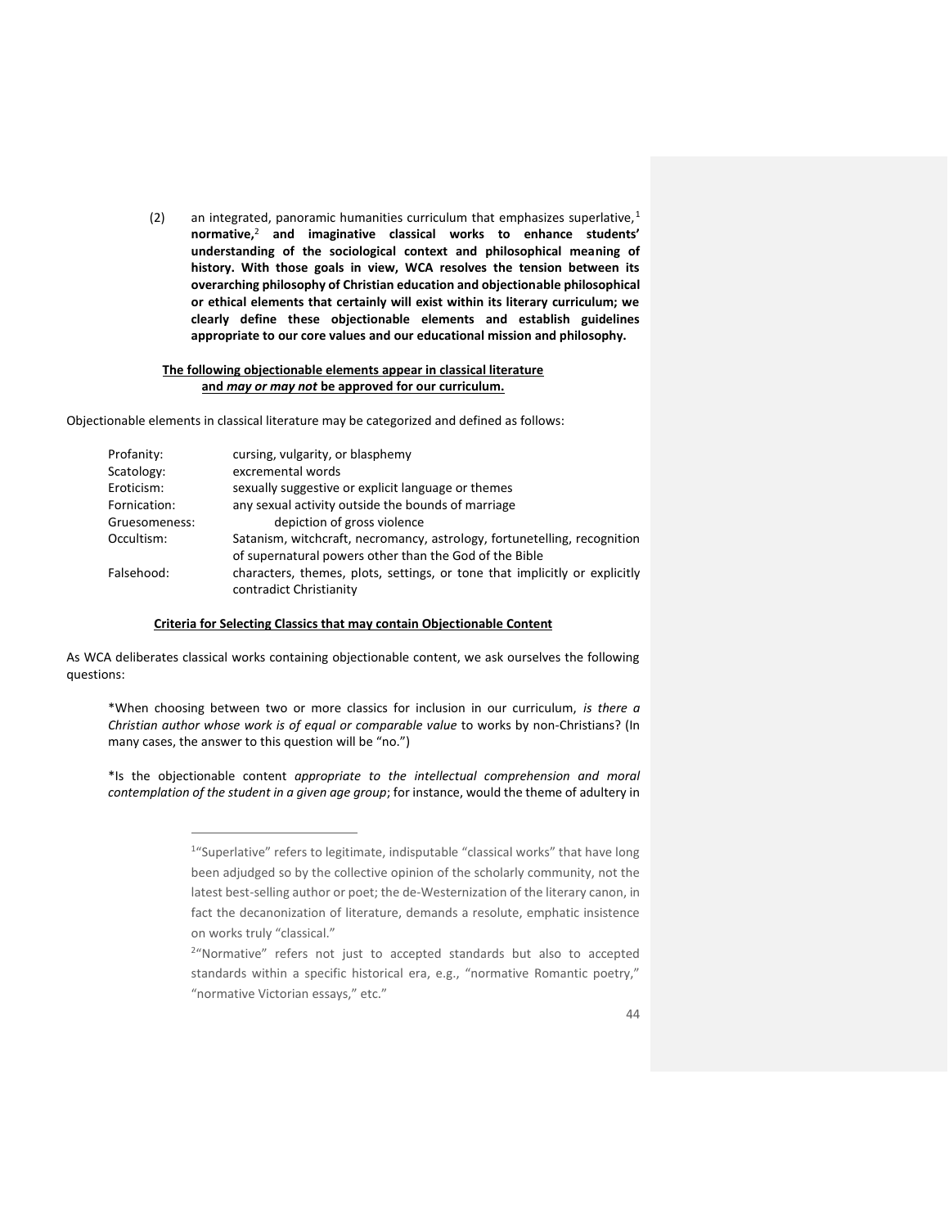(2) an integrated, panoramic humanities curriculum that emphasizes superlative,<sup>1</sup> **normative,**<sup>2</sup> **and imaginative classical works to enhance students' understanding of the sociological context and philosophical meaning of history. With those goals in view, WCA resolves the tension between its overarching philosophy of Christian education and objectionable philosophical or ethical elements that certainly will exist within its literary curriculum; we clearly define these objectionable elements and establish guidelines appropriate to our core values and our educational mission and philosophy.**

#### **The following objectionable elements appear in classical literature and** *may or may not* **be approved for our curriculum.**

Objectionable elements in classical literature may be categorized and defined as follows:

| Profanity:    | cursing, vulgarity, or blasphemy                                                                      |
|---------------|-------------------------------------------------------------------------------------------------------|
| Scatology:    | excremental words                                                                                     |
| Eroticism:    | sexually suggestive or explicit language or themes                                                    |
| Fornication:  | any sexual activity outside the bounds of marriage                                                    |
| Gruesomeness: | depiction of gross violence                                                                           |
| Occultism:    | Satanism, witchcraft, necromancy, astrology, fortunetelling, recognition                              |
|               | of supernatural powers other than the God of the Bible                                                |
| Falsehood:    | characters, themes, plots, settings, or tone that implicitly or explicitly<br>contradict Christianity |

#### **Criteria for Selecting Classics that may contain Objectionable Content**

As WCA deliberates classical works containing objectionable content, we ask ourselves the following questions:

\*When choosing between two or more classics for inclusion in our curriculum, *is there a Christian author whose work is of equal or comparable value* to works by non-Christians? (In many cases, the answer to this question will be "no.")

\*Is the objectionable content *appropriate to the intellectual comprehension and moral contemplation of the student in a given age group*; for instance, would the theme of adultery in

<sup>&</sup>lt;sup>1</sup>"Superlative" refers to legitimate, indisputable "classical works" that have long been adjudged so by the collective opinion of the scholarly community, not the latest best-selling author or poet; the de-Westernization of the literary canon, in fact the decanonization of literature, demands a resolute, emphatic insistence on works truly "classical."

<sup>&</sup>lt;sup>2</sup>"Normative" refers not just to accepted standards but also to accepted standards within a specific historical era, e.g., "normative Romantic poetry," "normative Victorian essays," etc."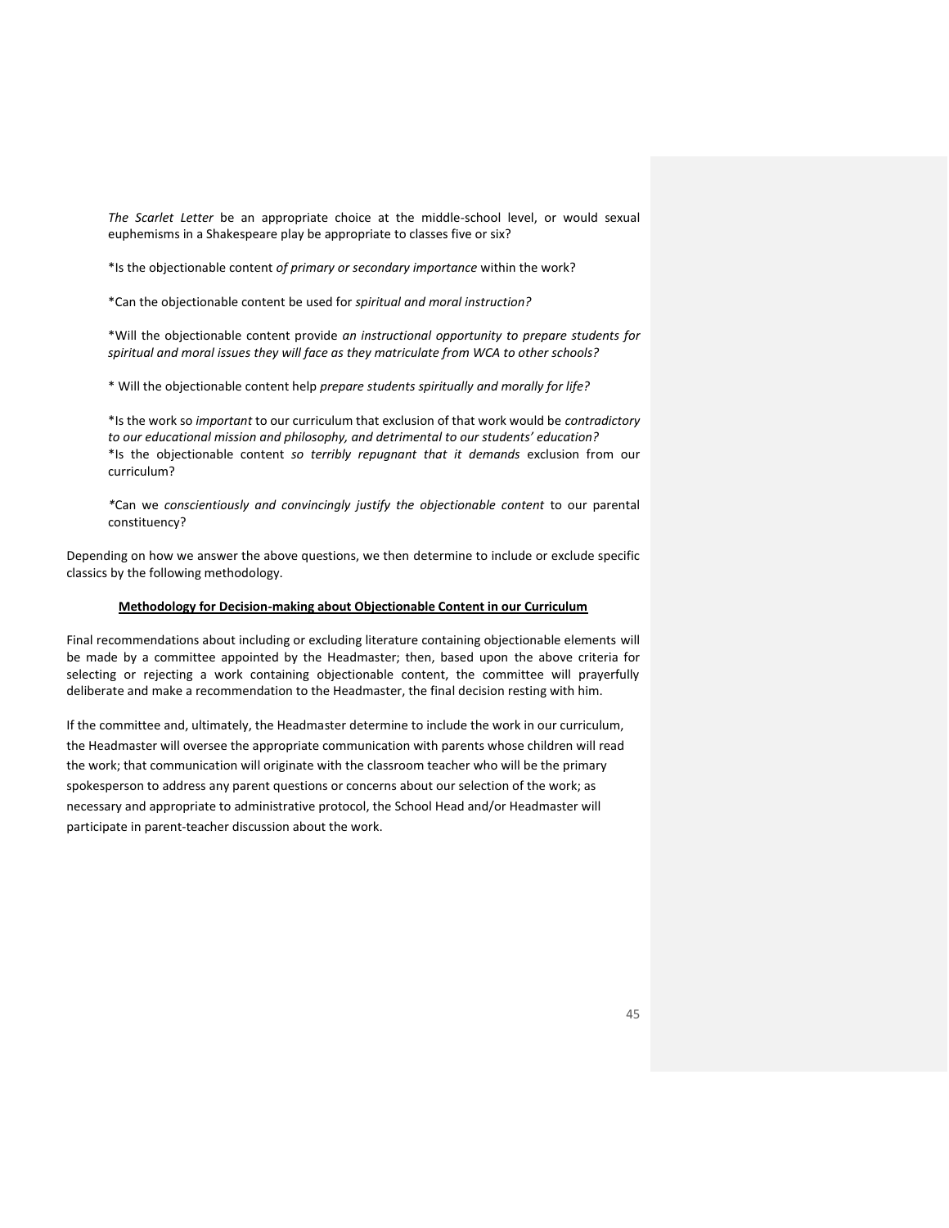*The Scarlet Letter* be an appropriate choice at the middle-school level, or would sexual euphemisms in a Shakespeare play be appropriate to classes five or six?

\*Is the objectionable content *of primary or secondary importance* within the work?

\*Can the objectionable content be used for *spiritual and moral instruction?*

\*Will the objectionable content provide *an instructional opportunity to prepare students for spiritual and moral issues they will face as they matriculate from WCA to other schools?*

\* Will the objectionable content help *prepare students spiritually and morally for life?*

\*Is the work so *important* to our curriculum that exclusion of that work would be *contradictory to our educational mission and philosophy, and detrimental to our students' education?* \*Is the objectionable content *so terribly repugnant that it demands* exclusion from our curriculum?

*\**Can we *conscientiously and convincingly justify the objectionable content* to our parental constituency?

Depending on how we answer the above questions, we then determine to include or exclude specific classics by the following methodology.

#### **Methodology for Decision-making about Objectionable Content in our Curriculum**

Final recommendations about including or excluding literature containing objectionable elements will be made by a committee appointed by the Headmaster; then, based upon the above criteria for selecting or rejecting a work containing objectionable content, the committee will prayerfully deliberate and make a recommendation to the Headmaster, the final decision resting with him.

If the committee and, ultimately, the Headmaster determine to include the work in our curriculum, the Headmaster will oversee the appropriate communication with parents whose children will read the work; that communication will originate with the classroom teacher who will be the primary spokesperson to address any parent questions or concerns about our selection of the work; as necessary and appropriate to administrative protocol, the School Head and/or Headmaster will participate in parent-teacher discussion about the work.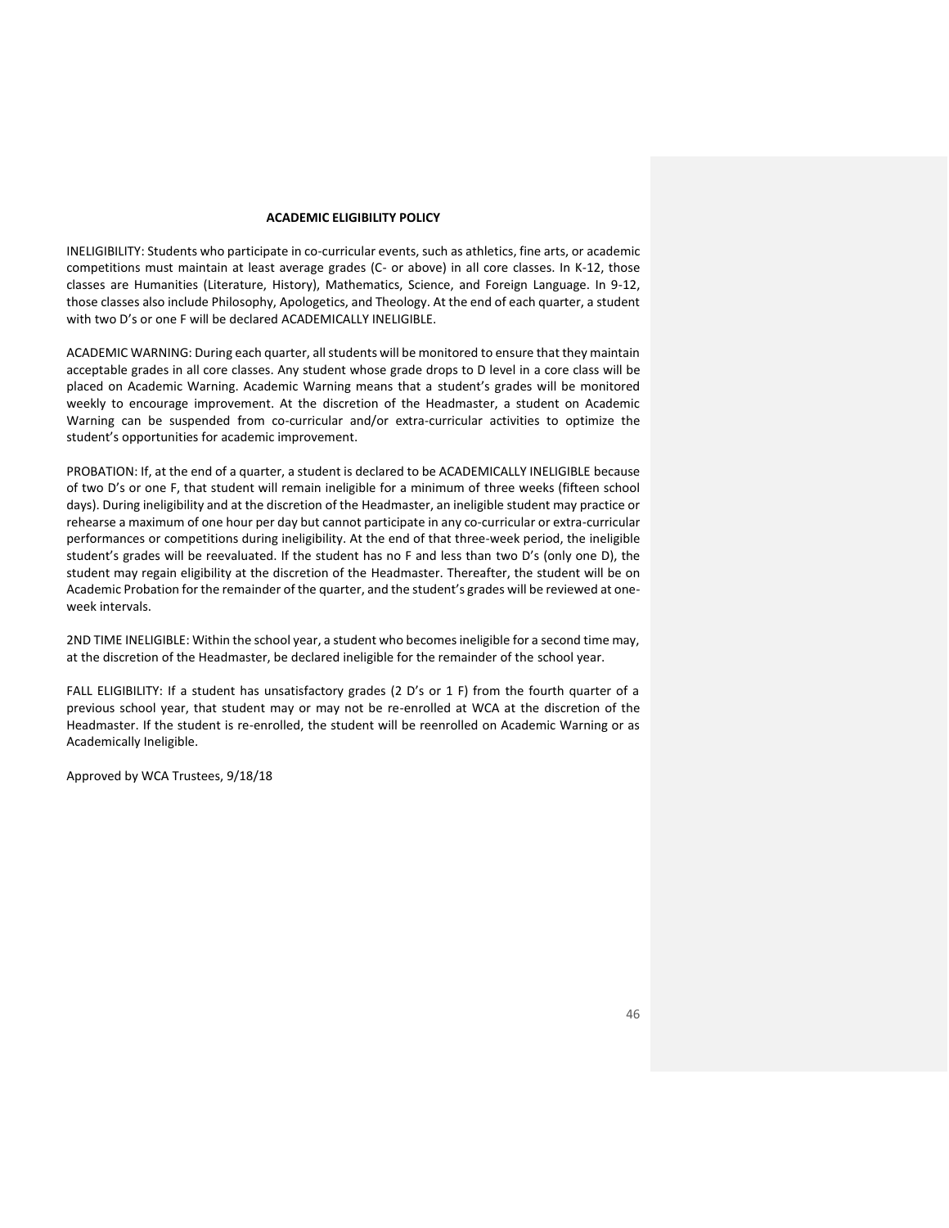#### **ACADEMIC ELIGIBILITY POLICY**

INELIGIBILITY: Students who participate in co-curricular events, such as athletics, fine arts, or academic competitions must maintain at least average grades (C- or above) in all core classes. In K-12, those classes are Humanities (Literature, History), Mathematics, Science, and Foreign Language. In 9-12, those classes also include Philosophy, Apologetics, and Theology. At the end of each quarter, a student with two D's or one F will be declared ACADEMICALLY INELIGIBLE.

ACADEMIC WARNING: During each quarter, all students will be monitored to ensure that they maintain acceptable grades in all core classes. Any student whose grade drops to D level in a core class will be placed on Academic Warning. Academic Warning means that a student's grades will be monitored weekly to encourage improvement. At the discretion of the Headmaster, a student on Academic Warning can be suspended from co-curricular and/or extra-curricular activities to optimize the student's opportunities for academic improvement.

PROBATION: If, at the end of a quarter, a student is declared to be ACADEMICALLY INELIGIBLE because of two D's or one F, that student will remain ineligible for a minimum of three weeks (fifteen school days). During ineligibility and at the discretion of the Headmaster, an ineligible student may practice or rehearse a maximum of one hour per day but cannot participate in any co-curricular or extra-curricular performances or competitions during ineligibility. At the end of that three-week period, the ineligible student's grades will be reevaluated. If the student has no F and less than two D's (only one D), the student may regain eligibility at the discretion of the Headmaster. Thereafter, the student will be on Academic Probation for the remainder of the quarter, and the student's grades will be reviewed at oneweek intervals.

2ND TIME INELIGIBLE: Within the school year, a student who becomes ineligible for a second time may, at the discretion of the Headmaster, be declared ineligible for the remainder of the school year.

FALL ELIGIBILITY: If a student has unsatisfactory grades (2 D's or 1 F) from the fourth quarter of a previous school year, that student may or may not be re-enrolled at WCA at the discretion of the Headmaster. If the student is re-enrolled, the student will be reenrolled on Academic Warning or as Academically Ineligible.

Approved by WCA Trustees, 9/18/18